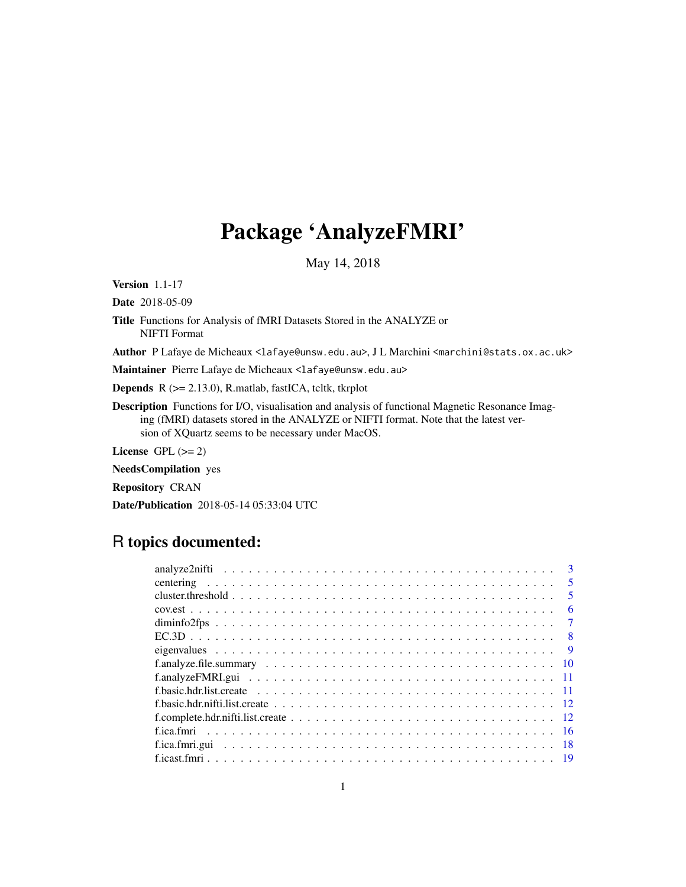# Package 'AnalyzeFMRI'

May 14, 2018

<span id="page-0-0"></span>Version 1.1-17

Date 2018-05-09

Title Functions for Analysis of fMRI Datasets Stored in the ANALYZE or NIFTI Format

Author P Lafaye de Micheaux <lafaye@unsw.edu.au>, J L Marchini <marchini@stats.ox.ac.uk>

Maintainer Pierre Lafaye de Micheaux <lafaye@unsw.edu.au>

Depends R (>= 2.13.0), R.matlab, fastICA, tcltk, tkrplot

Description Functions for I/O, visualisation and analysis of functional Magnetic Resonance Imaging (fMRI) datasets stored in the ANALYZE or NIFTI format. Note that the latest version of XQuartz seems to be necessary under MacOS.

License GPL  $(>= 2)$ 

NeedsCompilation yes

Repository CRAN

Date/Publication 2018-05-14 05:33:04 UTC

## R topics documented:

| $\overline{\mathbf{3}}$ |
|-------------------------|
| $\overline{5}$          |
| -5                      |
| 6                       |
| $\overline{7}$          |
|                         |
| $\overline{9}$          |
|                         |
|                         |
|                         |
|                         |
|                         |
|                         |
|                         |
|                         |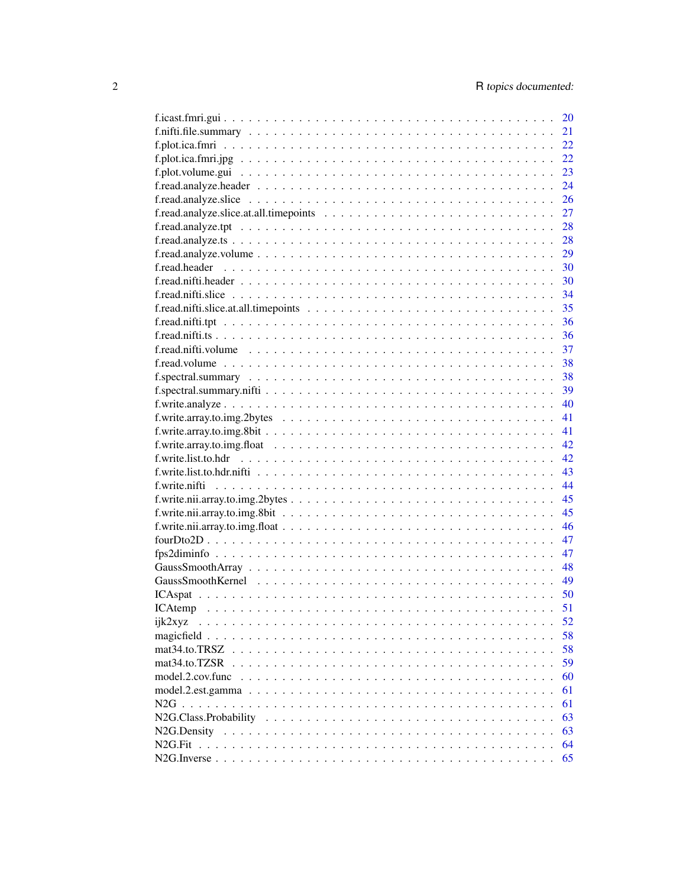|                  | 20 |
|------------------|----|
|                  | 21 |
|                  | 22 |
|                  | 22 |
|                  | 23 |
|                  | 24 |
|                  | 26 |
|                  | 27 |
|                  | 28 |
|                  | 28 |
|                  | 29 |
|                  | 30 |
|                  | 30 |
|                  | 34 |
|                  | 35 |
|                  | 36 |
|                  | 36 |
|                  |    |
|                  | 37 |
|                  | 38 |
|                  | 38 |
|                  | 39 |
|                  | 40 |
|                  | 41 |
|                  | 41 |
|                  | 42 |
|                  | 42 |
|                  | 43 |
|                  | 44 |
|                  | 45 |
|                  | 45 |
|                  | 46 |
|                  | 47 |
|                  | 47 |
|                  | 48 |
|                  |    |
|                  |    |
|                  | 51 |
| ijk2xyz          | 52 |
|                  | 58 |
| mat34.to.TRSZ    | 58 |
| mat34.to.TZSR    | 59 |
| model.2.cov.func | 60 |
|                  | 61 |
|                  | 61 |
|                  | 63 |
|                  | 63 |
|                  | 64 |
|                  | 65 |
|                  |    |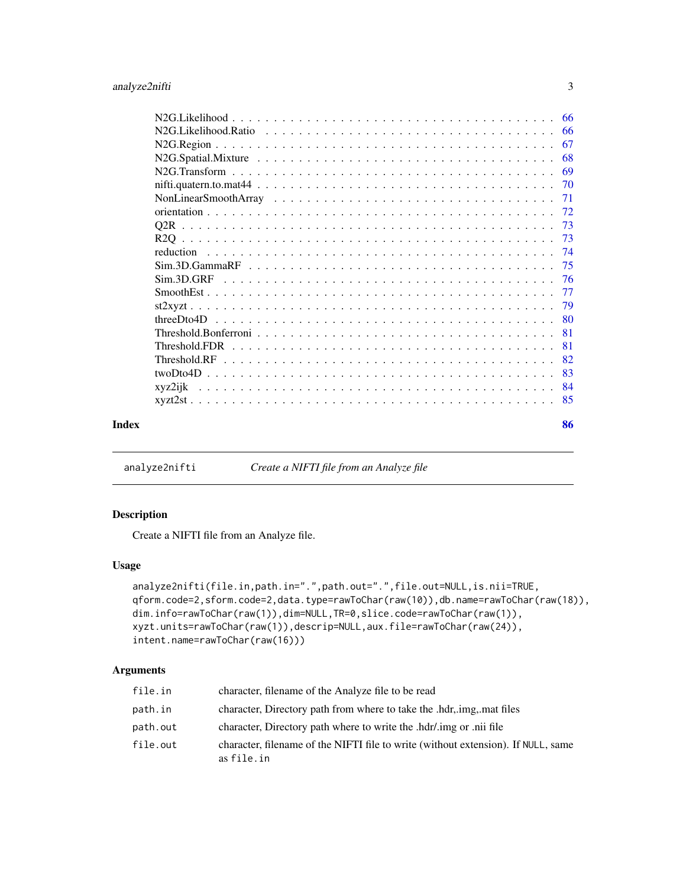<span id="page-2-0"></span>

|       |                                                                                                                                                            | 66 |
|-------|------------------------------------------------------------------------------------------------------------------------------------------------------------|----|
|       |                                                                                                                                                            | 66 |
|       | 67                                                                                                                                                         |    |
|       |                                                                                                                                                            | 68 |
|       |                                                                                                                                                            | 69 |
|       |                                                                                                                                                            | 70 |
|       | 71                                                                                                                                                         |    |
|       |                                                                                                                                                            |    |
|       |                                                                                                                                                            |    |
|       | 73                                                                                                                                                         |    |
|       | reduction                                                                                                                                                  |    |
|       |                                                                                                                                                            | 75 |
|       |                                                                                                                                                            |    |
|       | -77                                                                                                                                                        |    |
|       |                                                                                                                                                            |    |
|       |                                                                                                                                                            | 80 |
|       | Threshold. Bonferroni $\ldots$ $\ldots$ $\ldots$ $\ldots$ $\ldots$ $\ldots$ $\ldots$ $\ldots$ $\ldots$ $\ldots$ $\ldots$ $\ldots$ $\ldots$ $\ldots$<br>-81 |    |
|       | 81                                                                                                                                                         |    |
|       | 82                                                                                                                                                         |    |
|       |                                                                                                                                                            | 83 |
|       |                                                                                                                                                            | 84 |
|       |                                                                                                                                                            |    |
| Index |                                                                                                                                                            | 86 |

analyze2nifti *Create a NIFTI file from an Analyze file*

## Description

Create a NIFTI file from an Analyze file.

#### Usage

```
analyze2nifti(file.in,path.in=".",path.out=".",file.out=NULL,is.nii=TRUE,
qform.code=2,sform.code=2,data.type=rawToChar(raw(10)),db.name=rawToChar(raw(18)),
dim.info=rawToChar(raw(1)),dim=NULL,TR=0,slice.code=rawToChar(raw(1)),
xyzt.units=rawToChar(raw(1)),descrip=NULL,aux.file=rawToChar(raw(24)),
intent.name=rawToChar(raw(16)))
```

| file.in  | character, filename of the Analyze file to be read                                              |
|----------|-------------------------------------------------------------------------------------------------|
| path.in  | character, Directory path from where to take the .hdr, img, mat files                           |
| path.out | character, Directory path where to write the .hdr/.img or .nii file                             |
| file.out | character, filename of the NIFTI file to write (without extension). If NULL, same<br>as file.in |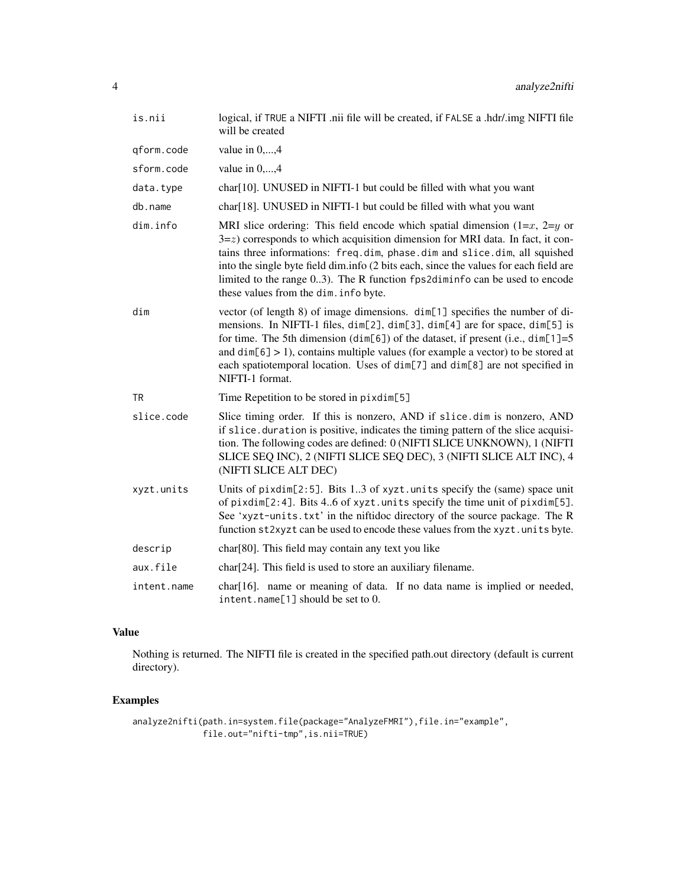| is.nii      | logical, if TRUE a NIFTI .nii file will be created, if FALSE a .hdr/.img NIFTI file<br>will be created                                                                                                                                                                                                                                                                                                                                                            |
|-------------|-------------------------------------------------------------------------------------------------------------------------------------------------------------------------------------------------------------------------------------------------------------------------------------------------------------------------------------------------------------------------------------------------------------------------------------------------------------------|
| qform.code  | value in $0, \ldots, 4$                                                                                                                                                                                                                                                                                                                                                                                                                                           |
| sform.code  | value in $0, \ldots, 4$                                                                                                                                                                                                                                                                                                                                                                                                                                           |
| data.type   | char <sup>[10]</sup> . UNUSED in NIFTI-1 but could be filled with what you want                                                                                                                                                                                                                                                                                                                                                                                   |
| db.name     | char <sup>[18]</sup> . UNUSED in NIFTI-1 but could be filled with what you want                                                                                                                                                                                                                                                                                                                                                                                   |
| dim.info    | MRI slice ordering: This field encode which spatial dimension $(1=x, 2=y)$ or<br>$3 = z$ ) corresponds to which acquisition dimension for MRI data. In fact, it con-<br>tains three informations: freq.dim, phase.dim and slice.dim, all squished<br>into the single byte field dim.info (2 bits each, since the values for each field are<br>limited to the range 03). The R function fps2diminfo can be used to encode<br>these values from the dim. info byte. |
| dim         | vector (of length 8) of image dimensions. dim[1] specifies the number of di-<br>mensions. In NIFTI-1 files, dim[2], dim[3], dim[4] are for space, dim[5] is<br>for time. The 5th dimension (dim[6]) of the dataset, if present (i.e., dim[1]=5<br>and $dim[6] > 1$ , contains multiple values (for example a vector) to be stored at<br>each spatiotemporal location. Uses of dim[7] and dim[8] are not specified in<br>NIFTI-1 format.                           |
| TR          | Time Repetition to be stored in pixdim[5]                                                                                                                                                                                                                                                                                                                                                                                                                         |
| slice.code  | Slice timing order. If this is nonzero, AND if slice dim is nonzero, AND<br>if slice. duration is positive, indicates the timing pattern of the slice acquisi-<br>tion. The following codes are defined: 0 (NIFTI SLICE UNKNOWN), 1 (NIFTI<br>SLICE SEQ INC), 2 (NIFTI SLICE SEQ DEC), 3 (NIFTI SLICE ALT INC), 4<br>(NIFTI SLICE ALT DEC)                                                                                                                        |
| xyzt.units  | Units of pixdim[2:5]. Bits 13 of xyzt.units specify the (same) space unit<br>of pixdim[2:4]. Bits 46 of xyzt.units specify the time unit of pixdim[5].<br>See 'xyzt-units.txt' in the niftidoc directory of the source package. The R<br>function st2xyzt can be used to encode these values from the xyzt. units byte.                                                                                                                                           |
| descrip     | char[80]. This field may contain any text you like                                                                                                                                                                                                                                                                                                                                                                                                                |
| aux.file    | char <sup>[24]</sup> . This field is used to store an auxiliary filename.                                                                                                                                                                                                                                                                                                                                                                                         |
| intent.name | char[16]. name or meaning of data. If no data name is implied or needed,<br>intent.name[1] should be set to 0.                                                                                                                                                                                                                                                                                                                                                    |

## Value

Nothing is returned. The NIFTI file is created in the specified path.out directory (default is current directory).

## Examples

```
analyze2nifti(path.in=system.file(package="AnalyzeFMRI"),file.in="example",
              file.out="nifti-tmp",is.nii=TRUE)
```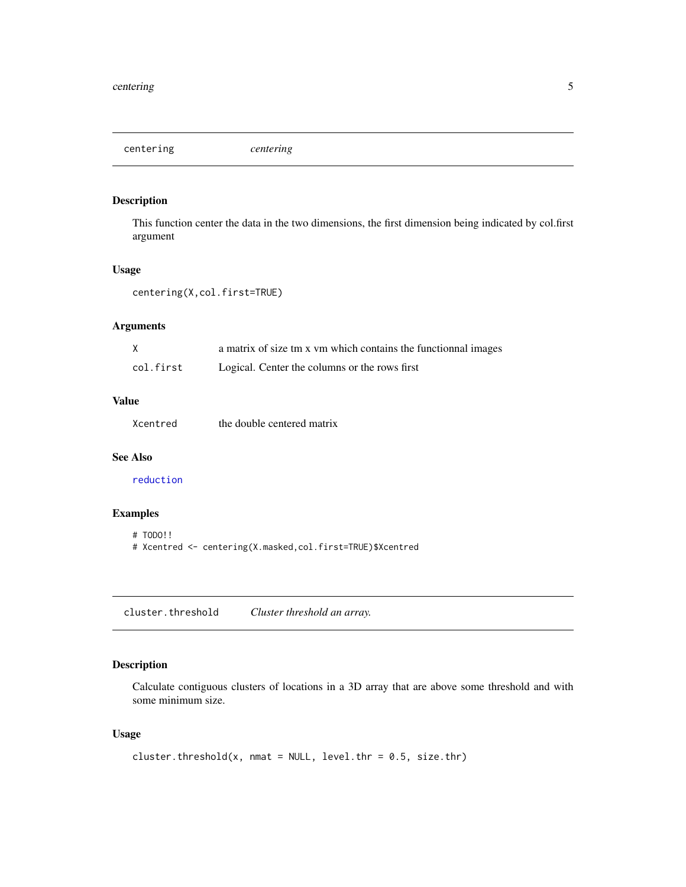<span id="page-4-0"></span>centering *centering*

## Description

This function center the data in the two dimensions, the first dimension being indicated by col.first argument

## Usage

```
centering(X,col.first=TRUE)
```
## Arguments

|           | a matrix of size tm x vm which contains the functionnal images |
|-----------|----------------------------------------------------------------|
| col.first | Logical. Center the columns or the rows first                  |

## Value

|  | Xcentred | the double centered matrix |  |  |
|--|----------|----------------------------|--|--|
|--|----------|----------------------------|--|--|

## See Also

[reduction](#page-73-1)

## Examples

```
# TODO!!
# Xcentred <- centering(X.masked,col.first=TRUE)$Xcentred
```
cluster.threshold *Cluster threshold an array.*

## Description

Calculate contiguous clusters of locations in a 3D array that are above some threshold and with some minimum size.

## Usage

```
cluster.threshold(x, nmat = NULL, level.thr = 0.5, size.thr)
```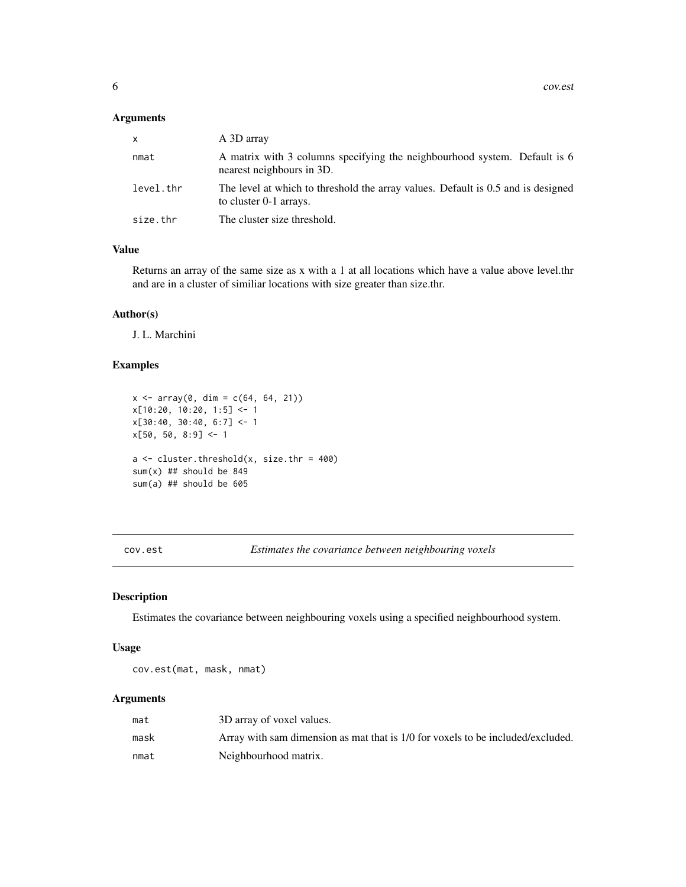#### <span id="page-5-0"></span>Arguments

| $\mathsf{x}$ | A 3D array                                                                                                 |
|--------------|------------------------------------------------------------------------------------------------------------|
| nmat         | A matrix with 3 columns specifying the neighbourhood system. Default is 6<br>nearest neighbours in 3D.     |
| level.thr    | The level at which to threshold the array values. Default is 0.5 and is designed<br>to cluster 0-1 arrays. |
| size.thr     | The cluster size threshold.                                                                                |

## Value

Returns an array of the same size as x with a 1 at all locations which have a value above level.thr and are in a cluster of similiar locations with size greater than size.thr.

## Author(s)

J. L. Marchini

## Examples

```
x \le -\arctan(0, \, \text{dim} = \text{c}(64, 64, 21))x[10:20, 10:20, 1:5] <- 1
x[30:40, 30:40, 6:7] <- 1
x[50, 50, 8:9] < -1a \leftarrow cluster.threshold(x, size.thr = 400)
sum(x) ## should be 849
sum(a) ## should be 605
```
cov.est *Estimates the covariance between neighbouring voxels*

## Description

Estimates the covariance between neighbouring voxels using a specified neighbourhood system.

## Usage

cov.est(mat, mask, nmat)

| mat  | 3D array of voxel values.                                                       |
|------|---------------------------------------------------------------------------------|
| mask | Array with sam dimension as mat that is 1/0 for voxels to be included/excluded. |
| nmat | Neighbourhood matrix.                                                           |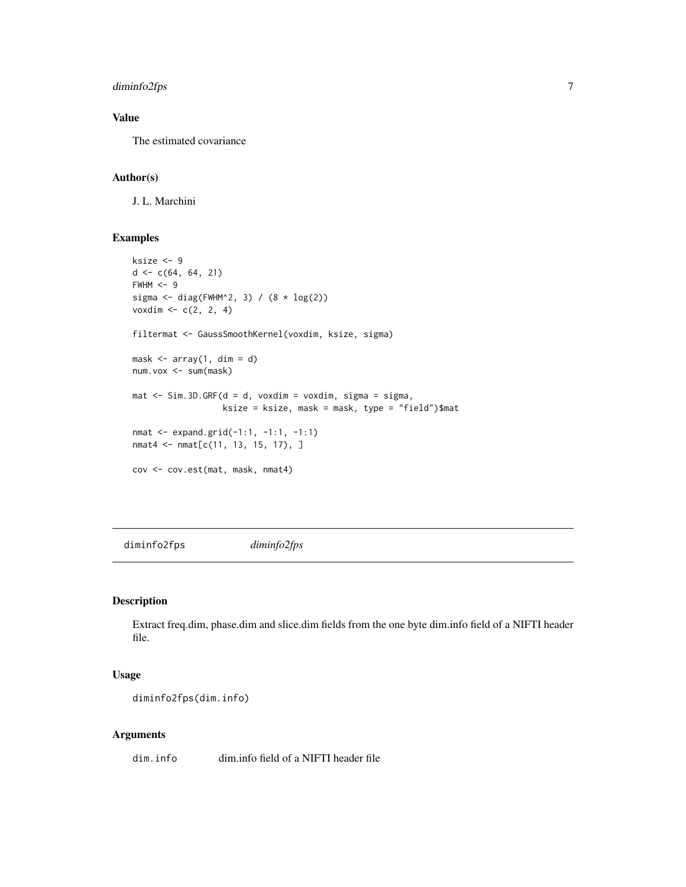## <span id="page-6-0"></span>diminfo2fps 7

## Value

The estimated covariance

## Author(s)

J. L. Marchini

#### Examples

```
ksize <- 9
d \leftarrow c(64, 64, 21)FWHM < -9sigma \le diag(FWHM^2, 3) / (8 * log(2))
voxdim \, < -c(2, 2, 4)filtermat <- GaussSmoothKernel(voxdim, ksize, sigma)
mask \leftarrow array(1, dim = d)num.vox <- sum(mask)
mat \le Sim.3D.GRF(d = d, voxdim = voxdim, sigma = sigma,
                  ksize = ksize, mask = mask, type = "field")$mat
nmat <- expand.grid(-1:1, -1:1, -1:1)
nmat4 <- nmat[c(11, 13, 15, 17), ]
cov <- cov.est(mat, mask, nmat4)
```
diminfo2fps *diminfo2fps*

## Description

Extract freq.dim, phase.dim and slice.dim fields from the one byte dim.info field of a NIFTI header file.

#### Usage

```
diminfo2fps(dim.info)
```
## Arguments

dim.info dim.info field of a NIFTI header file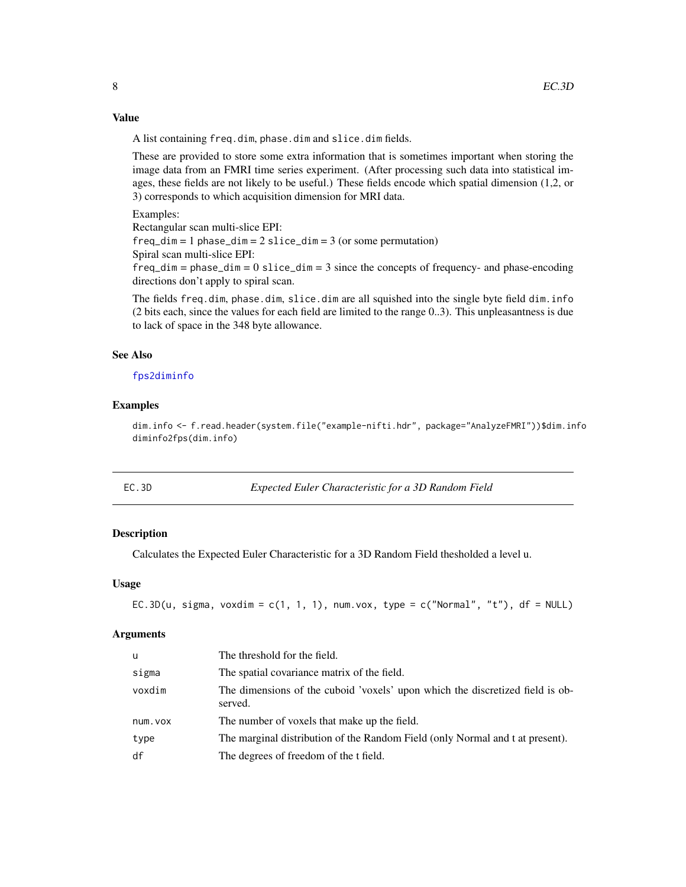## Value

A list containing freq.dim, phase.dim and slice.dim fields.

These are provided to store some extra information that is sometimes important when storing the image data from an FMRI time series experiment. (After processing such data into statistical images, these fields are not likely to be useful.) These fields encode which spatial dimension (1,2, or 3) corresponds to which acquisition dimension for MRI data.

Examples:

Rectangular scan multi-slice EPI:

 $freq\_dim = 1$  phase\_dim =  $2$  slice\_dim =  $3$  (or some permutation)

Spiral scan multi-slice EPI:

 $freq\_dim = phase\_dim = 0$  slice $\_dim = 3$  since the concepts of frequency- and phase-encoding directions don't apply to spiral scan.

The fields freq.dim, phase.dim, slice.dim are all squished into the single byte field dim.info (2 bits each, since the values for each field are limited to the range 0..3). This unpleasantness is due to lack of space in the 348 byte allowance.

#### See Also

## [fps2diminfo](#page-46-1)

## Examples

dim.info <- f.read.header(system.file("example-nifti.hdr", package="AnalyzeFMRI"))\$dim.info diminfo2fps(dim.info)

#### **Expected Euler Characteristic for a 3D Random Field**

#### Description

Calculates the Expected Euler Characteristic for a 3D Random Field thesholded a level u.

#### Usage

```
EC.3D(u, sigma, voxdim = c(1, 1, 1), num.vox, type = c("Normal", "t"), df = NULL)
```

| u       | The threshold for the field.                                                             |
|---------|------------------------------------------------------------------------------------------|
| sigma   | The spatial covariance matrix of the field.                                              |
| voxdim  | The dimensions of the cuboid 'voxels' upon which the discretized field is ob-<br>served. |
| num.vox | The number of voxels that make up the field.                                             |
| type    | The marginal distribution of the Random Field (only Normal and t at present).            |
| df      | The degrees of freedom of the t field.                                                   |

<span id="page-7-0"></span>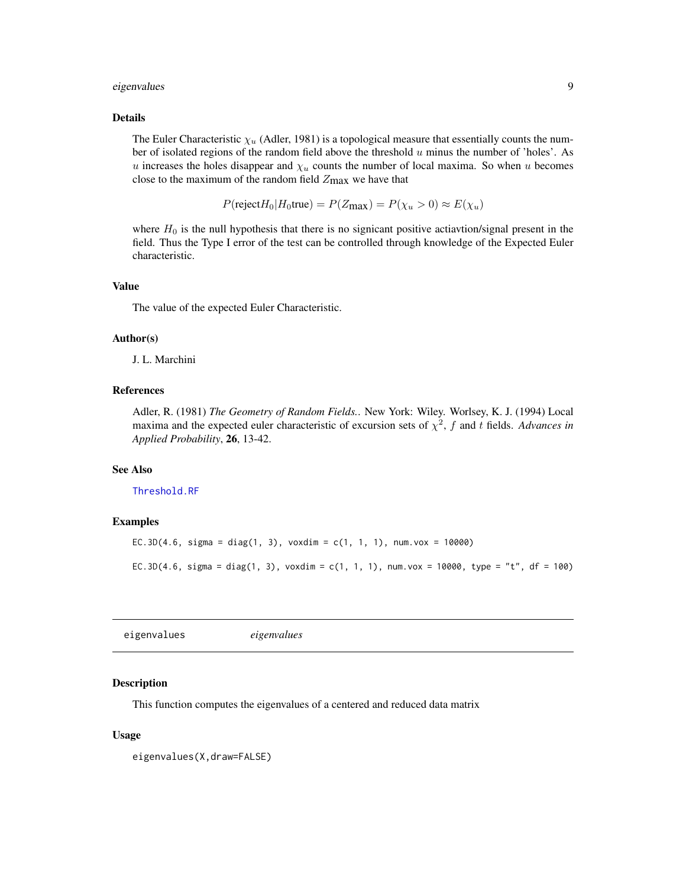#### <span id="page-8-0"></span>eigenvalues 9

#### Details

The Euler Characteristic  $\chi_u$  (Adler, 1981) is a topological measure that essentially counts the number of isolated regions of the random field above the threshold  $u$  minus the number of 'holes'. As u increases the holes disappear and  $\chi_u$  counts the number of local maxima. So when u becomes close to the maximum of the random field  $Z_{\text{max}}$  we have that

$$
P(\text{reject}H_0|H_0\text{true}) = P(Z_{\text{max}}) = P(\chi_u > 0) \approx E(\chi_u)
$$

where  $H_0$  is the null hypothesis that there is no signicant positive actiavtion/signal present in the field. Thus the Type I error of the test can be controlled through knowledge of the Expected Euler characteristic.

#### Value

The value of the expected Euler Characteristic.

## Author(s)

J. L. Marchini

#### References

Adler, R. (1981) *The Geometry of Random Fields.*. New York: Wiley. Worlsey, K. J. (1994) Local maxima and the expected euler characteristic of excursion sets of  $\chi^2$ , f and t fields. *Advances in Applied Probability*, 26, 13-42.

#### See Also

[Threshold.RF](#page-81-1)

#### Examples

```
EC.3D(4.6, sigma = diag(1, 3), voxdim = c(1, 1, 1), num.vox = 10000)
```
EC.3D(4.6, sigma = diag(1, 3), voxdim = c(1, 1, 1), num.vox = 10000, type = "t", df = 100)

eigenvalues *eigenvalues*

#### Description

This function computes the eigenvalues of a centered and reduced data matrix

#### Usage

eigenvalues(X,draw=FALSE)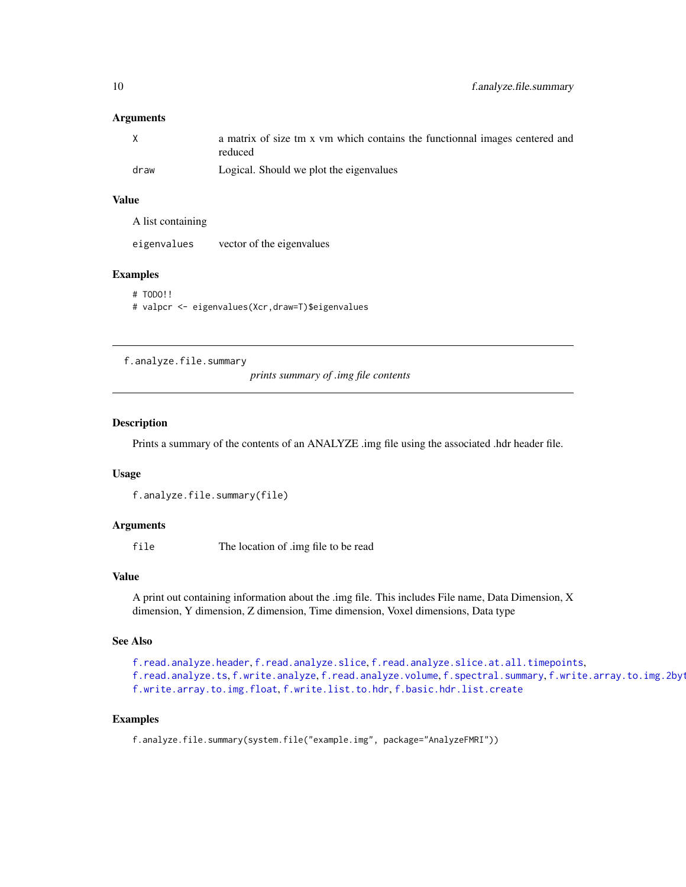#### <span id="page-9-0"></span>**Arguments**

| X    | a matrix of size tm x vm which contains the functionnal images centered and<br>reduced |
|------|----------------------------------------------------------------------------------------|
| draw | Logical. Should we plot the eigenvalues                                                |

#### Value

A list containing

| eigenvalues | vector of the eigenvalues |
|-------------|---------------------------|
|-------------|---------------------------|

## Examples

```
# TODO!!
# valpcr <- eigenvalues(Xcr,draw=T)$eigenvalues
```
<span id="page-9-1"></span>f.analyze.file.summary

*prints summary of .img file contents*

#### Description

Prints a summary of the contents of an ANALYZE .img file using the associated .hdr header file.

## Usage

```
f.analyze.file.summary(file)
```
#### Arguments

file The location of .img file to be read

#### Value

A print out containing information about the .img file. This includes File name, Data Dimension, X dimension, Y dimension, Z dimension, Time dimension, Voxel dimensions, Data type

#### See Also

```
f.read.analyze.header, f.read.analyze.slice, f.read.analyze.slice.at.all.timepoints,
f.read.analyze.tsf.write.analyzef.read.analyze.volumef.spectral.summary, f.write.array.to.img.2byt
f.write.array.to.img.float, f.write.list.to.hdr, f.basic.hdr.list.create
```
## Examples

f.analyze.file.summary(system.file("example.img", package="AnalyzeFMRI"))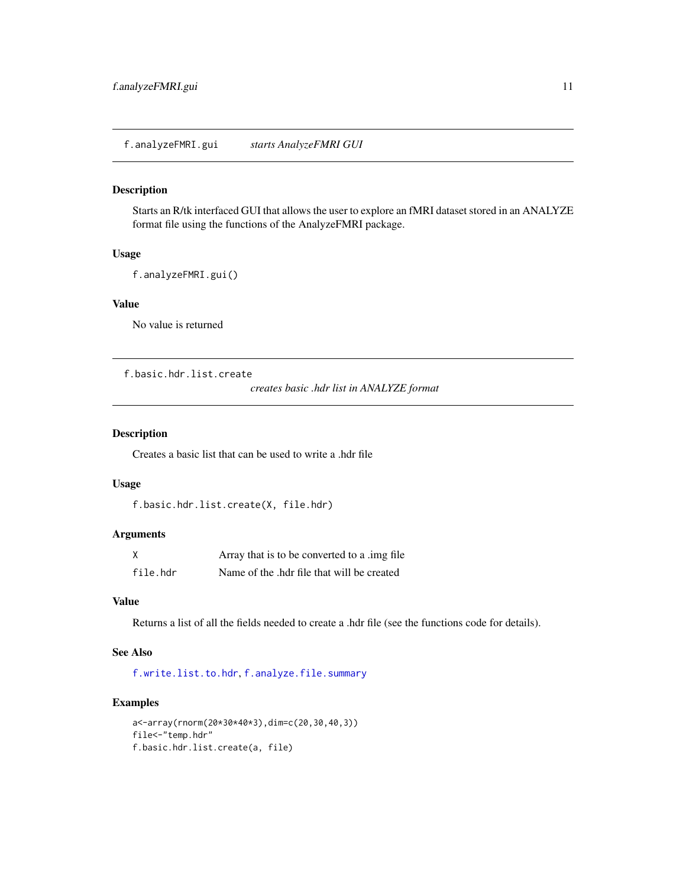#### <span id="page-10-0"></span>Description

Starts an R/tk interfaced GUI that allows the user to explore an fMRI dataset stored in an ANALYZE format file using the functions of the AnalyzeFMRI package.

## Usage

```
f.analyzeFMRI.gui()
```
## Value

No value is returned

<span id="page-10-1"></span>f.basic.hdr.list.create

*creates basic .hdr list in ANALYZE format*

## Description

Creates a basic list that can be used to write a .hdr file

## Usage

```
f.basic.hdr.list.create(X, file.hdr)
```
## Arguments

| X        | Array that is to be converted to a limg file. |
|----------|-----------------------------------------------|
| file.hdr | Name of the .hdr file that will be created    |

## Value

Returns a list of all the fields needed to create a .hdr file (see the functions code for details).

## See Also

[f.write.list.to.hdr](#page-41-2), [f.analyze.file.summary](#page-9-1)

## Examples

```
a<-array(rnorm(20*30*40*3),dim=c(20,30,40,3))
file<-"temp.hdr"
f.basic.hdr.list.create(a, file)
```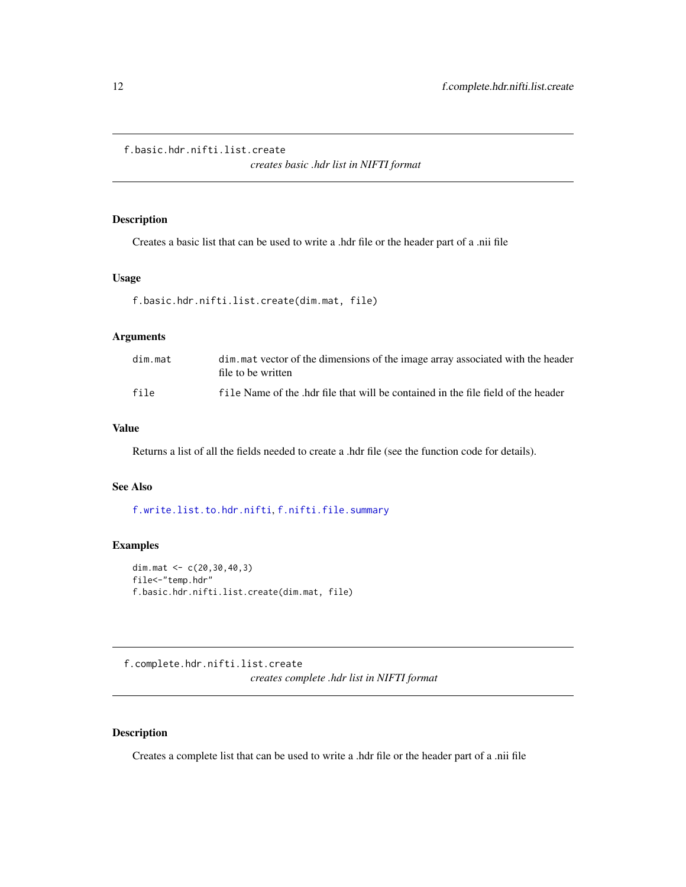<span id="page-11-1"></span><span id="page-11-0"></span>f.basic.hdr.nifti.list.create

*creates basic .hdr list in NIFTI format*

## Description

Creates a basic list that can be used to write a .hdr file or the header part of a .nii file

#### Usage

```
f.basic.hdr.nifti.list.create(dim.mat, file)
```
#### Arguments

| dim.mat | dim, mat vector of the dimensions of the image array associated with the header<br>file to be written |
|---------|-------------------------------------------------------------------------------------------------------|
| file    | file Name of the .hdr file that will be contained in the file field of the header                     |

#### Value

Returns a list of all the fields needed to create a .hdr file (see the function code for details).

## See Also

[f.write.list.to.hdr.nifti](#page-42-1), [f.nifti.file.summary](#page-20-1)

## Examples

```
dim.mat <- c(20,30,40,3)
file<-"temp.hdr"
f.basic.hdr.nifti.list.create(dim.mat, file)
```
f.complete.hdr.nifti.list.create *creates complete .hdr list in NIFTI format*

## Description

Creates a complete list that can be used to write a .hdr file or the header part of a .nii file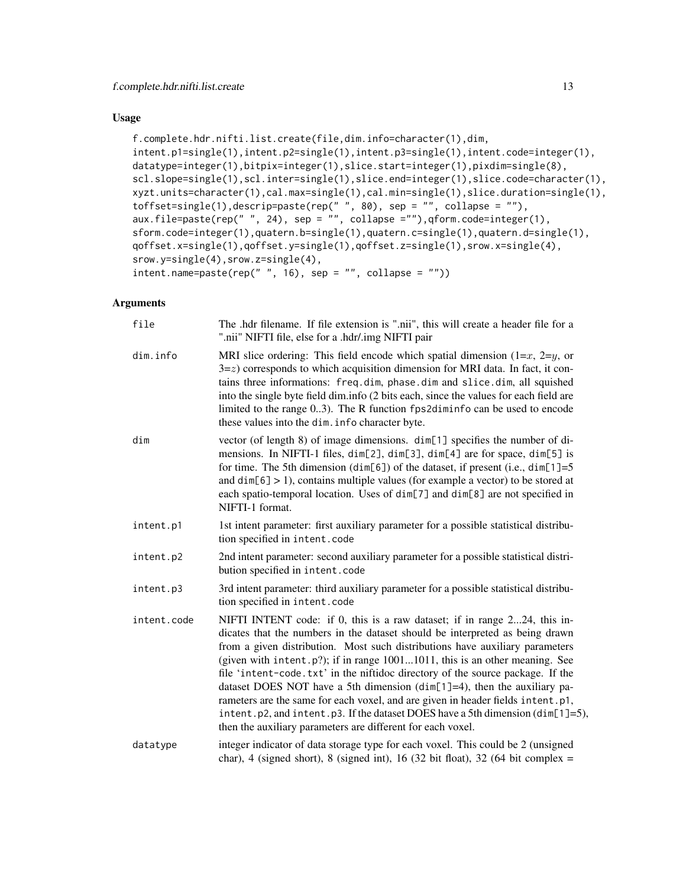## Usage

```
f.complete.hdr.nifti.list.create(file,dim.info=character(1),dim,
intent.p1=single(1),intent.p2=single(1),intent.p3=single(1),intent.code=integer(1),
datatype=integer(1),bitpix=integer(1),slice.start=integer(1),pixdim=single(8),
scl.slope=single(1),scl.inter=single(1),slice.end=integer(1),slice.code=character(1),
xyzt.units=character(1),cal.max=single(1),cal.min=single(1),slice.duration=single(1),
toffset=single(1),descrip=paste(rep(" ", 80), sep = "", collapse = ""),
aux.file=paste(rep(" ", 24), sep = "", collapse =""),qform.code=integer(1),
sform.code=integer(1),quatern.b=single(1),quatern.c=single(1),quatern.d=single(1),
qoffset.x=single(1),qoffset.y=single(1),qoffset.z=single(1),srow.x=single(4),
srow.y=single(4),srow.z=single(4),
intent.name = paste(rep(" ", 16), sep = "", collapse = "")
```

| file        | The .hdr filename. If file extension is ".nii", this will create a header file for a<br>".nii" NIFTI file, else for a .hdr/.img NIFTI pair                                                                                                                                                                                                                                                                                                                                                                                                                                                                                                                                                                                                    |
|-------------|-----------------------------------------------------------------------------------------------------------------------------------------------------------------------------------------------------------------------------------------------------------------------------------------------------------------------------------------------------------------------------------------------------------------------------------------------------------------------------------------------------------------------------------------------------------------------------------------------------------------------------------------------------------------------------------------------------------------------------------------------|
| dim.info    | MRI slice ordering: This field encode which spatial dimension $(1=x, 2=y,$ or<br>$3 = z$ ) corresponds to which acquisition dimension for MRI data. In fact, it con-<br>tains three informations: freq.dim, phase.dim and slice.dim, all squished<br>into the single byte field dim.info (2 bits each, since the values for each field are<br>limited to the range 03). The R function fps2diminfo can be used to encode<br>these values into the dim. info character byte.                                                                                                                                                                                                                                                                   |
| dim         | vector (of length 8) of image dimensions. dim[1] specifies the number of di-<br>mensions. In NIFTI-1 files, dim[2], dim[3], dim[4] are for space, dim[5] is<br>for time. The 5th dimension (dim[6]) of the dataset, if present (i.e., dim[1]=5<br>and $dim[6] > 1$ , contains multiple values (for example a vector) to be stored at<br>each spatio-temporal location. Uses of dim[7] and dim[8] are not specified in<br>NIFTI-1 format.                                                                                                                                                                                                                                                                                                      |
| intent.p1   | 1st intent parameter: first auxiliary parameter for a possible statistical distribu-<br>tion specified in intent.code                                                                                                                                                                                                                                                                                                                                                                                                                                                                                                                                                                                                                         |
| intent.p2   | 2nd intent parameter: second auxiliary parameter for a possible statistical distri-<br>bution specified in intent.code                                                                                                                                                                                                                                                                                                                                                                                                                                                                                                                                                                                                                        |
| intent.p3   | 3rd intent parameter: third auxiliary parameter for a possible statistical distribu-<br>tion specified in intent.code                                                                                                                                                                                                                                                                                                                                                                                                                                                                                                                                                                                                                         |
| intent.code | NIFTI INTENT code: if 0, this is a raw dataset; if in range 224, this in-<br>dicates that the numbers in the dataset should be interpreted as being drawn<br>from a given distribution. Most such distributions have auxiliary parameters<br>(given with intent. $p$ ?); if in range $10011011$ , this is an other meaning. See<br>file 'intent-code.txt' in the niftidoc directory of the source package. If the<br>dataset DOES NOT have a 5th dimension ( $dim[1]=4$ ), then the auxiliary pa-<br>rameters are the same for each voxel, and are given in header fields intent.p1,<br>intent. $p2$ , and intent. $p3$ . If the dataset DOES have a 5th dimension (dim[1]=5),<br>then the auxiliary parameters are different for each voxel. |
| datatype    | integer indicator of data storage type for each voxel. This could be 2 (unsigned<br>char), 4 (signed short), 8 (signed int), 16 (32 bit float), 32 (64 bit complex =                                                                                                                                                                                                                                                                                                                                                                                                                                                                                                                                                                          |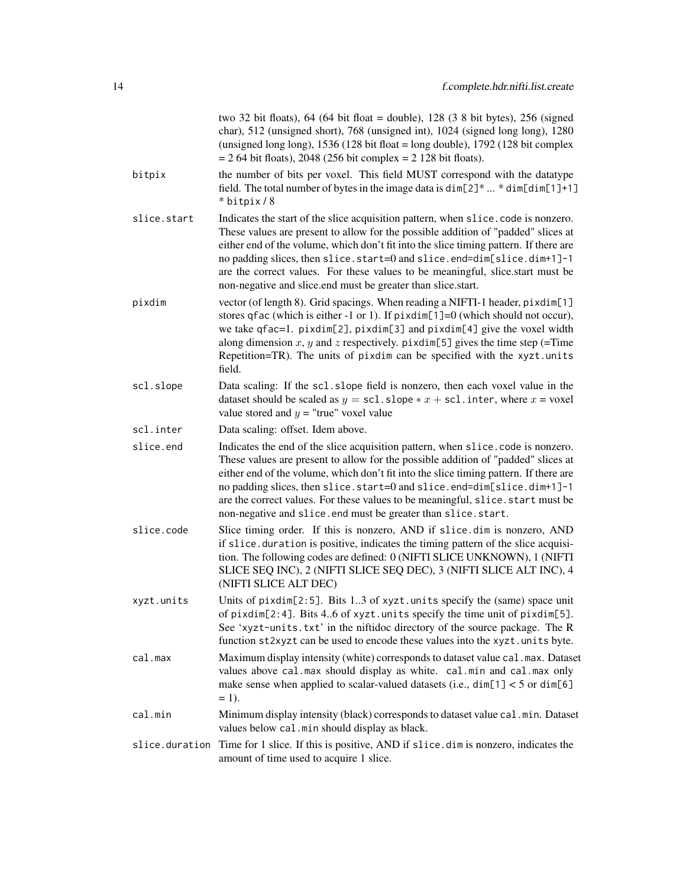|                | two 32 bit floats), 64 (64 bit float = double), 128 (3 8 bit bytes), 256 (signed<br>char), 512 (unsigned short), 768 (unsigned int), 1024 (signed long long), 1280<br>(unsigned long long), $1536(128 \text{ bit float} = \text{long double})$ , $1792(128 \text{ bit complex})$<br>$= 264$ bit floats), 2048 (256 bit complex $= 2128$ bit floats).                                                                                                                                        |
|----------------|---------------------------------------------------------------------------------------------------------------------------------------------------------------------------------------------------------------------------------------------------------------------------------------------------------------------------------------------------------------------------------------------------------------------------------------------------------------------------------------------|
| bitpix         | the number of bits per voxel. This field MUST correspond with the datatype<br>field. The total number of bytes in the image data is $\dim[2]^*$ * $\dim[\dim[1]+1]$<br>* bitpix / 8                                                                                                                                                                                                                                                                                                         |
| slice.start    | Indicates the start of the slice acquisition pattern, when slice code is nonzero.<br>These values are present to allow for the possible addition of "padded" slices at<br>either end of the volume, which don't fit into the slice timing pattern. If there are<br>no padding slices, then slice.start=0 and slice.end=dim[slice.dim+1]-1<br>are the correct values. For these values to be meaningful, slice.start must be<br>non-negative and slice.end must be greater than slice.start. |
| pixdim         | vector (of length 8). Grid spacings. When reading a NIFTI-1 header, pixdim[1]<br>stores qfac (which is either -1 or 1). If $\pi$ ixdim[1]=0 (which should not occur),<br>we take qfac=1. pixdim[2], pixdim[3] and pixdim[4] give the voxel width<br>along dimension x, y and z respectively. pixdim[5] gives the time step (=Time<br>Repetition=TR). The units of pixdim can be specified with the xyzt.units<br>field.                                                                     |
| scl.slope      | Data scaling: If the sc1.slope field is nonzero, then each voxel value in the<br>dataset should be scaled as $y = \text{sc1}.\text{slope} * x + \text{sc1}.\text{inter}, \text{where } x = \text{voxel}$<br>value stored and $y =$ "true" voxel value                                                                                                                                                                                                                                       |
| scl.inter      | Data scaling: offset. Idem above.                                                                                                                                                                                                                                                                                                                                                                                                                                                           |
| slice.end      | Indicates the end of the slice acquisition pattern, when slice code is nonzero.<br>These values are present to allow for the possible addition of "padded" slices at<br>either end of the volume, which don't fit into the slice timing pattern. If there are<br>no padding slices, then slice.start=0 and slice.end=dim[slice.dim+1]-1<br>are the correct values. For these values to be meaningful, slice. start must be<br>non-negative and slice.end must be greater than slice.start.  |
| slice.code     | Slice timing order. If this is nonzero, AND if slice dim is nonzero, AND<br>if slice. duration is positive, indicates the timing pattern of the slice acquisi-<br>tion. The following codes are defined: 0 (NIFTI SLICE UNKNOWN), 1 (NIFTI<br>SLICE SEQ INC), 2 (NIFTI SLICE SEQ DEC), 3 (NIFTI SLICE ALT INC), 4<br>(NIFTI SLICE ALT DEC)                                                                                                                                                  |
| xyzt.units     | Units of pixdim[2:5]. Bits 13 of xyzt.units specify the (same) space unit<br>of pixdim[2:4]. Bits 46 of xyzt.units specify the time unit of pixdim[5].<br>See 'xyzt-units.txt' in the niftidoc directory of the source package. The R<br>function st2xyzt can be used to encode these values into the xyzt. units byte.                                                                                                                                                                     |
| cal.max        | Maximum display intensity (white) corresponds to dataset value cal. max. Dataset<br>values above cal.max should display as white. cal.min and cal.max only<br>make sense when applied to scalar-valued datasets (i.e., $dim[1] < 5$ or $dim[6]$<br>$=$ 1).                                                                                                                                                                                                                                  |
| cal.min        | Minimum display intensity (black) corresponds to dataset value cal.min. Dataset<br>values below cal.min should display as black.                                                                                                                                                                                                                                                                                                                                                            |
| slice.duration | Time for 1 slice. If this is positive, AND if slice . dim is nonzero, indicates the<br>amount of time used to acquire 1 slice.                                                                                                                                                                                                                                                                                                                                                              |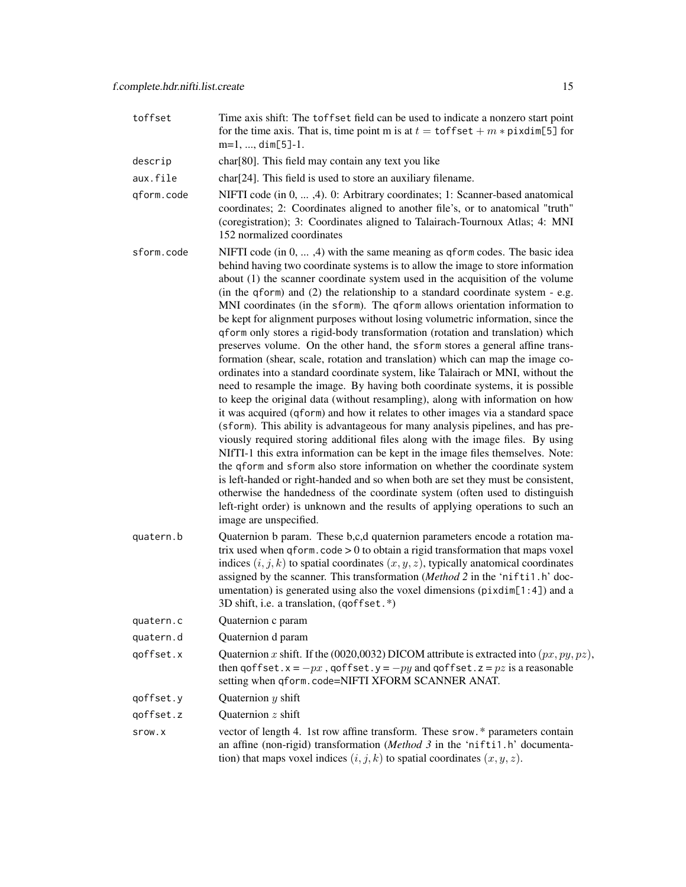- toffset Time axis shift: The toffset field can be used to indicate a nonzero start point for the time axis. That is, time point m is at  $t = \text{toffset} + m * \text{pixelim}[5]$  for m=1, ..., dim[5]-1.
- descrip char[80]. This field may contain any text you like
- aux.file char[24]. This field is used to store an auxiliary filename.
- qform.code NIFTI code (in 0, ... ,4). 0: Arbitrary coordinates; 1: Scanner-based anatomical coordinates; 2: Coordinates aligned to another file's, or to anatomical "truth" (coregistration); 3: Coordinates aligned to Talairach-Tournoux Atlas; 4: MNI 152 normalized coordinates
- sform.code NIFTI code (in  $0, \ldots, 4$ ) with the same meaning as qform codes. The basic idea behind having two coordinate systems is to allow the image to store information about (1) the scanner coordinate system used in the acquisition of the volume (in the qform) and (2) the relationship to a standard coordinate system - e.g. MNI coordinates (in the sform). The qform allows orientation information to be kept for alignment purposes without losing volumetric information, since the qform only stores a rigid-body transformation (rotation and translation) which preserves volume. On the other hand, the sform stores a general affine transformation (shear, scale, rotation and translation) which can map the image coordinates into a standard coordinate system, like Talairach or MNI, without the need to resample the image. By having both coordinate systems, it is possible to keep the original data (without resampling), along with information on how it was acquired (qform) and how it relates to other images via a standard space (sform). This ability is advantageous for many analysis pipelines, and has previously required storing additional files along with the image files. By using NIfTI-1 this extra information can be kept in the image files themselves. Note: the qform and sform also store information on whether the coordinate system is left-handed or right-handed and so when both are set they must be consistent, otherwise the handedness of the coordinate system (often used to distinguish left-right order) is unknown and the results of applying operations to such an image are unspecified.
- quatern.b Quaternion b param. These b,c,d quaternion parameters encode a rotation matrix used when  $q$  form.  $\c{code} > 0$  to obtain a rigid transformation that maps voxel indices  $(i, j, k)$  to spatial coordinates  $(x, y, z)$ , typically anatomical coordinates assigned by the scanner. This transformation (*Method 2* in the 'nifti1.h' documentation) is generated using also the voxel dimensions (pixdim[1:4]) and a 3D shift, i.e. a translation, (qoffset.\*)
- quatern.c Quaternion c param
- quatern.d Quaternion d param
- qoffset.x Quaternion x shift. If the (0020,0032) DICOM attribute is extracted into  $(px, py, pz)$ , then qoffset. $x = -px$ , qoffset. $y = -py$  and qoffset. $z = pz$  is a reasonable setting when qform.code=NIFTI XFORM SCANNER ANAT.
- qoffset.y Quaternion  $y$  shift
- qoffset.z Quaternion  $z$  shift
- srow.x vector of length 4. 1st row affine transform. These srow.\* parameters contain an affine (non-rigid) transformation (*Method 3* in the 'nifti1.h' documentation) that maps voxel indices  $(i, j, k)$  to spatial coordinates  $(x, y, z)$ .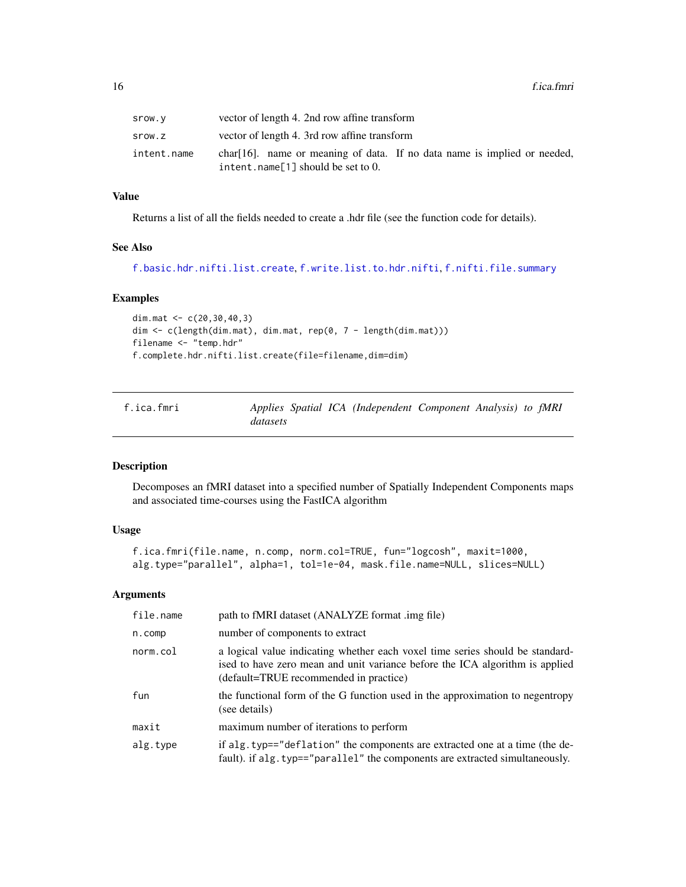<span id="page-15-0"></span>

| Srow.v      | vector of length 4. 2nd row affine transform                                                                      |
|-------------|-------------------------------------------------------------------------------------------------------------------|
| srow.z      | vector of length 4. 3rd row affine transform                                                                      |
| intent.name | $char[16]$ . name or meaning of data. If no data name is implied or needed,<br>intent.name[1] should be set to 0. |

## Value

Returns a list of all the fields needed to create a .hdr file (see the function code for details).

## See Also

```
f.basic.hdr.nifti.list.create, f.write.list.to.hdr.nifti, f.nifti.file.summary
```
#### Examples

```
dim.mat <-c(20,30,40,3)dim <- c(length(dim.mat), dim.mat, rep(0, 7 - length(dim.mat)))
filename <- "temp.hdr"
f.complete.hdr.nifti.list.create(file=filename,dim=dim)
```
<span id="page-15-1"></span>

| f.ica.fmri |          |  | Applies Spatial ICA (Independent Component Analysis) to fMRI |  |  |
|------------|----------|--|--------------------------------------------------------------|--|--|
|            | datasets |  |                                                              |  |  |

## Description

Decomposes an fMRI dataset into a specified number of Spatially Independent Components maps and associated time-courses using the FastICA algorithm

## Usage

```
f.ica.fmri(file.name, n.comp, norm.col=TRUE, fun="logcosh", maxit=1000,
alg.type="parallel", alpha=1, tol=1e-04, mask.file.name=NULL, slices=NULL)
```

| file.name | path to fMRI dataset (ANALYZE format .img file)                                                                                                                                                         |
|-----------|---------------------------------------------------------------------------------------------------------------------------------------------------------------------------------------------------------|
| n.comp    | number of components to extract                                                                                                                                                                         |
| norm.col  | a logical value indicating whether each voxel time series should be standard-<br>ised to have zero mean and unit variance before the ICA algorithm is applied<br>(default=TRUE recommended in practice) |
| fun       | the functional form of the G function used in the approximation to negentropy<br>(see details)                                                                                                          |
| maxit     | maximum number of iterations to perform                                                                                                                                                                 |
| alg.type  | if alg. typ=="deflation" the components are extracted one at a time (the de-<br>fault). if alg. typ=="parallel" the components are extracted simultaneously.                                            |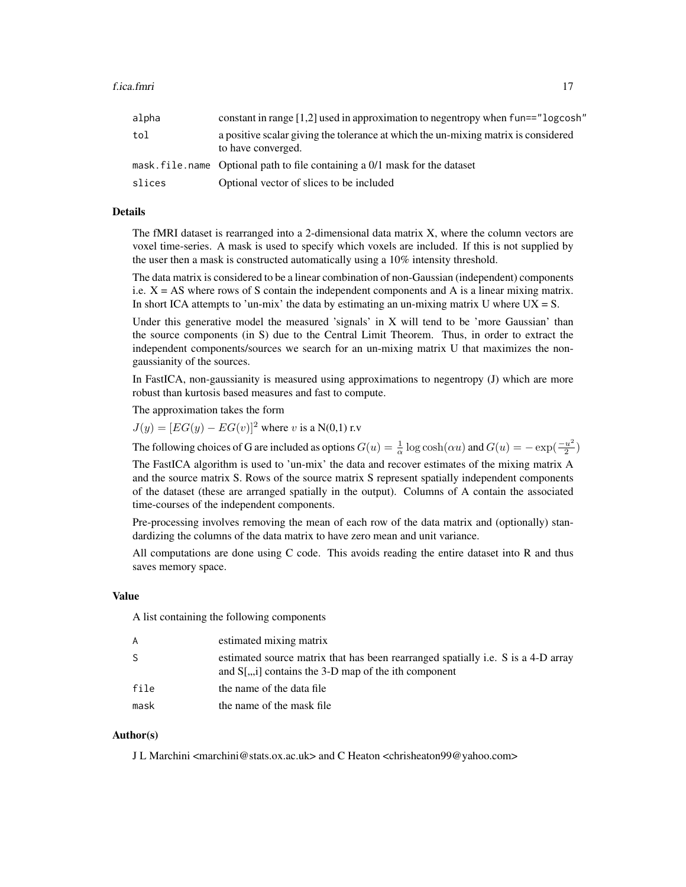| alpha  | constant in range $[1,2]$ used in approximation to negentropy when $fun==$ " logcosh"                    |
|--------|----------------------------------------------------------------------------------------------------------|
| tol    | a positive scalar giving the tolerance at which the un-mixing matrix is considered<br>to have converged. |
|        | mask. file, name Optional path to file containing a 0/1 mask for the dataset                             |
| slices | Optional vector of slices to be included                                                                 |

#### Details

The fMRI dataset is rearranged into a 2-dimensional data matrix X, where the column vectors are voxel time-series. A mask is used to specify which voxels are included. If this is not supplied by the user then a mask is constructed automatically using a 10% intensity threshold.

The data matrix is considered to be a linear combination of non-Gaussian (independent) components i.e.  $X = AS$  where rows of S contain the independent components and A is a linear mixing matrix. In short ICA attempts to 'un-mix' the data by estimating an un-mixing matrix U where  $UX = S$ .

Under this generative model the measured 'signals' in X will tend to be 'more Gaussian' than the source components (in S) due to the Central Limit Theorem. Thus, in order to extract the independent components/sources we search for an un-mixing matrix U that maximizes the nongaussianity of the sources.

In FastICA, non-gaussianity is measured using approximations to negentropy (J) which are more robust than kurtosis based measures and fast to compute.

The approximation takes the form

 $J(y) = [EG(y) - EG(v)]^2$  where v is a N(0,1) r.v.

The following choices of G are included as options  $G(u) = \frac{1}{\alpha} \log \cosh(\alpha u)$  and  $G(u) = -\exp(\frac{-u^2}{2})$  $\frac{u^2}{2})$ 

The FastICA algorithm is used to 'un-mix' the data and recover estimates of the mixing matrix A and the source matrix S. Rows of the source matrix S represent spatially independent components of the dataset (these are arranged spatially in the output). Columns of A contain the associated time-courses of the independent components.

Pre-processing involves removing the mean of each row of the data matrix and (optionally) standardizing the columns of the data matrix to have zero mean and unit variance.

All computations are done using C code. This avoids reading the entire dataset into R and thus saves memory space.

#### Value

A list containing the following components

| A    | estimated mixing matrix                                                                                                                            |
|------|----------------------------------------------------------------------------------------------------------------------------------------------------|
| S    | estimated source matrix that has been rearranged spatially i.e. S is a 4-D array<br>and $S$ [ $\ldots$ ] contains the 3-D map of the ith component |
| file | the name of the data file                                                                                                                          |
| mask | the name of the mask file                                                                                                                          |

#### Author(s)

J L Marchini <marchini@stats.ox.ac.uk> and C Heaton <chrisheaton99@yahoo.com>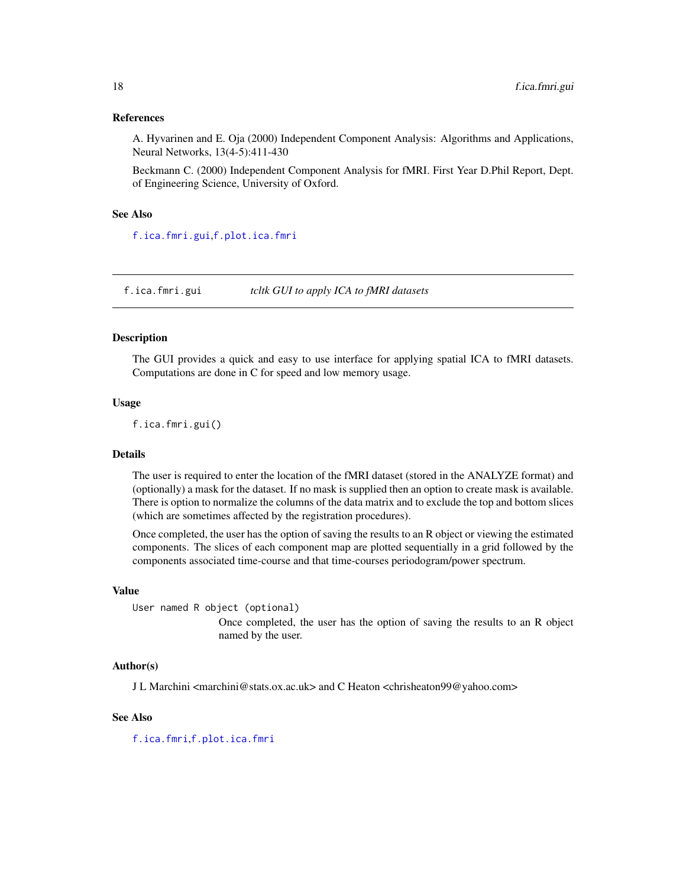#### <span id="page-17-0"></span>References

A. Hyvarinen and E. Oja (2000) Independent Component Analysis: Algorithms and Applications, Neural Networks, 13(4-5):411-430

Beckmann C. (2000) Independent Component Analysis for fMRI. First Year D.Phil Report, Dept. of Engineering Science, University of Oxford.

#### See Also

[f.ica.fmri.gui](#page-17-1),[f.plot.ica.fmri](#page-21-1)

<span id="page-17-1"></span>f.ica.fmri.gui *tcltk GUI to apply ICA to fMRI datasets*

## **Description**

The GUI provides a quick and easy to use interface for applying spatial ICA to fMRI datasets. Computations are done in C for speed and low memory usage.

#### Usage

f.ica.fmri.gui()

#### Details

The user is required to enter the location of the fMRI dataset (stored in the ANALYZE format) and (optionally) a mask for the dataset. If no mask is supplied then an option to create mask is available. There is option to normalize the columns of the data matrix and to exclude the top and bottom slices (which are sometimes affected by the registration procedures).

Once completed, the user has the option of saving the results to an R object or viewing the estimated components. The slices of each component map are plotted sequentially in a grid followed by the components associated time-course and that time-courses periodogram/power spectrum.

#### Value

User named R object (optional)

Once completed, the user has the option of saving the results to an R object named by the user.

## Author(s)

J L Marchini <marchini@stats.ox.ac.uk> and C Heaton <chrisheaton99@yahoo.com>

## See Also

[f.ica.fmri](#page-15-1),[f.plot.ica.fmri](#page-21-1)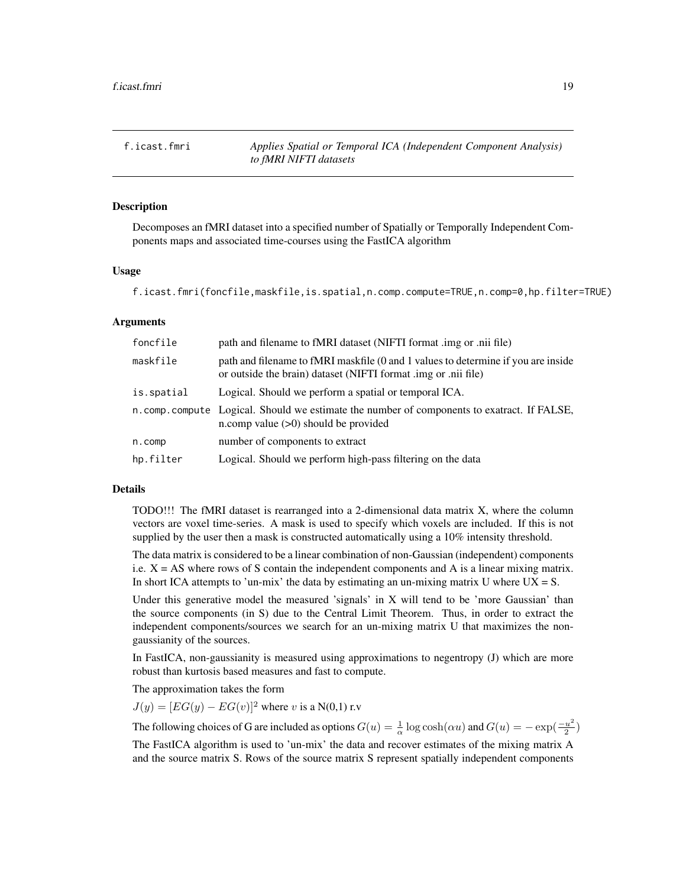<span id="page-18-1"></span><span id="page-18-0"></span>f.icast.fmri *Applies Spatial or Temporal ICA (Independent Component Analysis) to fMRI NIFTI datasets*

#### **Description**

Decomposes an fMRI dataset into a specified number of Spatially or Temporally Independent Components maps and associated time-courses using the FastICA algorithm

#### Usage

f.icast.fmri(foncfile,maskfile,is.spatial,n.comp.compute=TRUE,n.comp=0,hp.filter=TRUE)

#### Arguments

| foncfile   | path and filename to fMRI dataset (NIFTI format .img or .nii file)                                                                                  |
|------------|-----------------------------------------------------------------------------------------------------------------------------------------------------|
| maskfile   | path and filename to fMRI maskfile (0 and 1 values to determine if you are inside<br>or outside the brain) dataset (NIFTI format .img or .nii file) |
| is.spatial | Logical. Should we perform a spatial or temporal ICA.                                                                                               |
|            | n.comp.compute Logical. Should we estimate the number of components to exatract. If FALSE,<br>n.comp value $(>0)$ should be provided                |
| n.comp     | number of components to extract                                                                                                                     |
| hp.filter  | Logical. Should we perform high-pass filtering on the data                                                                                          |

#### Details

TODO!!! The fMRI dataset is rearranged into a 2-dimensional data matrix X, where the column vectors are voxel time-series. A mask is used to specify which voxels are included. If this is not supplied by the user then a mask is constructed automatically using a 10% intensity threshold.

The data matrix is considered to be a linear combination of non-Gaussian (independent) components i.e.  $X = AS$  where rows of S contain the independent components and A is a linear mixing matrix. In short ICA attempts to 'un-mix' the data by estimating an un-mixing matrix U where  $UX = S$ .

Under this generative model the measured 'signals' in X will tend to be 'more Gaussian' than the source components (in S) due to the Central Limit Theorem. Thus, in order to extract the independent components/sources we search for an un-mixing matrix U that maximizes the nongaussianity of the sources.

In FastICA, non-gaussianity is measured using approximations to negentropy (J) which are more robust than kurtosis based measures and fast to compute.

The approximation takes the form

 $J(y) = [EG(y) - EG(v)]^2$  where v is a N(0,1) r.v

The following choices of G are included as options  $G(u) = \frac{1}{\alpha} \log \cosh(\alpha u)$  and  $G(u) = -\exp(\frac{-u^2}{2})$  $\frac{u^2}{2})$ 

The FastICA algorithm is used to 'un-mix' the data and recover estimates of the mixing matrix A and the source matrix S. Rows of the source matrix S represent spatially independent components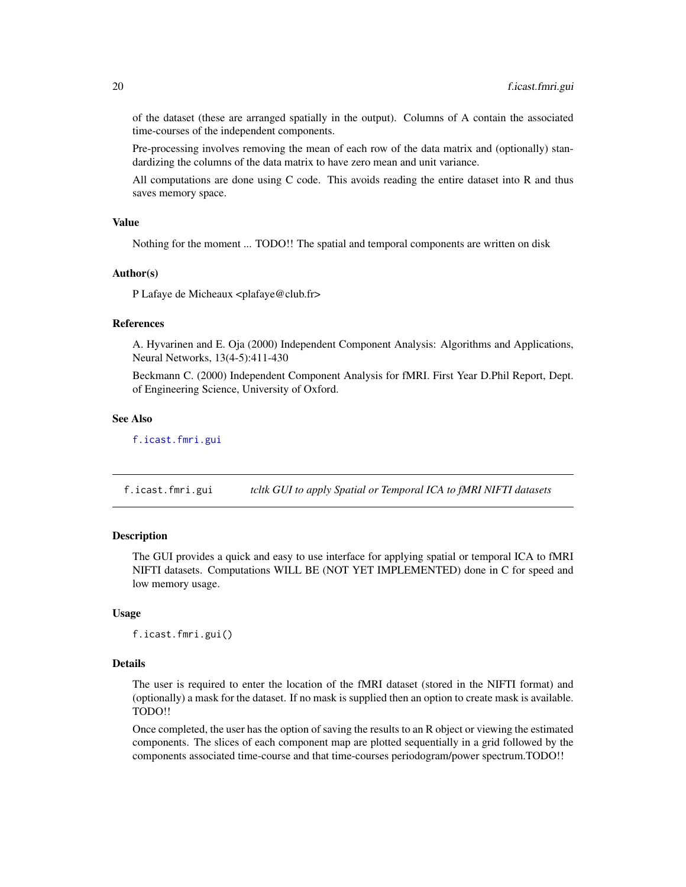of the dataset (these are arranged spatially in the output). Columns of A contain the associated time-courses of the independent components.

Pre-processing involves removing the mean of each row of the data matrix and (optionally) standardizing the columns of the data matrix to have zero mean and unit variance.

All computations are done using C code. This avoids reading the entire dataset into R and thus saves memory space.

## Value

Nothing for the moment ... TODO!! The spatial and temporal components are written on disk

#### Author(s)

P Lafaye de Micheaux <plafaye@club.fr>

#### References

A. Hyvarinen and E. Oja (2000) Independent Component Analysis: Algorithms and Applications, Neural Networks, 13(4-5):411-430

Beckmann C. (2000) Independent Component Analysis for fMRI. First Year D.Phil Report, Dept. of Engineering Science, University of Oxford.

#### See Also

[f.icast.fmri.gui](#page-19-1)

<span id="page-19-1"></span>f.icast.fmri.gui *tcltk GUI to apply Spatial or Temporal ICA to fMRI NIFTI datasets*

## Description

The GUI provides a quick and easy to use interface for applying spatial or temporal ICA to fMRI NIFTI datasets. Computations WILL BE (NOT YET IMPLEMENTED) done in C for speed and low memory usage.

#### Usage

f.icast.fmri.gui()

#### **Details**

The user is required to enter the location of the fMRI dataset (stored in the NIFTI format) and (optionally) a mask for the dataset. If no mask is supplied then an option to create mask is available. TODO!!

Once completed, the user has the option of saving the results to an R object or viewing the estimated components. The slices of each component map are plotted sequentially in a grid followed by the components associated time-course and that time-courses periodogram/power spectrum.TODO!!

<span id="page-19-0"></span>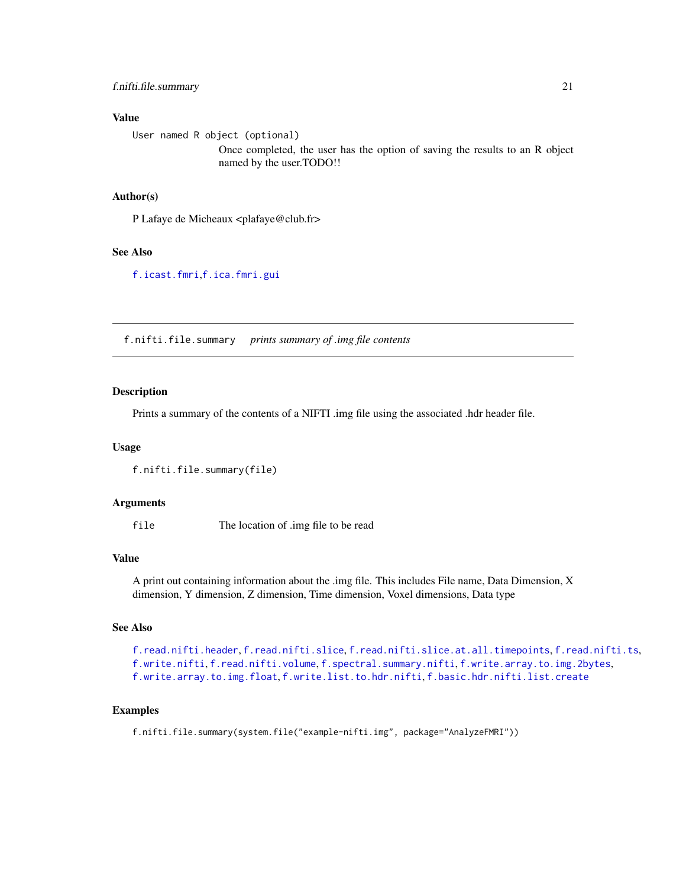## <span id="page-20-0"></span>f.nifti.file.summary 21

#### Value

User named R object (optional)

Once completed, the user has the option of saving the results to an R object named by the user.TODO!!

## Author(s)

P Lafaye de Micheaux <plafaye@club.fr>

## See Also

[f.icast.fmri](#page-18-1),[f.ica.fmri.gui](#page-17-1)

<span id="page-20-1"></span>f.nifti.file.summary *prints summary of .img file contents*

## Description

Prints a summary of the contents of a NIFTI .img file using the associated .hdr header file.

#### Usage

```
f.nifti.file.summary(file)
```
#### Arguments

file The location of .img file to be read

#### Value

A print out containing information about the .img file. This includes File name, Data Dimension, X dimension, Y dimension, Z dimension, Time dimension, Voxel dimensions, Data type

#### See Also

```
f.read.nifti.header, f.read.nifti.slice, f.read.nifti.slice.at.all.timepoints, f.read.nifti.ts,
f.write.nifti, f.read.nifti.volume, f.spectral.summary.nifti, f.write.array.to.img.2bytes,
f.write.array.to.img.float, f.write.list.to.hdr.nifti, f.basic.hdr.nifti.list.create
```
## Examples

f.nifti.file.summary(system.file("example-nifti.img", package="AnalyzeFMRI"))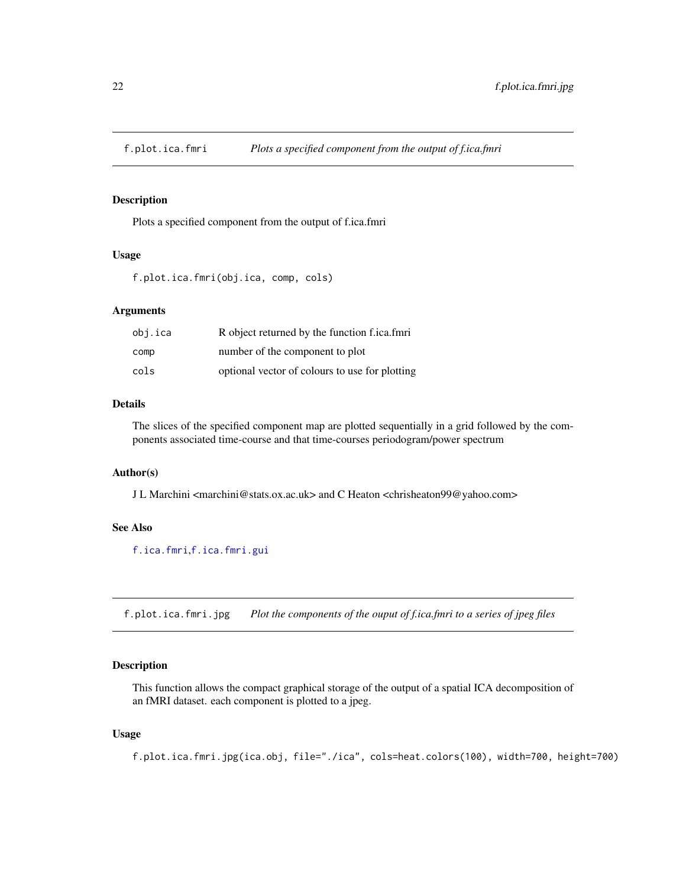<span id="page-21-1"></span><span id="page-21-0"></span>

## Description

Plots a specified component from the output of f.ica.fmri

## Usage

f.plot.ica.fmri(obj.ica, comp, cols)

## Arguments

| obj.ica | R object returned by the function f.ica.fmri   |
|---------|------------------------------------------------|
| comp    | number of the component to plot                |
| cols    | optional vector of colours to use for plotting |

## Details

The slices of the specified component map are plotted sequentially in a grid followed by the components associated time-course and that time-courses periodogram/power spectrum

#### Author(s)

J L Marchini <marchini@stats.ox.ac.uk> and C Heaton <chrisheaton99@yahoo.com>

## See Also

[f.ica.fmri](#page-15-1),[f.ica.fmri.gui](#page-17-1)

f.plot.ica.fmri.jpg *Plot the components of the ouput of f.ica.fmri to a series of jpeg files*

## Description

This function allows the compact graphical storage of the output of a spatial ICA decomposition of an fMRI dataset. each component is plotted to a jpeg.

## Usage

f.plot.ica.fmri.jpg(ica.obj, file="./ica", cols=heat.colors(100), width=700, height=700)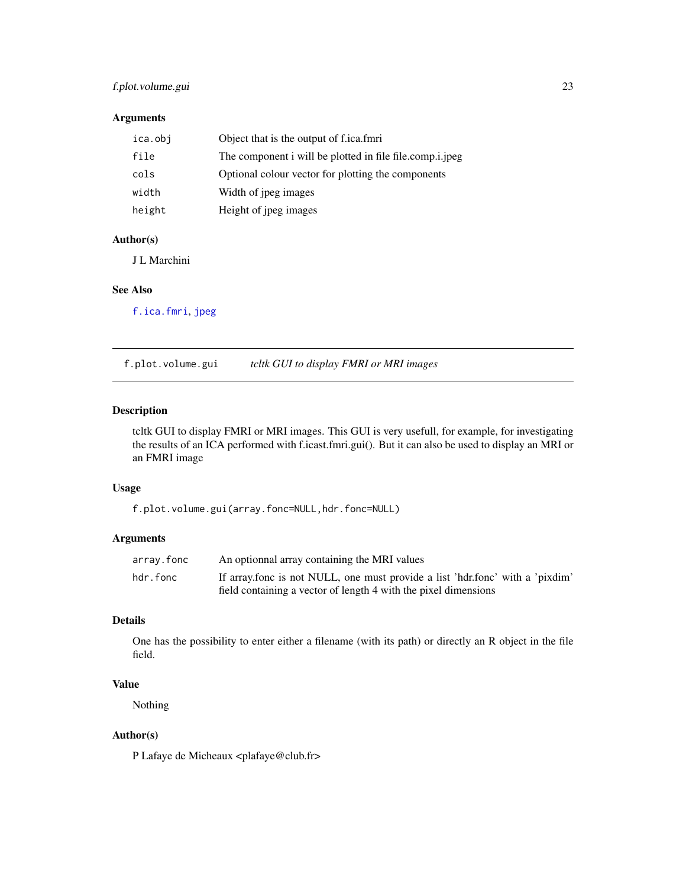## <span id="page-22-0"></span>f.plot.volume.gui 23

## Arguments

| ica.obj | Object that is the output of f.ica.fmri                  |
|---------|----------------------------------------------------------|
| file    | The component i will be plotted in file file.comp.i.jpeg |
| cols    | Optional colour vector for plotting the components       |
| width   | Width of jpeg images                                     |
| height  | Height of jpeg images                                    |

## Author(s)

J L Marchini

## See Also

[f.ica.fmri](#page-15-1), [jpeg](#page-0-0)

f.plot.volume.gui *tcltk GUI to display FMRI or MRI images*

## Description

tcltk GUI to display FMRI or MRI images. This GUI is very usefull, for example, for investigating the results of an ICA performed with f.icast.fmri.gui(). But it can also be used to display an MRI or an FMRI image

## Usage

f.plot.volume.gui(array.fonc=NULL,hdr.fonc=NULL)

## Arguments

| array.fonc | An optionnal array containing the MRI values                                  |
|------------|-------------------------------------------------------------------------------|
| hdr.fonc   | If array fonc is not NULL, one must provide a list 'hdr fonc' with a 'pixdim' |
|            | field containing a vector of length 4 with the pixel dimensions               |

#### Details

One has the possibility to enter either a filename (with its path) or directly an R object in the file field.

## Value

Nothing

## Author(s)

P Lafaye de Micheaux <plafaye@club.fr>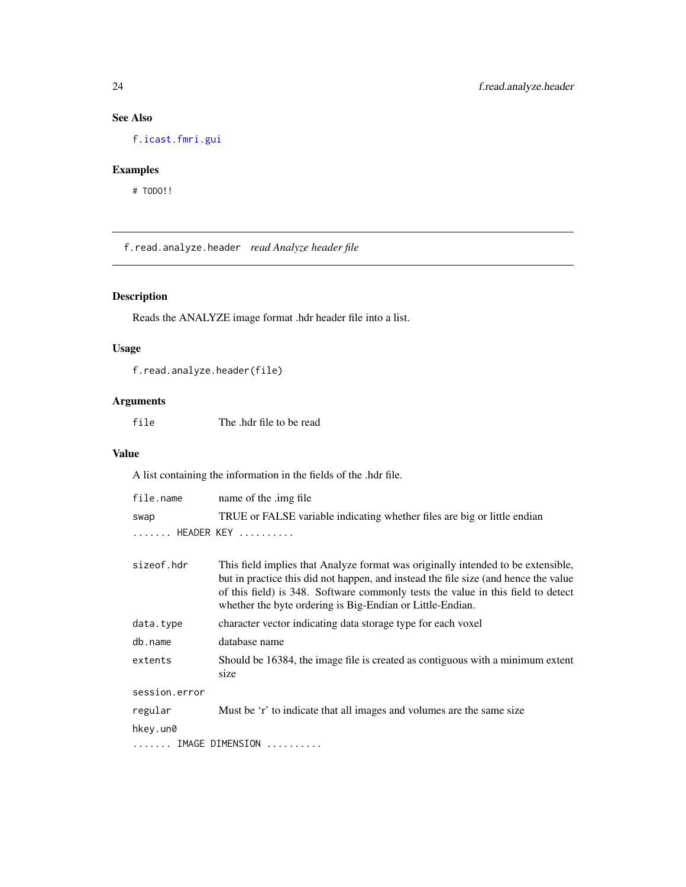## <span id="page-23-0"></span>See Also

[f.icast.fmri.gui](#page-19-1)

## Examples

# TODO!!

<span id="page-23-1"></span>f.read.analyze.header *read Analyze header file*

## Description

Reads the ANALYZE image format .hdr header file into a list.

## Usage

```
f.read.analyze.header(file)
```
## Arguments

file The .hdr file to be read

#### Value

A list containing the information in the fields of the .hdr file.

| file.name     | name of the .img file                                                                                                                                                                                                                                                                                                    |
|---------------|--------------------------------------------------------------------------------------------------------------------------------------------------------------------------------------------------------------------------------------------------------------------------------------------------------------------------|
| swap          | TRUE or FALSE variable indicating whether files are big or little endian                                                                                                                                                                                                                                                 |
| HEADER KEY    |                                                                                                                                                                                                                                                                                                                          |
|               |                                                                                                                                                                                                                                                                                                                          |
| sizeof.hdr    | This field implies that Analyze format was originally intended to be extensible,<br>but in practice this did not happen, and instead the file size (and hence the value<br>of this field) is 348. Software commonly tests the value in this field to detect<br>whether the byte ordering is Big-Endian or Little-Endian. |
| data.type     | character vector indicating data storage type for each voxel                                                                                                                                                                                                                                                             |
| db.name       | database name                                                                                                                                                                                                                                                                                                            |
| extents       | Should be 16384, the image file is created as contiguous with a minimum extent<br>size                                                                                                                                                                                                                                   |
| session.error |                                                                                                                                                                                                                                                                                                                          |
| regular       | Must be 'r' to indicate that all images and volumes are the same size                                                                                                                                                                                                                                                    |
| hkey.un0      |                                                                                                                                                                                                                                                                                                                          |
|               | $\ldots \ldots$ IMAGE DIMENSION $\ldots \ldots \ldots$                                                                                                                                                                                                                                                                   |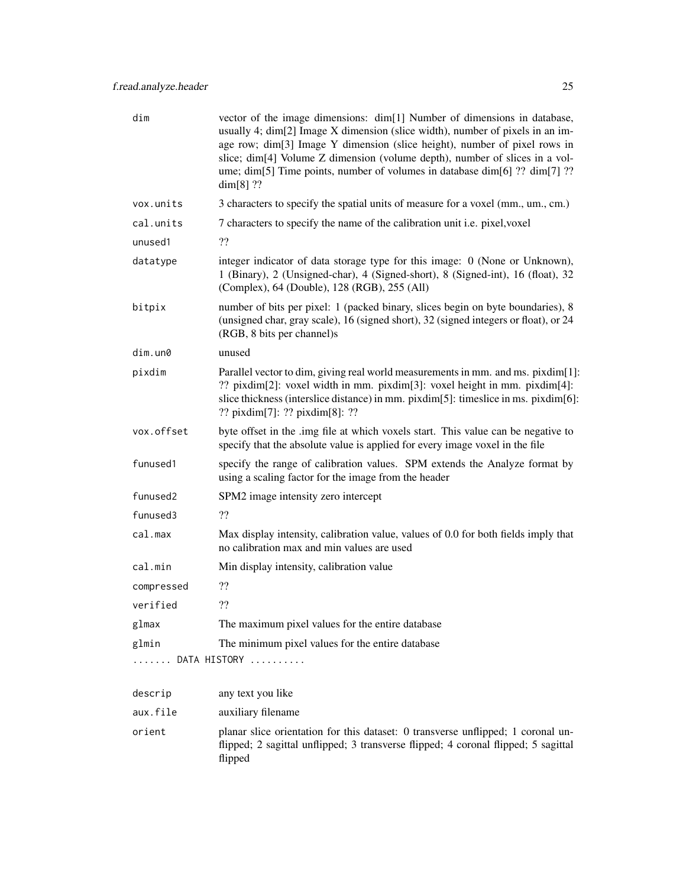| dim                  | vector of the image dimensions: dim[1] Number of dimensions in database,<br>usually 4; dim[2] Image X dimension (slice width), number of pixels in an im-<br>age row; dim[3] Image Y dimension (slice height), number of pixel rows in<br>slice; dim[4] Volume Z dimension (volume depth), number of slices in a vol-<br>ume; dim[5] Time points, number of volumes in database dim[6] ?? dim[7] ??<br>$dim[8]$ ?? |
|----------------------|--------------------------------------------------------------------------------------------------------------------------------------------------------------------------------------------------------------------------------------------------------------------------------------------------------------------------------------------------------------------------------------------------------------------|
| vox.units            | 3 characters to specify the spatial units of measure for a voxel (mm., um., cm.)                                                                                                                                                                                                                                                                                                                                   |
| cal.units            | 7 characters to specify the name of the calibration unit i.e. pixel, voxel                                                                                                                                                                                                                                                                                                                                         |
| unused1              | ??                                                                                                                                                                                                                                                                                                                                                                                                                 |
| datatype             | integer indicator of data storage type for this image: 0 (None or Unknown),<br>1 (Binary), 2 (Unsigned-char), 4 (Signed-short), 8 (Signed-int), 16 (float), 32<br>(Complex), 64 (Double), 128 (RGB), 255 (All)                                                                                                                                                                                                     |
| bitpix               | number of bits per pixel: 1 (packed binary, slices begin on byte boundaries), 8<br>(unsigned char, gray scale), 16 (signed short), 32 (signed integers or float), or 24<br>(RGB, 8 bits per channel)s                                                                                                                                                                                                              |
| $dim.$ un $@$        | unused                                                                                                                                                                                                                                                                                                                                                                                                             |
| pixdim               | Parallel vector to dim, giving real world measurements in mm. and ms. pixdim[1]:<br>?? pixdim[2]: voxel width in mm. pixdim[3]: voxel height in mm. pixdim[4]:<br>slice thickness (interslice distance) in mm. pixdim[5]: timeslice in ms. pixdim[6]:<br>?? $\pi$ ixdim[7]: ?? $\pi$ ixdim[8]: ??                                                                                                                  |
| vox.offset           | byte offset in the .img file at which voxels start. This value can be negative to<br>specify that the absolute value is applied for every image voxel in the file                                                                                                                                                                                                                                                  |
| funused1             | specify the range of calibration values. SPM extends the Analyze format by<br>using a scaling factor for the image from the header                                                                                                                                                                                                                                                                                 |
| funused <sub>2</sub> | SPM2 image intensity zero intercept                                                                                                                                                                                                                                                                                                                                                                                |
| funused3             | ??                                                                                                                                                                                                                                                                                                                                                                                                                 |
| cal.max              | Max display intensity, calibration value, values of 0.0 for both fields imply that<br>no calibration max and min values are used                                                                                                                                                                                                                                                                                   |
| cal.min              | Min display intensity, calibration value                                                                                                                                                                                                                                                                                                                                                                           |
| compressed           | ??                                                                                                                                                                                                                                                                                                                                                                                                                 |
| verified             | ??                                                                                                                                                                                                                                                                                                                                                                                                                 |
| glmax                | The maximum pixel values for the entire database                                                                                                                                                                                                                                                                                                                                                                   |
| glmin                | The minimum pixel values for the entire database                                                                                                                                                                                                                                                                                                                                                                   |
| .                    | DATA HISTORY                                                                                                                                                                                                                                                                                                                                                                                                       |
| descrip              | any text you like                                                                                                                                                                                                                                                                                                                                                                                                  |
| aux.file             | auxiliary filename                                                                                                                                                                                                                                                                                                                                                                                                 |
| orient               | planar slice orientation for this dataset: 0 transverse unflipped; 1 coronal un-<br>flipped; 2 sagittal unflipped; 3 transverse flipped; 4 coronal flipped; 5 sagittal<br>flipped                                                                                                                                                                                                                                  |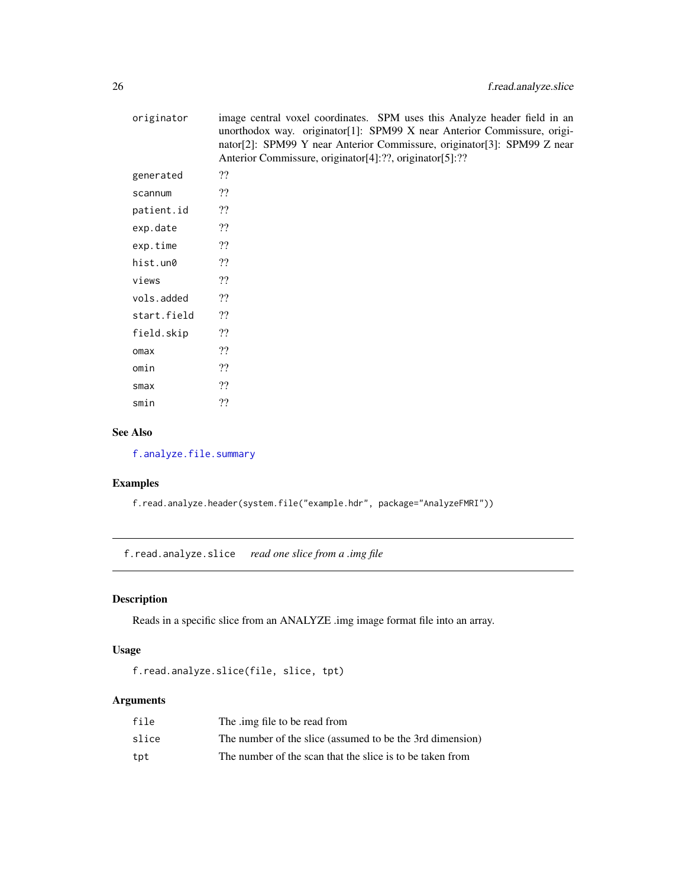<span id="page-25-0"></span>

| originator  | image central voxel coordinates. SPM uses this Analyze header field in an<br>unorthodox way. originator[1]: SPM99 X near Anterior Commissure, origi-<br>nator[2]: SPM99 Y near Anterior Commissure, originator[3]: SPM99 Z near<br>Anterior Commissure, originator[4]:??, originator[5]:?? |
|-------------|--------------------------------------------------------------------------------------------------------------------------------------------------------------------------------------------------------------------------------------------------------------------------------------------|
| generated   | ??                                                                                                                                                                                                                                                                                         |
| scannum     | ??                                                                                                                                                                                                                                                                                         |
| patient.id  | ??                                                                                                                                                                                                                                                                                         |
| exp.date    | ??                                                                                                                                                                                                                                                                                         |
| exp.time    | ??                                                                                                                                                                                                                                                                                         |
| hist.un0    | ??                                                                                                                                                                                                                                                                                         |
| views       | ??                                                                                                                                                                                                                                                                                         |
| vols.added  | ??                                                                                                                                                                                                                                                                                         |
| start.field | ??                                                                                                                                                                                                                                                                                         |
| field.skip  | ??                                                                                                                                                                                                                                                                                         |
| omax        | ??                                                                                                                                                                                                                                                                                         |
| omin        | ??                                                                                                                                                                                                                                                                                         |
| smax        | ??                                                                                                                                                                                                                                                                                         |
| smin        | ??                                                                                                                                                                                                                                                                                         |

## See Also

[f.analyze.file.summary](#page-9-1)

## Examples

f.read.analyze.header(system.file("example.hdr", package="AnalyzeFMRI"))

<span id="page-25-1"></span>f.read.analyze.slice *read one slice from a .img file*

## Description

Reads in a specific slice from an ANALYZE .img image format file into an array.

## Usage

```
f.read.analyze.slice(file, slice, tpt)
```

| file  | The .img file to be read from                             |
|-------|-----------------------------------------------------------|
| slice | The number of the slice (assumed to be the 3rd dimension) |
| tpt   | The number of the scan that the slice is to be taken from |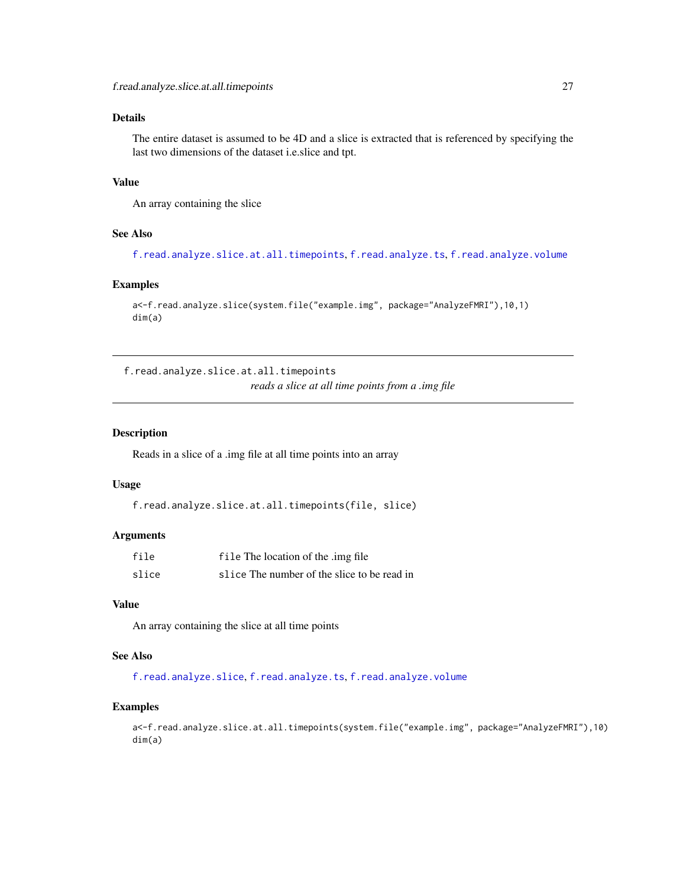## <span id="page-26-0"></span>Details

The entire dataset is assumed to be 4D and a slice is extracted that is referenced by specifying the last two dimensions of the dataset i.e.slice and tpt.

## Value

An array containing the slice

## See Also

[f.read.analyze.slice.at.all.timepoints](#page-26-1), [f.read.analyze.ts](#page-27-1), [f.read.analyze.volume](#page-28-1)

## Examples

```
a<-f.read.analyze.slice(system.file("example.img", package="AnalyzeFMRI"),10,1)
dim(a)
```
<span id="page-26-1"></span>f.read.analyze.slice.at.all.timepoints *reads a slice at all time points from a .img file*

## Description

Reads in a slice of a .img file at all time points into an array

#### Usage

```
f.read.analyze.slice.at.all.timepoints(file, slice)
```
## Arguments

| file  | file The location of the .img file          |
|-------|---------------------------------------------|
| slice | slice The number of the slice to be read in |

## Value

An array containing the slice at all time points

## See Also

[f.read.analyze.slice](#page-25-1), [f.read.analyze.ts](#page-27-1), [f.read.analyze.volume](#page-28-1)

#### Examples

a<-f.read.analyze.slice.at.all.timepoints(system.file("example.img", package="AnalyzeFMRI"),10) dim(a)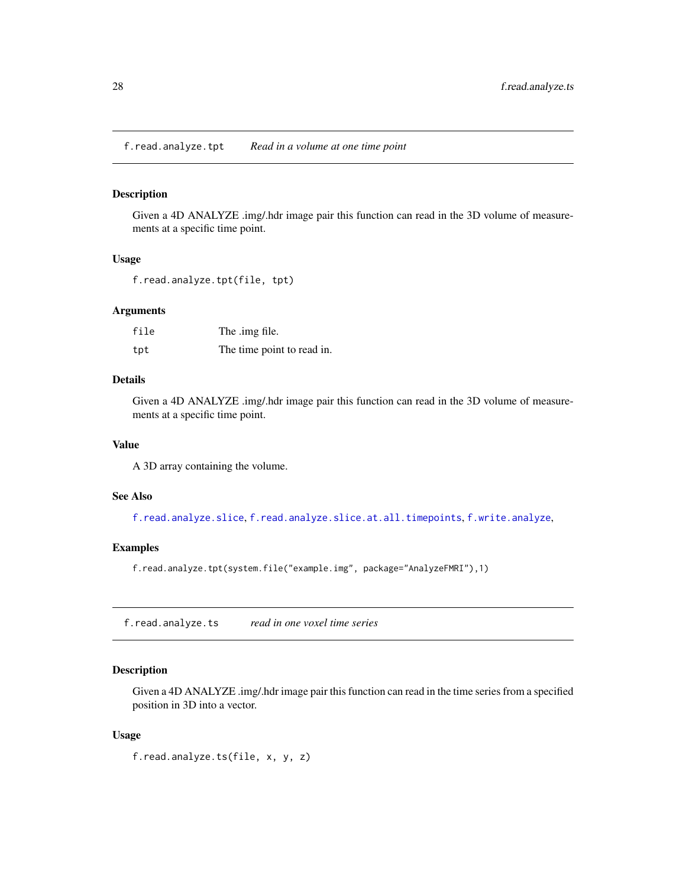<span id="page-27-0"></span>f.read.analyze.tpt *Read in a volume at one time point*

## Description

Given a 4D ANALYZE .img/.hdr image pair this function can read in the 3D volume of measurements at a specific time point.

## Usage

f.read.analyze.tpt(file, tpt)

#### Arguments

| file | The .img file.             |
|------|----------------------------|
| tpt  | The time point to read in. |

## Details

Given a 4D ANALYZE .img/.hdr image pair this function can read in the 3D volume of measurements at a specific time point.

#### Value

A 3D array containing the volume.

#### See Also

[f.read.analyze.slice](#page-25-1), [f.read.analyze.slice.at.all.timepoints](#page-26-1), [f.write.analyze](#page-39-1),

## Examples

f.read.analyze.tpt(system.file("example.img", package="AnalyzeFMRI"),1)

<span id="page-27-1"></span>f.read.analyze.ts *read in one voxel time series*

### Description

Given a 4D ANALYZE .img/.hdr image pair this function can read in the time series from a specified position in 3D into a vector.

#### Usage

f.read.analyze.ts(file, x, y, z)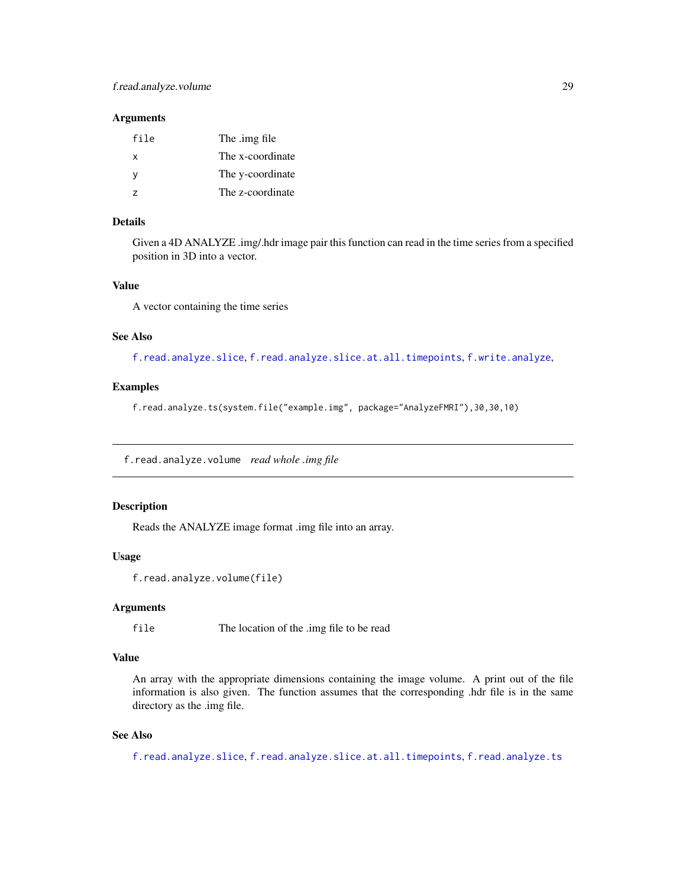#### <span id="page-28-0"></span>**Arguments**

| file          | The .img file    |
|---------------|------------------|
| x             | The x-coordinate |
| ٧             | The y-coordinate |
| $\mathcal{L}$ | The z-coordinate |

## Details

Given a 4D ANALYZE .img/.hdr image pair this function can read in the time series from a specified position in 3D into a vector.

#### Value

A vector containing the time series

#### See Also

[f.read.analyze.slice](#page-25-1), [f.read.analyze.slice.at.all.timepoints](#page-26-1), [f.write.analyze](#page-39-1),

## Examples

f.read.analyze.ts(system.file("example.img", package="AnalyzeFMRI"),30,30,10)

<span id="page-28-1"></span>f.read.analyze.volume *read whole .img file*

## Description

Reads the ANALYZE image format .img file into an array.

#### Usage

```
f.read.analyze.volume(file)
```
#### **Arguments**

file The location of the .img file to be read

## Value

An array with the appropriate dimensions containing the image volume. A print out of the file information is also given. The function assumes that the corresponding .hdr file is in the same directory as the .img file.

#### See Also

[f.read.analyze.slice](#page-25-1), [f.read.analyze.slice.at.all.timepoints](#page-26-1), [f.read.analyze.ts](#page-27-1)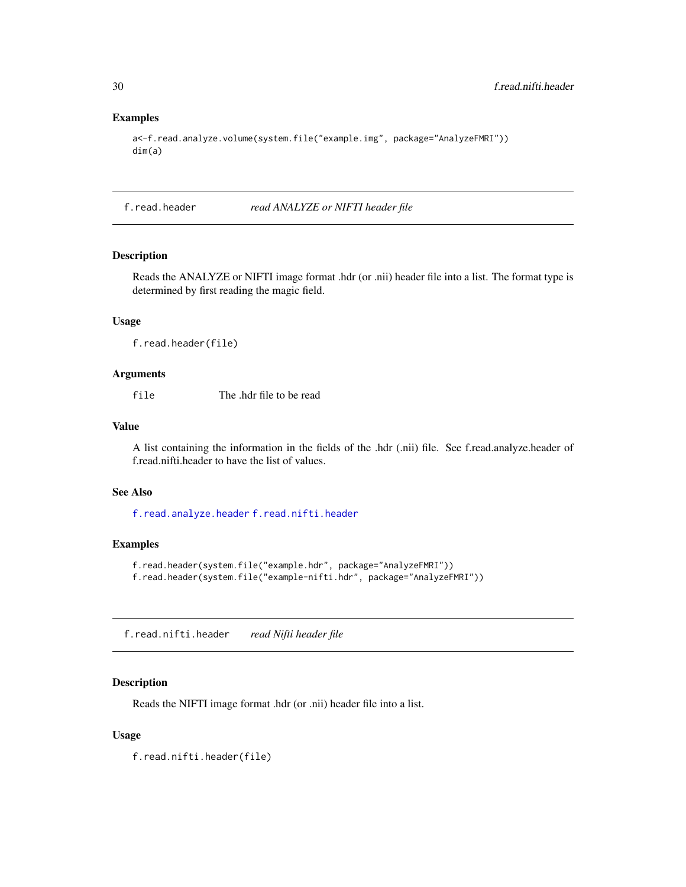#### Examples

```
a<-f.read.analyze.volume(system.file("example.img", package="AnalyzeFMRI"))
dim(a)
```
f.read.header *read ANALYZE or NIFTI header file*

## Description

Reads the ANALYZE or NIFTI image format .hdr (or .nii) header file into a list. The format type is determined by first reading the magic field.

#### Usage

f.read.header(file)

#### Arguments

file The .hdr file to be read

#### Value

A list containing the information in the fields of the .hdr (.nii) file. See f.read.analyze.header of f.read.nifti.header to have the list of values.

## See Also

[f.read.analyze.header](#page-23-1) [f.read.nifti.header](#page-29-1)

## Examples

```
f.read.header(system.file("example.hdr", package="AnalyzeFMRI"))
f.read.header(system.file("example-nifti.hdr", package="AnalyzeFMRI"))
```
<span id="page-29-1"></span>f.read.nifti.header *read Nifti header file*

#### Description

Reads the NIFTI image format .hdr (or .nii) header file into a list.

## Usage

f.read.nifti.header(file)

<span id="page-29-0"></span>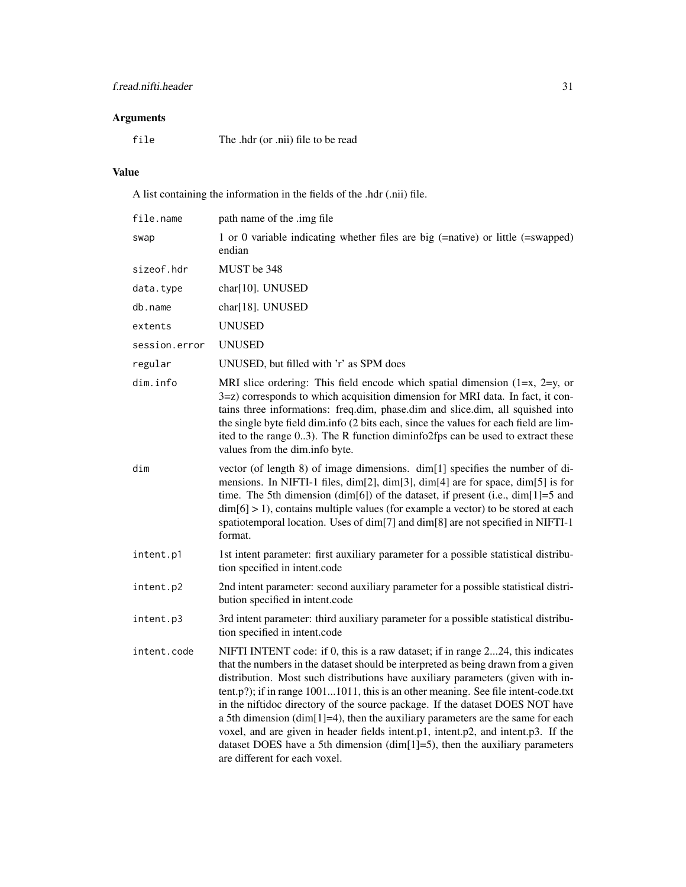## Arguments

file The .hdr (or .nii) file to be read

## Value

A list containing the information in the fields of the .hdr (.nii) file.

| file.name     | path name of the .img file                                                                                                                                                                                                                                                                                                                                                                                                                                                                                                                                                                                                                                                                                                |
|---------------|---------------------------------------------------------------------------------------------------------------------------------------------------------------------------------------------------------------------------------------------------------------------------------------------------------------------------------------------------------------------------------------------------------------------------------------------------------------------------------------------------------------------------------------------------------------------------------------------------------------------------------------------------------------------------------------------------------------------------|
| swap          | 1 or 0 variable indicating whether files are big (=native) or little (=swapped)<br>endian                                                                                                                                                                                                                                                                                                                                                                                                                                                                                                                                                                                                                                 |
| sizeof.hdr    | MUST be 348                                                                                                                                                                                                                                                                                                                                                                                                                                                                                                                                                                                                                                                                                                               |
| data.type     | char[10]. UNUSED                                                                                                                                                                                                                                                                                                                                                                                                                                                                                                                                                                                                                                                                                                          |
| db.name       | char[18]. UNUSED                                                                                                                                                                                                                                                                                                                                                                                                                                                                                                                                                                                                                                                                                                          |
| extents       | <b>UNUSED</b>                                                                                                                                                                                                                                                                                                                                                                                                                                                                                                                                                                                                                                                                                                             |
| session.error | <b>UNUSED</b>                                                                                                                                                                                                                                                                                                                                                                                                                                                                                                                                                                                                                                                                                                             |
| regular       | UNUSED, but filled with 'r' as SPM does                                                                                                                                                                                                                                                                                                                                                                                                                                                                                                                                                                                                                                                                                   |
| dim.info      | MRI slice ordering: This field encode which spatial dimension $(1=x, 2=y, or)$<br>3=z) corresponds to which acquisition dimension for MRI data. In fact, it con-<br>tains three informations: freq.dim, phase.dim and slice.dim, all squished into<br>the single byte field dim.info (2 bits each, since the values for each field are lim-<br>ited to the range 03). The R function diminfo2fps can be used to extract these<br>values from the dim.info byte.                                                                                                                                                                                                                                                           |
| dim           | vector (of length 8) of image dimensions. dim[1] specifies the number of di-<br>mensions. In NIFTI-1 files, dim[2], dim[3], dim[4] are for space, dim[5] is for<br>time. The 5th dimension (dim[6]) of the dataset, if present (i.e., dim[1]=5 and<br>$\dim[6] > 1$ , contains multiple values (for example a vector) to be stored at each<br>spatiotemporal location. Uses of dim[7] and dim[8] are not specified in NIFTI-1<br>format.                                                                                                                                                                                                                                                                                  |
| intent.p1     | 1st intent parameter: first auxiliary parameter for a possible statistical distribu-<br>tion specified in intent.code                                                                                                                                                                                                                                                                                                                                                                                                                                                                                                                                                                                                     |
| intent.p2     | 2nd intent parameter: second auxiliary parameter for a possible statistical distri-<br>bution specified in intent.code                                                                                                                                                                                                                                                                                                                                                                                                                                                                                                                                                                                                    |
| intent.p3     | 3rd intent parameter: third auxiliary parameter for a possible statistical distribu-<br>tion specified in intent.code                                                                                                                                                                                                                                                                                                                                                                                                                                                                                                                                                                                                     |
| intent.code   | NIFTI INTENT code: if 0, this is a raw dataset; if in range 224, this indicates<br>that the numbers in the dataset should be interpreted as being drawn from a given<br>distribution. Most such distributions have auxiliary parameters (given with in-<br>tent.p?); if in range 10011011, this is an other meaning. See file intent-code.txt<br>in the niftidoc directory of the source package. If the dataset DOES NOT have<br>a 5th dimension (dim[1]=4), then the auxiliary parameters are the same for each<br>voxel, and are given in header fields intent.p1, intent.p2, and intent.p3. If the<br>dataset DOES have a 5th dimension $(dim[1]=5)$ , then the auxiliary parameters<br>are different for each voxel. |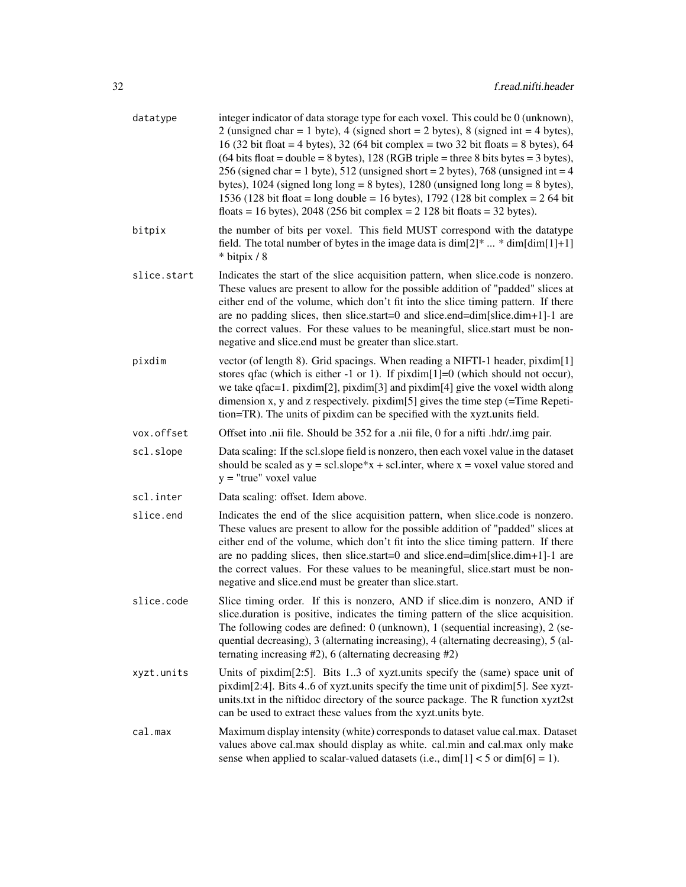| datatype    | integer indicator of data storage type for each voxel. This could be 0 (unknown),<br>2 (unsigned char = 1 byte), 4 (signed short = 2 bytes), 8 (signed int = 4 bytes),<br>16 (32 bit float = 4 bytes), 32 (64 bit complex = two 32 bit floats = 8 bytes), 64<br>$(64 \text{ bits float} = \text{double} = 8 \text{ bytes}), 128 (\text{RGB triple} = \text{three} \text{ 8 bits bytes} = 3 \text{ bytes}),$<br>256 (signed char = 1 byte), 512 (unsigned short = 2 bytes), 768 (unsigned int = 4<br>bytes), $1024$ (signed long long = 8 bytes), $1280$ (unsigned long long = 8 bytes),<br>1536 (128 bit float = long double = 16 bytes), 1792 (128 bit complex = $2\,64$ bit<br>floats = 16 bytes), 2048 (256 bit complex = $2\frac{128 \text{ bit floats}}{2} = 32 \text{ bytes}}$ ). |
|-------------|-----------------------------------------------------------------------------------------------------------------------------------------------------------------------------------------------------------------------------------------------------------------------------------------------------------------------------------------------------------------------------------------------------------------------------------------------------------------------------------------------------------------------------------------------------------------------------------------------------------------------------------------------------------------------------------------------------------------------------------------------------------------------------------------|
| bitpix      | the number of bits per voxel. This field MUST correspond with the datatype<br>field. The total number of bytes in the image data is $\dim[2]^* \dots * \dim[\dim[1]+1]$<br>* bitpix / 8                                                                                                                                                                                                                                                                                                                                                                                                                                                                                                                                                                                                 |
| slice.start | Indicates the start of the slice acquisition pattern, when slice.code is nonzero.<br>These values are present to allow for the possible addition of "padded" slices at<br>either end of the volume, which don't fit into the slice timing pattern. If there<br>are no padding slices, then slice.start=0 and slice.end=dim[slice.dim+1]-1 are<br>the correct values. For these values to be meaningful, slice.start must be non-<br>negative and slice.end must be greater than slice.start.                                                                                                                                                                                                                                                                                            |
| pixdim      | vector (of length 8). Grid spacings. When reading a NIFTI-1 header, pixdim[1]<br>stores qfac (which is either -1 or 1). If $pixdim[1]=0$ (which should not occur),<br>we take $qfac=1$ . pixdim $[2]$ , pixdim $[3]$ and pixdim $[4]$ give the voxel width along<br>dimension x, y and z respectively. pixdim[5] gives the time step $($ =Time Repeti-<br>tion=TR). The units of pixdim can be specified with the xyzt.units field.                                                                                                                                                                                                                                                                                                                                                     |
| vox.offset  | Offset into .nii file. Should be 352 for a .nii file, 0 for a nifti .hdr/.img pair.                                                                                                                                                                                                                                                                                                                                                                                                                                                                                                                                                                                                                                                                                                     |
| scl.slope   | Data scaling: If the scl.slope field is nonzero, then each voxel value in the dataset<br>should be scaled as $y = \text{scl.slope*}x + \text{scl.inter}$ , where $x = \text{voxel value stored}$ and<br>$y =$ "true" voxel value                                                                                                                                                                                                                                                                                                                                                                                                                                                                                                                                                        |
| scl.inter   | Data scaling: offset. Idem above.                                                                                                                                                                                                                                                                                                                                                                                                                                                                                                                                                                                                                                                                                                                                                       |
| slice.end   | Indicates the end of the slice acquisition pattern, when slice.code is nonzero.<br>These values are present to allow for the possible addition of "padded" slices at<br>either end of the volume, which don't fit into the slice timing pattern. If there<br>are no padding slices, then slice.start=0 and slice.end=dim[slice.dim+1]-1 are<br>the correct values. For these values to be meaningful, slice.start must be non-<br>negative and slice.end must be greater than slice.start.                                                                                                                                                                                                                                                                                              |
| slice.code  | Slice timing order. If this is nonzero, AND if slice.dim is nonzero, AND if<br>slice.duration is positive, indicates the timing pattern of the slice acquisition.<br>The following codes are defined: 0 (unknown), 1 (sequential increasing), 2 (se-<br>quential decreasing), 3 (alternating increasing), 4 (alternating decreasing), 5 (al-<br>ternating increasing $#2$ ), 6 (alternating decreasing $#2$ )                                                                                                                                                                                                                                                                                                                                                                           |
| xyzt.units  | Units of pixdim[2:5]. Bits 13 of xyzt.units specify the (same) space unit of<br>pixdim[2:4]. Bits 46 of xyzt.units specify the time unit of pixdim[5]. See xyzt-<br>units.txt in the niftidoc directory of the source package. The R function xyzt2st<br>can be used to extract these values from the xyzt.units byte.                                                                                                                                                                                                                                                                                                                                                                                                                                                                  |
| cal.max     | Maximum display intensity (white) corresponds to dataset value cal.max. Dataset<br>values above cal.max should display as white. cal.min and cal.max only make<br>sense when applied to scalar-valued datasets (i.e., $\dim[1] < 5$ or $\dim[6] = 1$ ).                                                                                                                                                                                                                                                                                                                                                                                                                                                                                                                                 |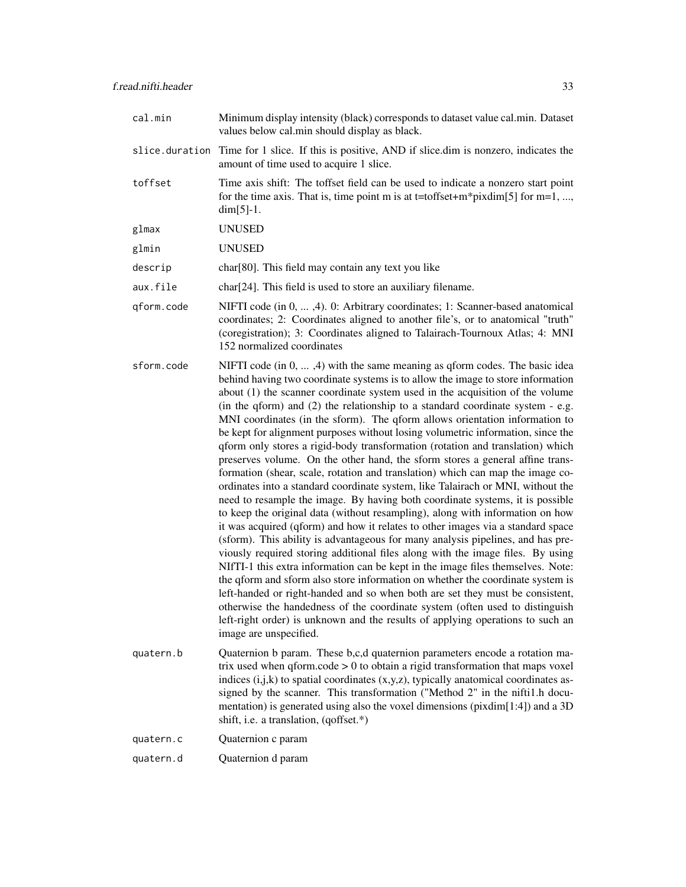| cal.min        | Minimum display intensity (black) corresponds to dataset value cal.min. Dataset<br>values below cal.min should display as black.                                                                                                                                                                                                                                                                                                                                                                                                                                                                                                                                                                                                                                                                                                                                                                                                                                                                                                                                                                                                                                                                                                                                                                                                                                                                                                                                                                                                                                                                                                                                                                                            |
|----------------|-----------------------------------------------------------------------------------------------------------------------------------------------------------------------------------------------------------------------------------------------------------------------------------------------------------------------------------------------------------------------------------------------------------------------------------------------------------------------------------------------------------------------------------------------------------------------------------------------------------------------------------------------------------------------------------------------------------------------------------------------------------------------------------------------------------------------------------------------------------------------------------------------------------------------------------------------------------------------------------------------------------------------------------------------------------------------------------------------------------------------------------------------------------------------------------------------------------------------------------------------------------------------------------------------------------------------------------------------------------------------------------------------------------------------------------------------------------------------------------------------------------------------------------------------------------------------------------------------------------------------------------------------------------------------------------------------------------------------------|
| slice.duration | Time for 1 slice. If this is positive, AND if slice dim is nonzero, indicates the<br>amount of time used to acquire 1 slice.                                                                                                                                                                                                                                                                                                                                                                                                                                                                                                                                                                                                                                                                                                                                                                                                                                                                                                                                                                                                                                                                                                                                                                                                                                                                                                                                                                                                                                                                                                                                                                                                |
| toffset        | Time axis shift: The toffset field can be used to indicate a nonzero start point<br>for the time axis. That is, time point m is at t=toffset+m*pixdim[5] for m=1, ,<br>$dim[5]-1.$                                                                                                                                                                                                                                                                                                                                                                                                                                                                                                                                                                                                                                                                                                                                                                                                                                                                                                                                                                                                                                                                                                                                                                                                                                                                                                                                                                                                                                                                                                                                          |
| glmax          | <b>UNUSED</b>                                                                                                                                                                                                                                                                                                                                                                                                                                                                                                                                                                                                                                                                                                                                                                                                                                                                                                                                                                                                                                                                                                                                                                                                                                                                                                                                                                                                                                                                                                                                                                                                                                                                                                               |
| glmin          | <b>UNUSED</b>                                                                                                                                                                                                                                                                                                                                                                                                                                                                                                                                                                                                                                                                                                                                                                                                                                                                                                                                                                                                                                                                                                                                                                                                                                                                                                                                                                                                                                                                                                                                                                                                                                                                                                               |
| descrip        | char <sup>[80]</sup> . This field may contain any text you like                                                                                                                                                                                                                                                                                                                                                                                                                                                                                                                                                                                                                                                                                                                                                                                                                                                                                                                                                                                                                                                                                                                                                                                                                                                                                                                                                                                                                                                                                                                                                                                                                                                             |
| aux.file       | char <sup>[24]</sup> . This field is used to store an auxiliary filename.                                                                                                                                                                                                                                                                                                                                                                                                                                                                                                                                                                                                                                                                                                                                                                                                                                                                                                                                                                                                                                                                                                                                                                                                                                                                                                                                                                                                                                                                                                                                                                                                                                                   |
| qform.code     | NIFTI code (in 0, , 4). 0: Arbitrary coordinates; 1: Scanner-based anatomical<br>coordinates; 2: Coordinates aligned to another file's, or to anatomical "truth"<br>(coregistration); 3: Coordinates aligned to Talairach-Tournoux Atlas; 4: MNI<br>152 normalized coordinates                                                                                                                                                                                                                                                                                                                                                                                                                                                                                                                                                                                                                                                                                                                                                                                                                                                                                                                                                                                                                                                                                                                                                                                                                                                                                                                                                                                                                                              |
| sform.code     | NIFTI code $(in 0, , 4)$ with the same meaning as qform codes. The basic idea<br>behind having two coordinate systems is to allow the image to store information<br>about $(1)$ the scanner coordinate system used in the acquisition of the volume<br>(in the qform) and (2) the relationship to a standard coordinate system - e.g.<br>MNI coordinates (in the sform). The qform allows orientation information to<br>be kept for alignment purposes without losing volumetric information, since the<br>qform only stores a rigid-body transformation (rotation and translation) which<br>preserves volume. On the other hand, the sform stores a general affine trans-<br>formation (shear, scale, rotation and translation) which can map the image co-<br>ordinates into a standard coordinate system, like Talairach or MNI, without the<br>need to resample the image. By having both coordinate systems, it is possible<br>to keep the original data (without resampling), along with information on how<br>it was acquired (qform) and how it relates to other images via a standard space<br>(sform). This ability is advantageous for many analysis pipelines, and has pre-<br>viously required storing additional files along with the image files. By using<br>NIfTI-1 this extra information can be kept in the image files themselves. Note:<br>the qform and sform also store information on whether the coordinate system is<br>left-handed or right-handed and so when both are set they must be consistent,<br>otherwise the handedness of the coordinate system (often used to distinguish<br>left-right order) is unknown and the results of applying operations to such an<br>image are unspecified. |
| quatern.b      | Quaternion b param. These b,c,d quaternion parameters encode a rotation ma-<br>trix used when $q$ form.code $> 0$ to obtain a rigid transformation that maps voxel<br>indices (i,j,k) to spatial coordinates (x,y,z), typically anatomical coordinates as-<br>signed by the scanner. This transformation ("Method 2" in the nifti1.h docu-<br>mentation) is generated using also the voxel dimensions (pixdim[1:4]) and a 3D<br>shift, i.e. a translation, (qoffset.*)                                                                                                                                                                                                                                                                                                                                                                                                                                                                                                                                                                                                                                                                                                                                                                                                                                                                                                                                                                                                                                                                                                                                                                                                                                                      |
| quatern.c      | Quaternion c param                                                                                                                                                                                                                                                                                                                                                                                                                                                                                                                                                                                                                                                                                                                                                                                                                                                                                                                                                                                                                                                                                                                                                                                                                                                                                                                                                                                                                                                                                                                                                                                                                                                                                                          |
| quatern.d      | Quaternion d param                                                                                                                                                                                                                                                                                                                                                                                                                                                                                                                                                                                                                                                                                                                                                                                                                                                                                                                                                                                                                                                                                                                                                                                                                                                                                                                                                                                                                                                                                                                                                                                                                                                                                                          |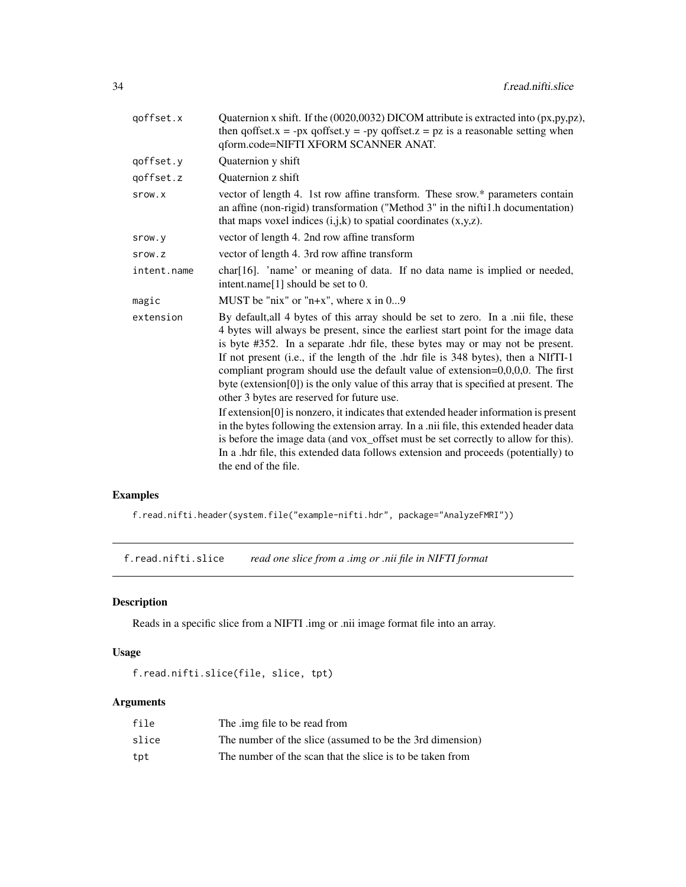<span id="page-33-0"></span>

| Quaternion x shift. If the (0020,0032) DICOM attribute is extracted into (px,py,pz),<br>then qoffset. $x = -px$ qoffset. $y = -py$ qoffset. $z = pz$ is a reasonable setting when<br>qform.code=NIFTI XFORM SCANNER ANAT.                                                                                                                                                                                                                                                                                                                                                                                                                                                                                                                                                                                                                                                                                                                                        |
|------------------------------------------------------------------------------------------------------------------------------------------------------------------------------------------------------------------------------------------------------------------------------------------------------------------------------------------------------------------------------------------------------------------------------------------------------------------------------------------------------------------------------------------------------------------------------------------------------------------------------------------------------------------------------------------------------------------------------------------------------------------------------------------------------------------------------------------------------------------------------------------------------------------------------------------------------------------|
| Quaternion y shift                                                                                                                                                                                                                                                                                                                                                                                                                                                                                                                                                                                                                                                                                                                                                                                                                                                                                                                                               |
| <b>Ouaternion z shift</b>                                                                                                                                                                                                                                                                                                                                                                                                                                                                                                                                                                                                                                                                                                                                                                                                                                                                                                                                        |
| vector of length 4. 1st row affine transform. These srow.* parameters contain<br>an affine (non-rigid) transformation ("Method 3" in the nifti1.h documentation)<br>that maps voxel indices $(i,j,k)$ to spatial coordinates $(x,y,z)$ .                                                                                                                                                                                                                                                                                                                                                                                                                                                                                                                                                                                                                                                                                                                         |
| vector of length 4. 2nd row affine transform                                                                                                                                                                                                                                                                                                                                                                                                                                                                                                                                                                                                                                                                                                                                                                                                                                                                                                                     |
| vector of length 4. 3rd row affine transform                                                                                                                                                                                                                                                                                                                                                                                                                                                                                                                                                                                                                                                                                                                                                                                                                                                                                                                     |
| char[16]. 'name' or meaning of data. If no data name is implied or needed,<br>intent.name[1] should be set to 0.                                                                                                                                                                                                                                                                                                                                                                                                                                                                                                                                                                                                                                                                                                                                                                                                                                                 |
| MUST be "nix" or "n+x", where x in $09$                                                                                                                                                                                                                                                                                                                                                                                                                                                                                                                                                                                                                                                                                                                                                                                                                                                                                                                          |
| By default, all 4 bytes of this array should be set to zero. In a .nii file, these<br>4 bytes will always be present, since the earliest start point for the image data<br>is byte #352. In a separate .hdr file, these bytes may or may not be present.<br>If not present (i.e., if the length of the .hdr file is 348 bytes), then a NIfTI-1<br>compliant program should use the default value of extension= $0,0,0,0$ . The first<br>byte (extension[0]) is the only value of this array that is specified at present. The<br>other 3 bytes are reserved for future use.<br>If extension[0] is nonzero, it indicates that extended header information is present<br>in the bytes following the extension array. In a .nii file, this extended header data<br>is before the image data (and vox_offset must be set correctly to allow for this).<br>In a .hdr file, this extended data follows extension and proceeds (potentially) to<br>the end of the file. |
|                                                                                                                                                                                                                                                                                                                                                                                                                                                                                                                                                                                                                                                                                                                                                                                                                                                                                                                                                                  |

## Examples

f.read.nifti.header(system.file("example-nifti.hdr", package="AnalyzeFMRI"))

<span id="page-33-1"></span>f.read.nifti.slice *read one slice from a .img or .nii file in NIFTI format*

## Description

Reads in a specific slice from a NIFTI .img or .nii image format file into an array.

## Usage

```
f.read.nifti.slice(file, slice, tpt)
```

| file  | The .img file to be read from                             |
|-------|-----------------------------------------------------------|
| slice | The number of the slice (assumed to be the 3rd dimension) |
| tpt   | The number of the scan that the slice is to be taken from |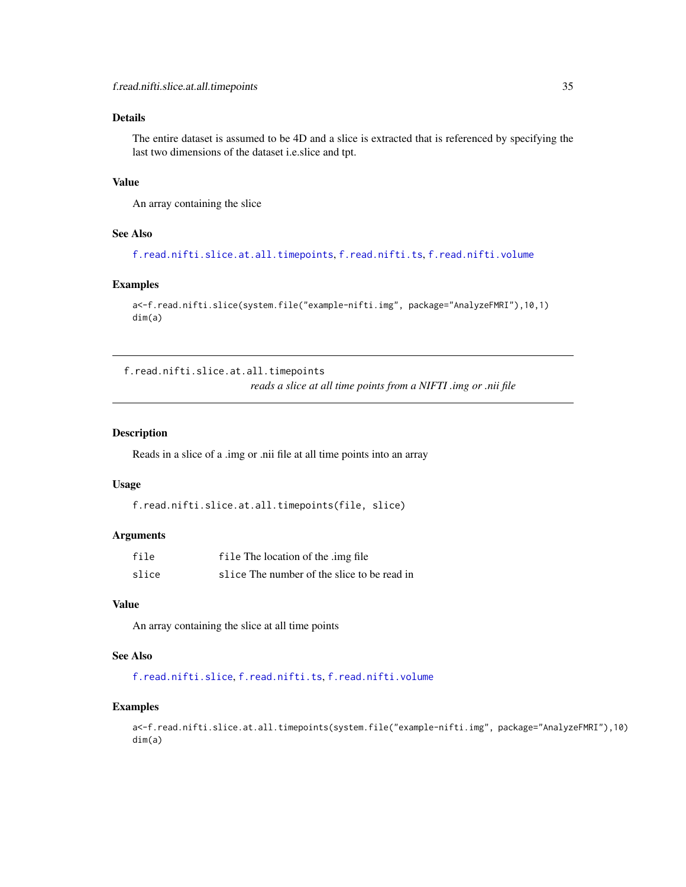## <span id="page-34-0"></span>Details

The entire dataset is assumed to be 4D and a slice is extracted that is referenced by specifying the last two dimensions of the dataset i.e.slice and tpt.

## Value

An array containing the slice

## See Also

[f.read.nifti.slice.at.all.timepoints](#page-34-1), [f.read.nifti.ts](#page-35-1), [f.read.nifti.volume](#page-36-1)

## Examples

```
a<-f.read.nifti.slice(system.file("example-nifti.img", package="AnalyzeFMRI"),10,1)
dim(a)
```
<span id="page-34-1"></span>f.read.nifti.slice.at.all.timepoints *reads a slice at all time points from a NIFTI .img or .nii file*

## Description

Reads in a slice of a .img or .nii file at all time points into an array

#### Usage

```
f.read.nifti.slice.at.all.timepoints(file, slice)
```
## Arguments

| file  | file The location of the .img file          |
|-------|---------------------------------------------|
| slice | slice The number of the slice to be read in |

## Value

An array containing the slice at all time points

## See Also

[f.read.nifti.slice](#page-33-1), [f.read.nifti.ts](#page-35-1), [f.read.nifti.volume](#page-36-1)

#### Examples

a<-f.read.nifti.slice.at.all.timepoints(system.file("example-nifti.img", package="AnalyzeFMRI"),10) dim(a)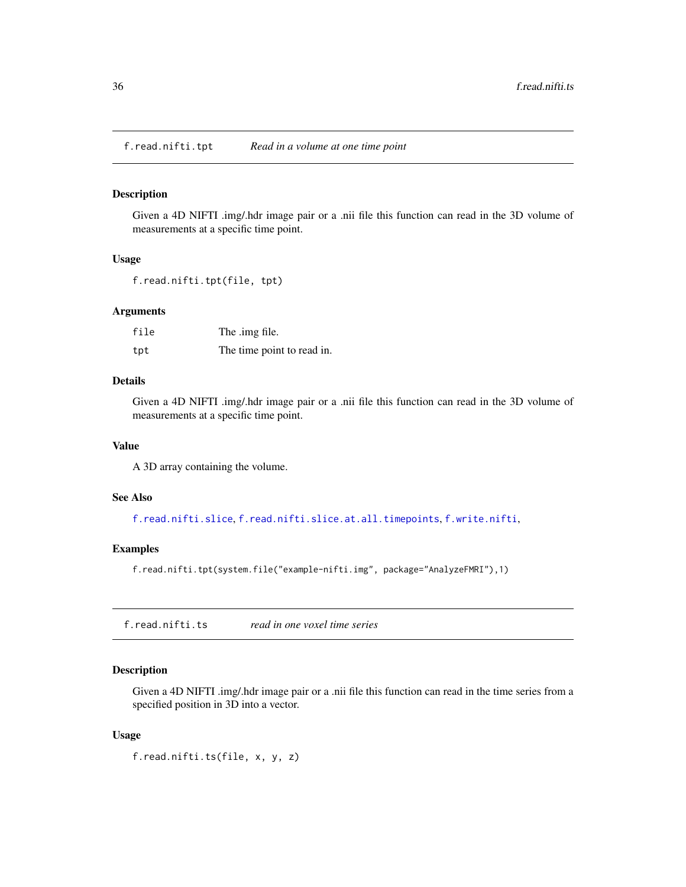<span id="page-35-0"></span>f.read.nifti.tpt *Read in a volume at one time point*

#### Description

Given a 4D NIFTI .img/.hdr image pair or a .nii file this function can read in the 3D volume of measurements at a specific time point.

## Usage

f.read.nifti.tpt(file, tpt)

#### Arguments

| file | The .img file.             |
|------|----------------------------|
| tpt  | The time point to read in. |

## Details

Given a 4D NIFTI .img/.hdr image pair or a .nii file this function can read in the 3D volume of measurements at a specific time point.

#### Value

A 3D array containing the volume.

#### See Also

[f.read.nifti.slice](#page-33-1), [f.read.nifti.slice.at.all.timepoints](#page-34-1), [f.write.nifti](#page-43-1),

## Examples

f.read.nifti.tpt(system.file("example-nifti.img", package="AnalyzeFMRI"),1)

<span id="page-35-1"></span>f.read.nifti.ts *read in one voxel time series*

### Description

Given a 4D NIFTI .img/.hdr image pair or a .nii file this function can read in the time series from a specified position in 3D into a vector.

#### Usage

f.read.nifti.ts(file, x, y, z)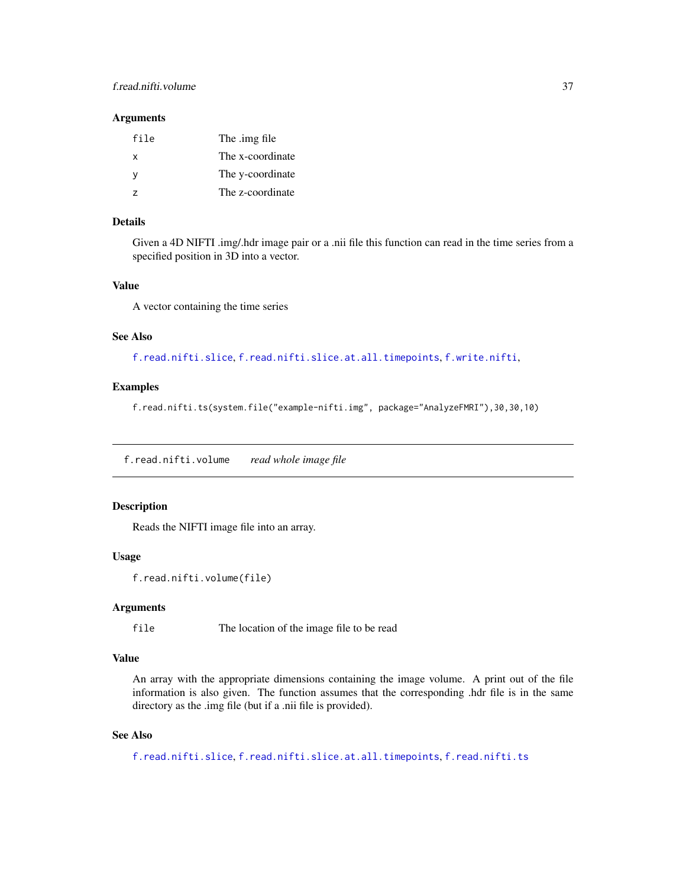### f.read.nifti.volume 37

#### Arguments

| file | The .img file    |
|------|------------------|
| x    | The x-coordinate |
| ٧    | The y-coordinate |
| 7    | The z-coordinate |

## Details

Given a 4D NIFTI .img/.hdr image pair or a .nii file this function can read in the time series from a specified position in 3D into a vector.

#### Value

A vector containing the time series

#### See Also

[f.read.nifti.slice](#page-33-0), [f.read.nifti.slice.at.all.timepoints](#page-34-0), [f.write.nifti](#page-43-0),

### Examples

f.read.nifti.ts(system.file("example-nifti.img", package="AnalyzeFMRI"),30,30,10)

f.read.nifti.volume *read whole image file*

### Description

Reads the NIFTI image file into an array.

#### Usage

```
f.read.nifti.volume(file)
```
#### Arguments

file The location of the image file to be read

#### Value

An array with the appropriate dimensions containing the image volume. A print out of the file information is also given. The function assumes that the corresponding .hdr file is in the same directory as the .img file (but if a .nii file is provided).

#### See Also

```
f.read.nifti.slice, f.read.nifti.slice.at.all.timepoints, f.read.nifti.ts
```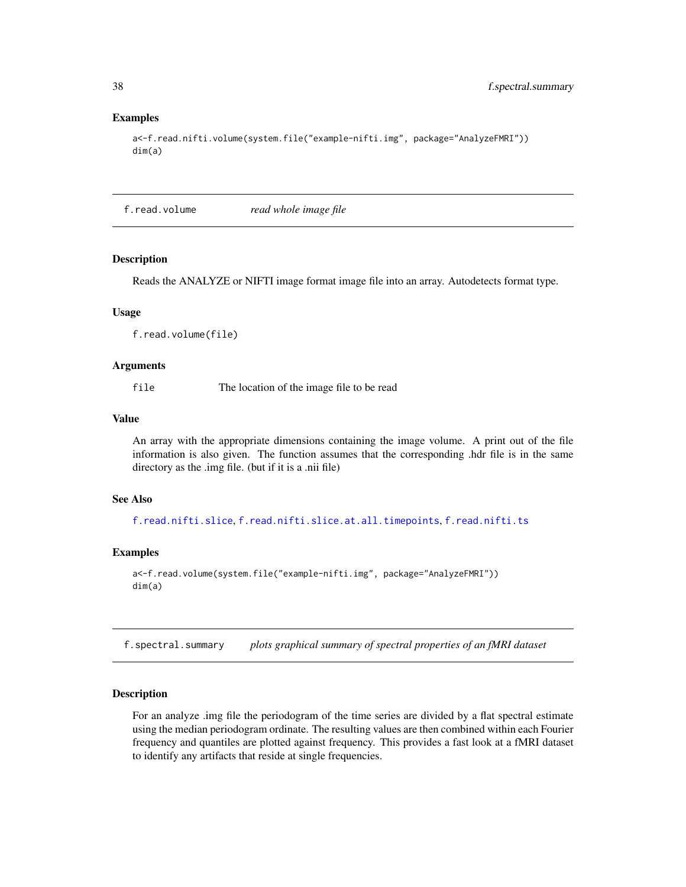#### Examples

```
a<-f.read.nifti.volume(system.file("example-nifti.img", package="AnalyzeFMRI"))
dim(a)
```
f.read.volume *read whole image file*

#### Description

Reads the ANALYZE or NIFTI image format image file into an array. Autodetects format type.

#### Usage

f.read.volume(file)

#### Arguments

file The location of the image file to be read

#### Value

An array with the appropriate dimensions containing the image volume. A print out of the file information is also given. The function assumes that the corresponding .hdr file is in the same directory as the .img file. (but if it is a .nii file)

#### See Also

[f.read.nifti.slice](#page-33-0), [f.read.nifti.slice.at.all.timepoints](#page-34-0), [f.read.nifti.ts](#page-35-0)

#### Examples

```
a<-f.read.volume(system.file("example-nifti.img", package="AnalyzeFMRI"))
dim(a)
```
f.spectral.summary *plots graphical summary of spectral properties of an fMRI dataset*

#### Description

For an analyze .img file the periodogram of the time series are divided by a flat spectral estimate using the median periodogram ordinate. The resulting values are then combined within each Fourier frequency and quantiles are plotted against frequency. This provides a fast look at a fMRI dataset to identify any artifacts that reside at single frequencies.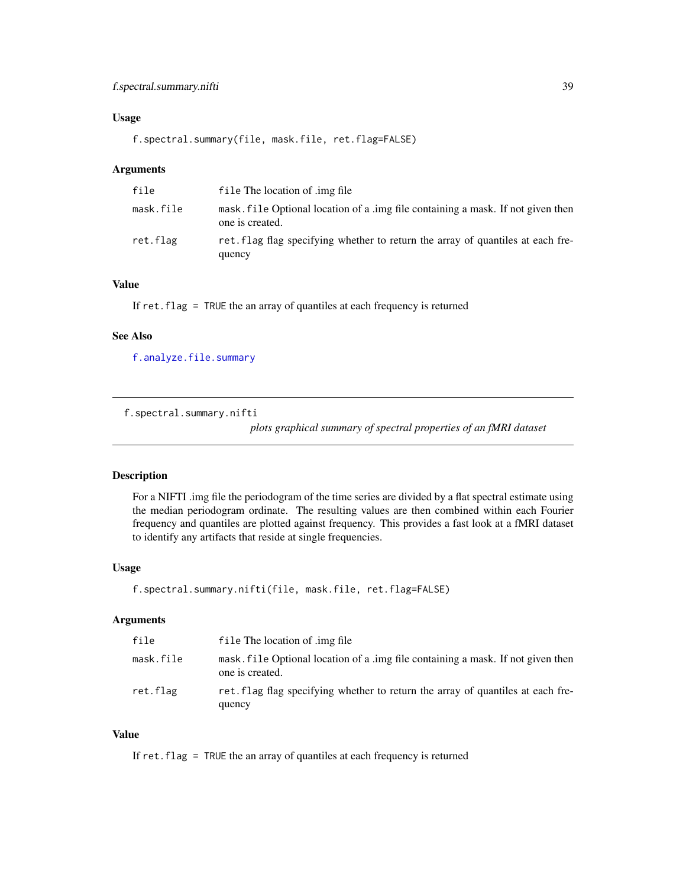### Usage

f.spectral.summary(file, mask.file, ret.flag=FALSE)

#### Arguments

| file      | file The location of .img file                                                                      |
|-----------|-----------------------------------------------------------------------------------------------------|
| mask.file | mask, file Optional location of a lime file containing a mask. If not given then<br>one is created. |
| ret.flag  | ret. flag flag specifying whether to return the array of quantiles at each fre-<br>quency           |

## Value

If ret.flag = TRUE the an array of quantiles at each frequency is returned

#### See Also

[f.analyze.file.summary](#page-9-0)

f.spectral.summary.nifti

*plots graphical summary of spectral properties of an fMRI dataset*

#### Description

For a NIFTI .img file the periodogram of the time series are divided by a flat spectral estimate using the median periodogram ordinate. The resulting values are then combined within each Fourier frequency and quantiles are plotted against frequency. This provides a fast look at a fMRI dataset to identify any artifacts that reside at single frequencies.

#### Usage

f.spectral.summary.nifti(file, mask.file, ret.flag=FALSE)

#### Arguments

| file      | file The location of .img file                                                                      |
|-----------|-----------------------------------------------------------------------------------------------------|
| mask.file | mask, file Optional location of a lime file containing a mask. If not given then<br>one is created. |
| ret.flag  | ret. flag flag specifying whether to return the array of quantiles at each fre-<br>quency           |

## Value

If ret.flag = TRUE the an array of quantiles at each frequency is returned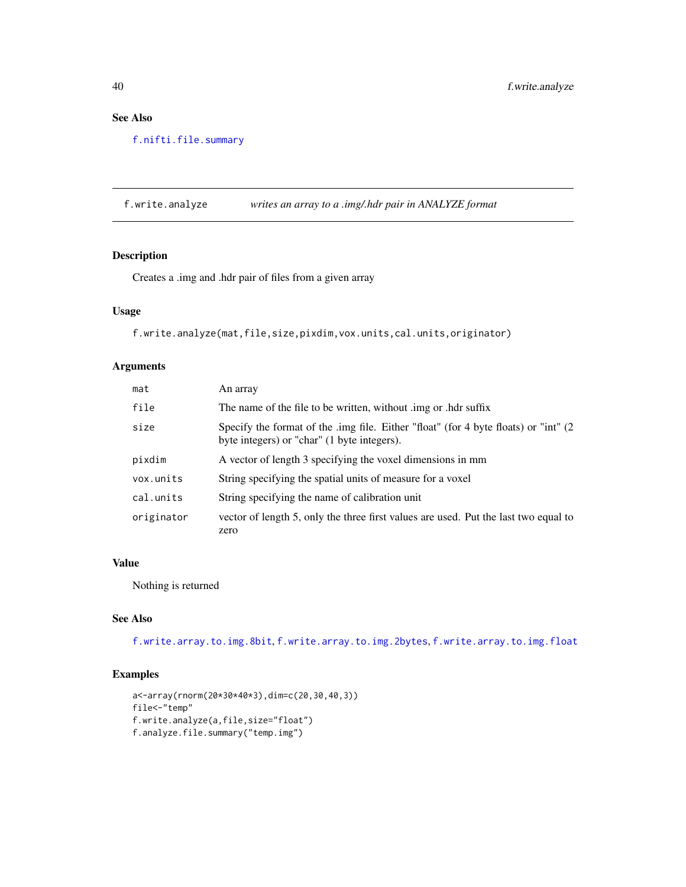## See Also

[f.nifti.file.summary](#page-20-0)

<span id="page-39-0"></span>f.write.analyze *writes an array to a .img/.hdr pair in ANALYZE format*

### Description

Creates a .img and .hdr pair of files from a given array

## Usage

f.write.analyze(mat,file,size,pixdim,vox.units,cal.units,originator)

## Arguments

| mat        | An array                                                                                                                            |
|------------|-------------------------------------------------------------------------------------------------------------------------------------|
| file       | The name of the file to be written, without limg or hdr suffix                                                                      |
| size       | Specify the format of the .img file. Either "float" (for 4 byte floats) or "int" (2)<br>byte integers) or "char" (1 byte integers). |
| pixdim     | A vector of length 3 specifying the voxel dimensions in mm                                                                          |
| vox.units  | String specifying the spatial units of measure for a voxel                                                                          |
| cal.units  | String specifying the name of calibration unit                                                                                      |
| originator | vector of length 5, only the three first values are used. Put the last two equal to<br>zero                                         |

#### Value

Nothing is returned

## See Also

[f.write.array.to.img.8bit](#page-40-0), [f.write.array.to.img.2bytes](#page-40-1), [f.write.array.to.img.float](#page-41-0)

#### Examples

```
a<-array(rnorm(20*30*40*3),dim=c(20,30,40,3))
file<-"temp"
f.write.analyze(a,file,size="float")
f.analyze.file.summary("temp.img")
```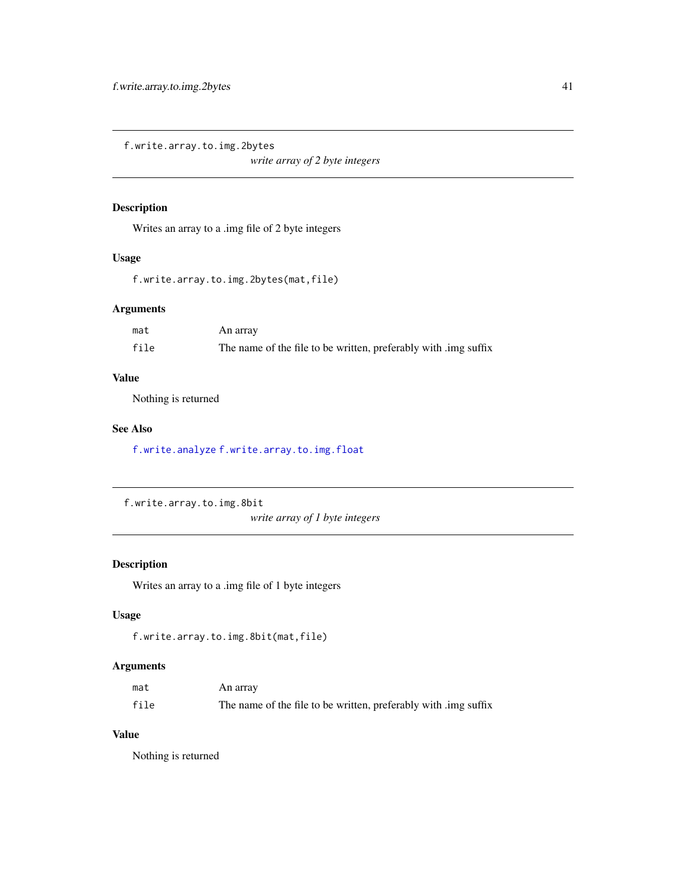<span id="page-40-1"></span>f.write.array.to.img.2bytes

*write array of 2 byte integers*

### Description

Writes an array to a .img file of 2 byte integers

## Usage

f.write.array.to.img.2bytes(mat,file)

### Arguments

| mat  | An array                                                        |
|------|-----------------------------------------------------------------|
| file | The name of the file to be written, preferably with limg suffix |

## Value

Nothing is returned

### See Also

[f.write.analyze](#page-39-0) [f.write.array.to.img.float](#page-41-0)

```
f.write.array.to.img.8bit
```
*write array of 1 byte integers*

## Description

Writes an array to a .img file of 1 byte integers

## Usage

```
f.write.array.to.img.8bit(mat,file)
```
### Arguments

| mat  | An array                                                        |
|------|-----------------------------------------------------------------|
| file | The name of the file to be written, preferably with limg suffix |

## Value

Nothing is returned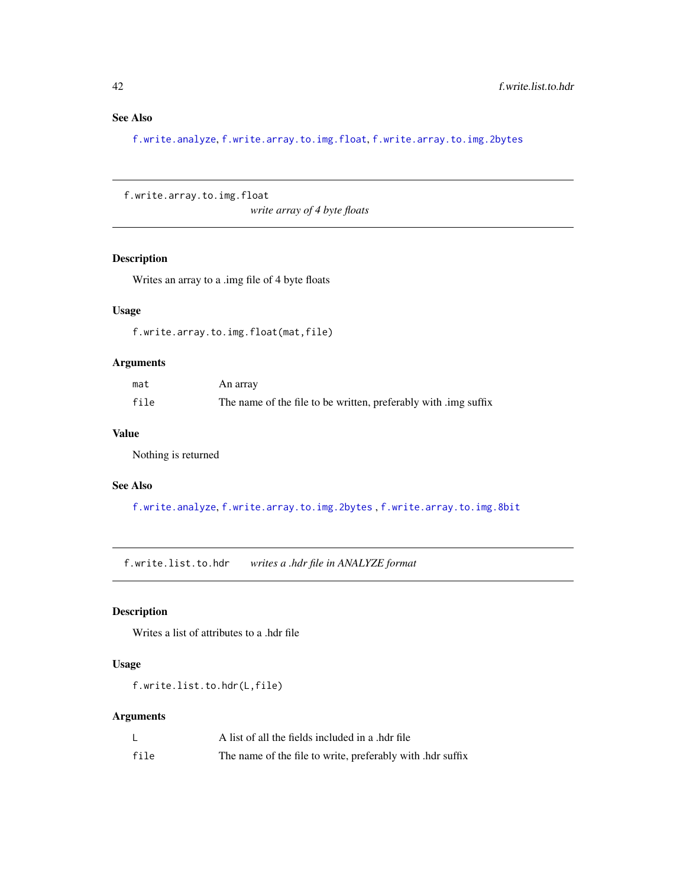## See Also

[f.write.analyze](#page-39-0), [f.write.array.to.img.float](#page-41-0), [f.write.array.to.img.2bytes](#page-40-1)

<span id="page-41-0"></span>f.write.array.to.img.float

*write array of 4 byte floats*

## Description

Writes an array to a .img file of 4 byte floats

## Usage

f.write.array.to.img.float(mat,file)

## Arguments

| mat  | An array                                                        |
|------|-----------------------------------------------------------------|
| file | The name of the file to be written, preferably with limg suffix |

## Value

Nothing is returned

#### See Also

[f.write.analyze](#page-39-0), [f.write.array.to.img.2bytes](#page-40-1) , [f.write.array.to.img.8bit](#page-40-0)

f.write.list.to.hdr *writes a .hdr file in ANALYZE format*

### Description

Writes a list of attributes to a .hdr file

### Usage

f.write.list.to.hdr(L,file)

#### Arguments

|      | A list of all the fields included in a .hdr file           |
|------|------------------------------------------------------------|
| file | The name of the file to write, preferably with .hdr suffix |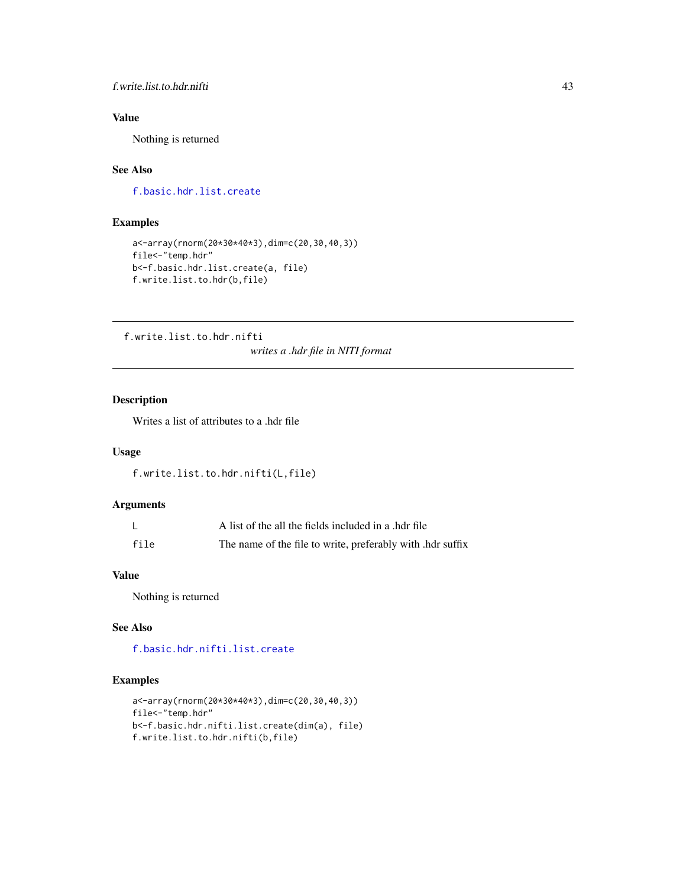#### f.write.list.to.hdr.nifti 43

## Value

Nothing is returned

## See Also

[f.basic.hdr.list.create](#page-10-0)

### Examples

```
a<-array(rnorm(20*30*40*3),dim=c(20,30,40,3))
file<-"temp.hdr"
b<-f.basic.hdr.list.create(a, file)
f.write.list.to.hdr(b,file)
```
f.write.list.to.hdr.nifti

*writes a .hdr file in NITI format*

### Description

Writes a list of attributes to a .hdr file

#### Usage

```
f.write.list.to.hdr.nifti(L,file)
```
### Arguments

|      | A list of the all the fields included in a .hdr file       |
|------|------------------------------------------------------------|
| file | The name of the file to write, preferably with .hdr suffix |

## Value

Nothing is returned

## See Also

[f.basic.hdr.nifti.list.create](#page-11-0)

### Examples

```
a<-array(rnorm(20*30*40*3),dim=c(20,30,40,3))
file<-"temp.hdr"
b<-f.basic.hdr.nifti.list.create(dim(a), file)
f.write.list.to.hdr.nifti(b,file)
```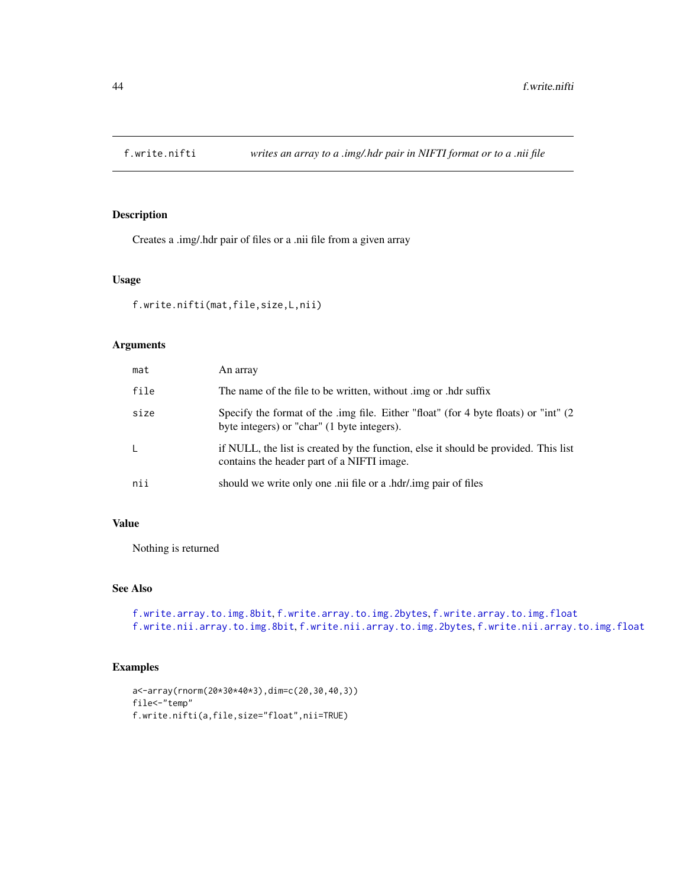<span id="page-43-0"></span>

### Description

Creates a .img/.hdr pair of files or a .nii file from a given array

#### Usage

```
f.write.nifti(mat,file,size,L,nii)
```
## Arguments

| mat  | An array                                                                                                                            |
|------|-------------------------------------------------------------------------------------------------------------------------------------|
| file | The name of the file to be written, without limg or hdr suffix                                                                      |
| size | Specify the format of the .img file. Either "float" (for 4 byte floats) or "int" (2)<br>byte integers) or "char" (1 byte integers). |
| L    | if NULL, the list is created by the function, else it should be provided. This list<br>contains the header part of a NIFTI image.   |
| nii  | should we write only one .nii file or a .hdr/.img pair of files                                                                     |

### Value

Nothing is returned

### See Also

```
f.write.array.to.img.8bit, f.write.array.to.img.2bytes, f.write.array.to.img.float
f.write.nii.array.to.img.8bit, f.write.nii.array.to.img.2bytes, f.write.nii.array.to.img.float
```
#### Examples

```
a<-array(rnorm(20*30*40*3),dim=c(20,30,40,3))
file<-"temp"
f.write.nifti(a,file,size="float",nii=TRUE)
```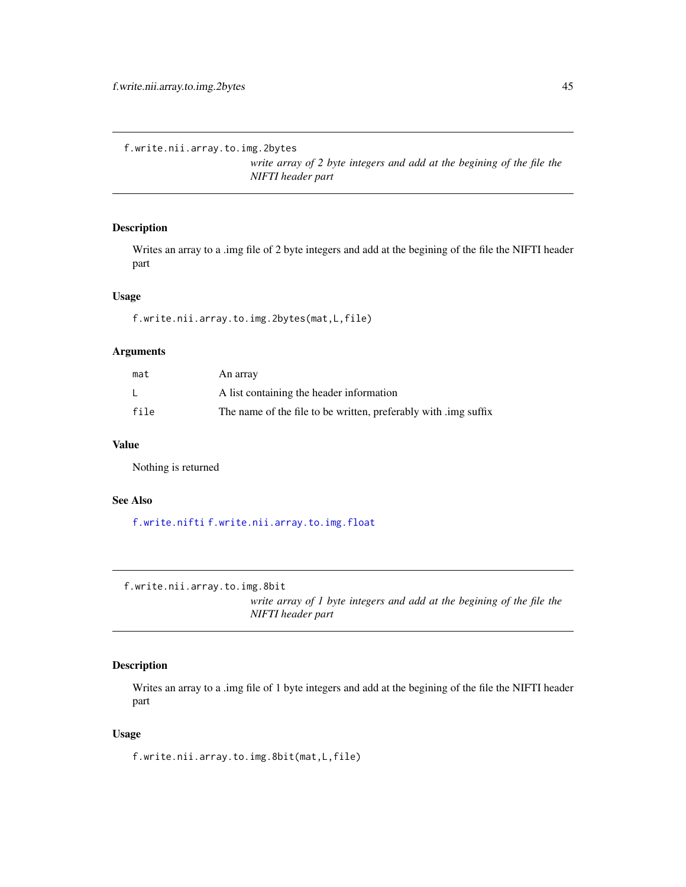<span id="page-44-1"></span>f.write.nii.array.to.img.2bytes

*write array of 2 byte integers and add at the begining of the file the NIFTI header part*

### Description

Writes an array to a .img file of 2 byte integers and add at the begining of the file the NIFTI header part

### Usage

f.write.nii.array.to.img.2bytes(mat,L,file)

## Arguments

| mat  | An array                                                        |
|------|-----------------------------------------------------------------|
|      | A list containing the header information                        |
| file | The name of the file to be written, preferably with limg suffix |

### Value

Nothing is returned

#### See Also

[f.write.nifti](#page-43-0) [f.write.nii.array.to.img.float](#page-45-0)

<span id="page-44-0"></span>f.write.nii.array.to.img.8bit

*write array of 1 byte integers and add at the begining of the file the NIFTI header part*

## Description

Writes an array to a .img file of 1 byte integers and add at the begining of the file the NIFTI header part

### Usage

f.write.nii.array.to.img.8bit(mat,L,file)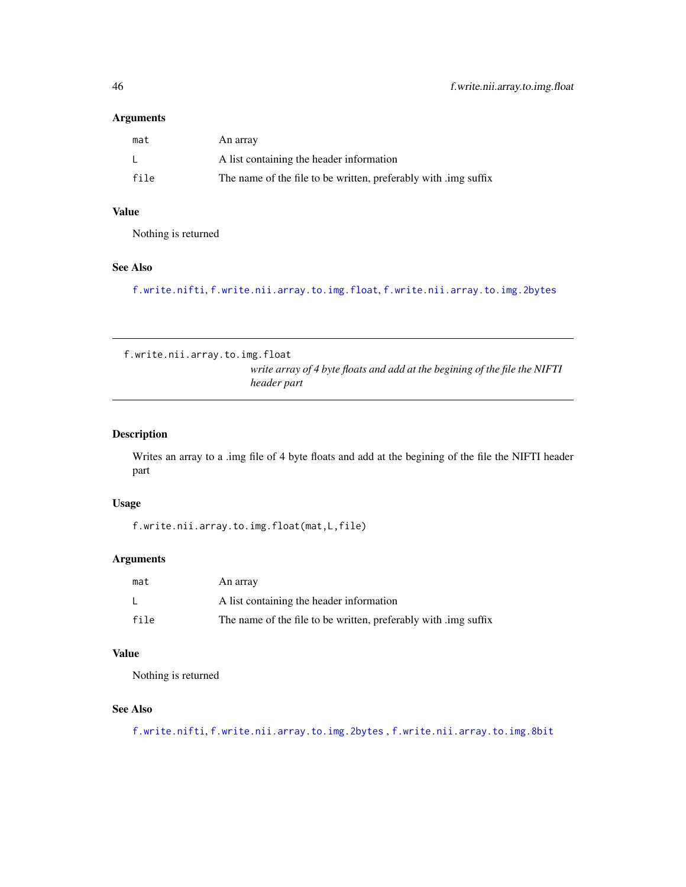#### Arguments

| mat  | An array                                                        |
|------|-----------------------------------------------------------------|
|      | A list containing the header information                        |
| file | The name of the file to be written, preferably with limg suffix |

## Value

Nothing is returned

## See Also

[f.write.nifti](#page-43-0), [f.write.nii.array.to.img.float](#page-45-0), [f.write.nii.array.to.img.2bytes](#page-44-1)

<span id="page-45-0"></span>f.write.nii.array.to.img.float *write array of 4 byte floats and add at the begining of the file the NIFTI header part*

### Description

Writes an array to a .img file of 4 byte floats and add at the begining of the file the NIFTI header part

### Usage

f.write.nii.array.to.img.float(mat,L,file)

### Arguments

| mat  | An array                                                        |
|------|-----------------------------------------------------------------|
|      | A list containing the header information                        |
| file | The name of the file to be written, preferably with limg suffix |

### Value

Nothing is returned

## See Also

[f.write.nifti](#page-43-0), [f.write.nii.array.to.img.2bytes](#page-44-1) , [f.write.nii.array.to.img.8bit](#page-44-0)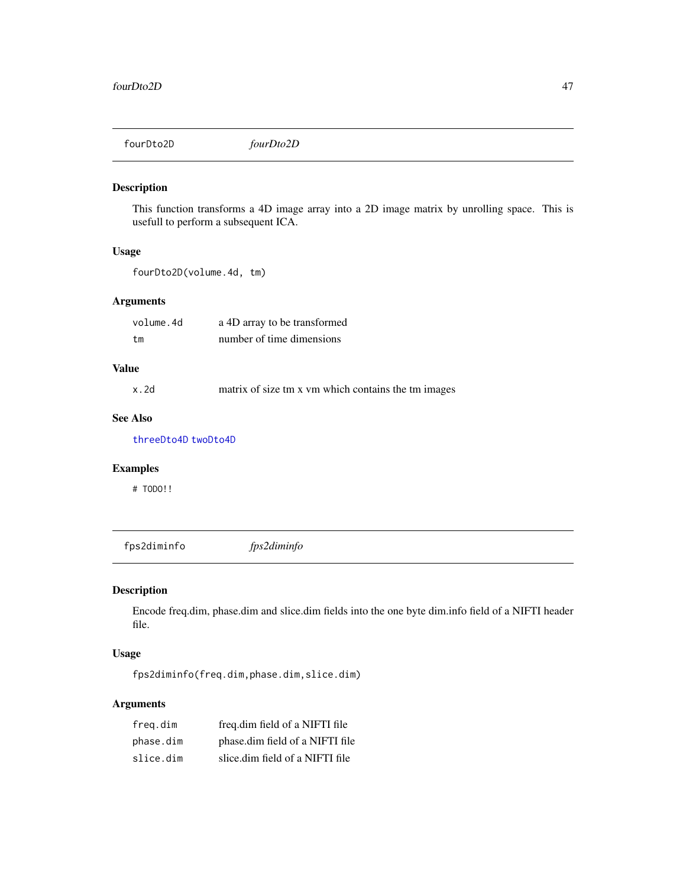fourDto2D *fourDto2D*

### Description

This function transforms a 4D image array into a 2D image matrix by unrolling space. This is usefull to perform a subsequent ICA.

#### Usage

fourDto2D(volume.4d, tm)

### Arguments

| volume.4d | a 4D array to be transformed |
|-----------|------------------------------|
| tm        | number of time dimensions    |

### Value

x.2d matrix of size tm x vm which contains the tm images

## See Also

[threeDto4D](#page-79-0) [twoDto4D](#page-82-0)

# Examples

# TODO!!

fps2diminfo *fps2diminfo*

### Description

Encode freq.dim, phase.dim and slice.dim fields into the one byte dim.info field of a NIFTI header file.

## Usage

fps2diminfo(freq.dim,phase.dim,slice.dim)

## Arguments

| freg.dim  | freq.dim field of a NIFTI file  |
|-----------|---------------------------------|
| phase.dim | phase.dim field of a NIFTI file |
| slice.dim | slice.dim field of a NIFTI file |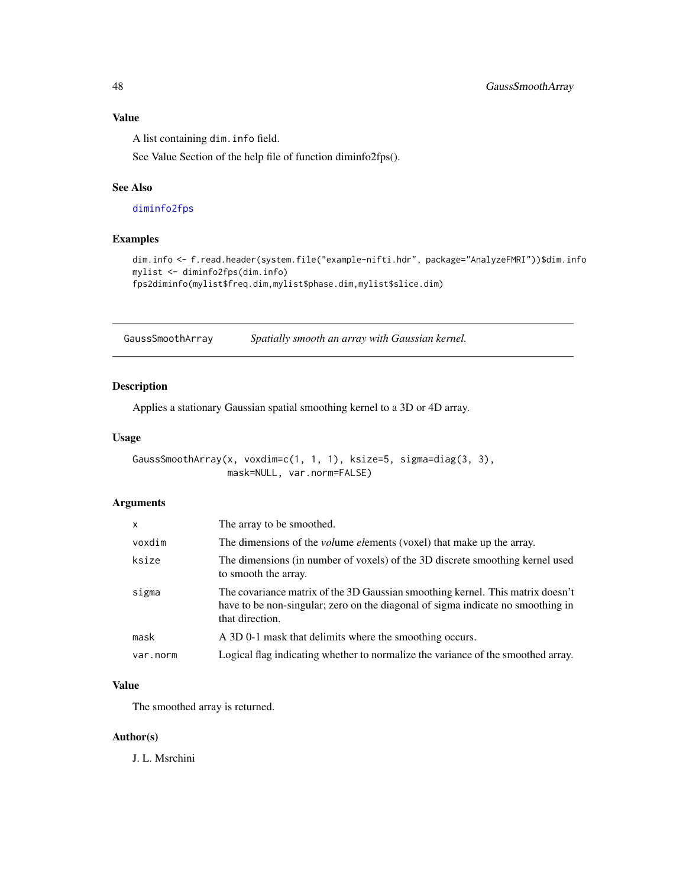## Value

A list containing dim.info field.

See Value Section of the help file of function diminfo2fps().

#### See Also

[diminfo2fps](#page-6-0)

## Examples

```
dim.info <- f.read.header(system.file("example-nifti.hdr", package="AnalyzeFMRI"))$dim.info
mylist <- diminfo2fps(dim.info)
fps2diminfo(mylist$freq.dim,mylist$phase.dim,mylist$slice.dim)
```
<span id="page-47-0"></span>GaussSmoothArray *Spatially smooth an array with Gaussian kernel.*

### Description

Applies a stationary Gaussian spatial smoothing kernel to a 3D or 4D array.

#### Usage

```
GaussSmoothArray(x, voxdim=c(1, 1, 1), ksize=5, sigma=diag(3, 3),
                 mask=NULL, var.norm=FALSE)
```
#### Arguments

| X        | The array to be smoothed.                                                                                                                                                            |
|----------|--------------------------------------------------------------------------------------------------------------------------------------------------------------------------------------|
| voxdim   | The dimensions of the <i>volume elements</i> (voxel) that make up the array.                                                                                                         |
| ksize    | The dimensions (in number of voxels) of the 3D discrete smoothing kernel used<br>to smooth the array.                                                                                |
| sigma    | The covariance matrix of the 3D Gaussian smoothing kernel. This matrix doesn't<br>have to be non-singular; zero on the diagonal of sigma indicate no smoothing in<br>that direction. |
| mask     | A 3D 0-1 mask that delimits where the smoothing occurs.                                                                                                                              |
| var.norm | Logical flag indicating whether to normalize the variance of the smoothed array.                                                                                                     |

## Value

The smoothed array is returned.

### Author(s)

J. L. Msrchini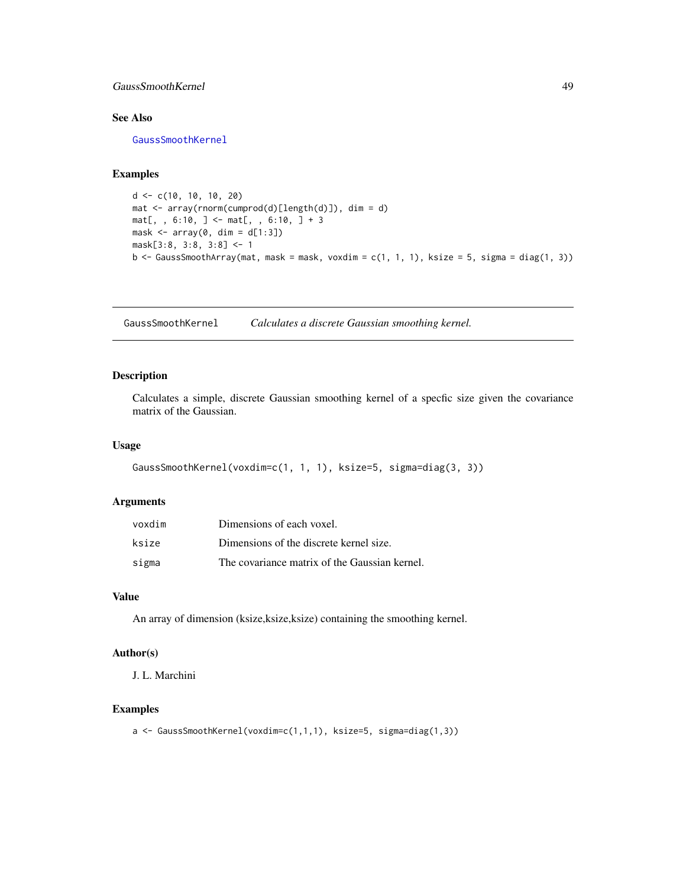### GaussSmoothKernel 49

### See Also

[GaussSmoothKernel](#page-48-0)

### Examples

```
d <- c(10, 10, 10, 20)
mat <- array(rnorm(cumprod(d)[length(d)]), dim = d)
mat[, , 6:10, ] < - mat[, , 6:10, ] + 3mask \leq array(0, dim = d[1:3])
mask[3:8, 3:8, 3:8] <- 1
b \leq GaussSmoothArray(mat, mask = mask, voxdim = c(1, 1, 1), ksize = 5, sigma = diag(1, 3))
```
<span id="page-48-0"></span>GaussSmoothKernel *Calculates a discrete Gaussian smoothing kernel.*

#### Description

Calculates a simple, discrete Gaussian smoothing kernel of a specfic size given the covariance matrix of the Gaussian.

## Usage

```
GaussSmoothKernel(voxdim=c(1, 1, 1), ksize=5, sigma=diag(3, 3))
```
#### Arguments

| voxdim | Dimensions of each voxel.                     |
|--------|-----------------------------------------------|
| ksize  | Dimensions of the discrete kernel size.       |
| sigma  | The covariance matrix of the Gaussian kernel. |

#### Value

An array of dimension (ksize,ksize,ksize) containing the smoothing kernel.

#### Author(s)

J. L. Marchini

#### Examples

a <- GaussSmoothKernel(voxdim=c(1,1,1), ksize=5, sigma=diag(1,3))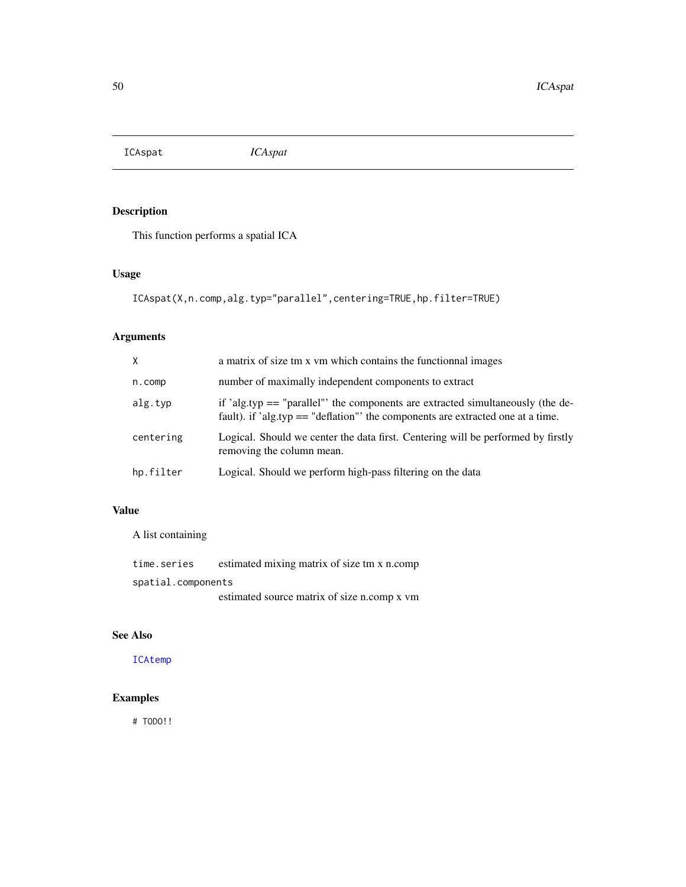<span id="page-49-0"></span>ICAspat *ICAspat*

## Description

This function performs a spatial ICA

## Usage

ICAspat(X,n.comp,alg.typ="parallel",centering=TRUE,hp.filter=TRUE)

# Arguments

| X         | a matrix of size tm x vm which contains the functional images                                                                                                        |
|-----------|----------------------------------------------------------------------------------------------------------------------------------------------------------------------|
| n.comp    | number of maximally independent components to extract                                                                                                                |
| alg.typ   | if 'alg.typ $==$ "parallel" the components are extracted simultaneously (the de-<br>fault). if 'alg.typ $==$ "deflation" the components are extracted one at a time. |
| centering | Logical. Should we center the data first. Centering will be performed by firstly<br>removing the column mean.                                                        |
| hp.filter | Logical. Should we perform high-pass filtering on the data                                                                                                           |

## Value

A list containing

| time.series        | estimated mixing matrix of size tm x n.comp |
|--------------------|---------------------------------------------|
| spatial.components |                                             |
|                    | estimated source matrix of size n.comp x vm |

# See Also

[ICAtemp](#page-50-0)

# Examples

# TODO!!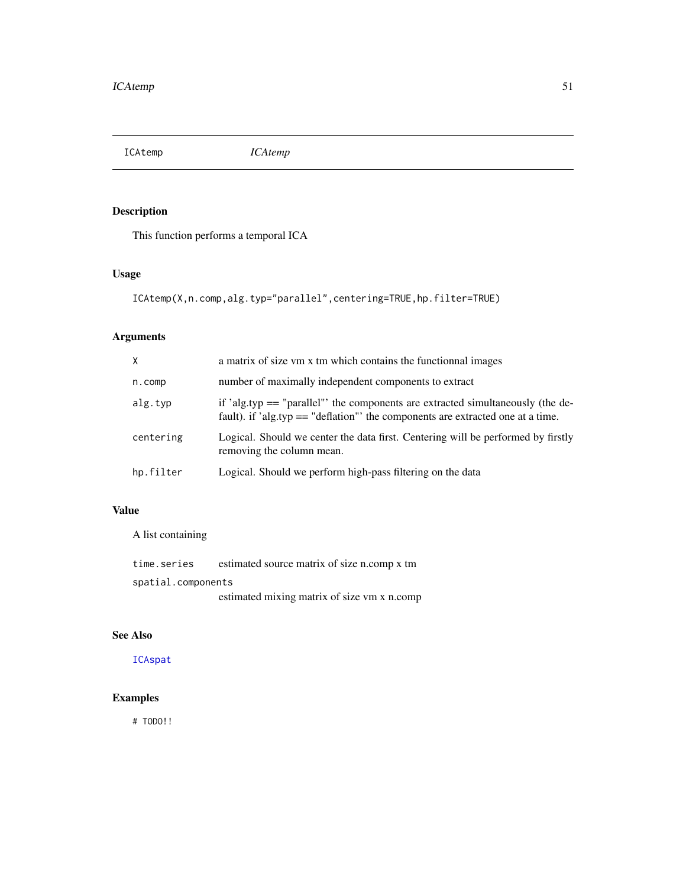<span id="page-50-0"></span>ICAtemp *ICAtemp*

## Description

This function performs a temporal ICA

## Usage

```
ICAtemp(X,n.comp,alg.typ="parallel",centering=TRUE,hp.filter=TRUE)
```
# Arguments

| X          | a matrix of size vm x tm which contains the functional images                                                                                                      |
|------------|--------------------------------------------------------------------------------------------------------------------------------------------------------------------|
| $n$ . comp | number of maximally independent components to extract                                                                                                              |
| alg.typ    | if 'alg.typ $==$ "parallel" the components are extracted simultaneously (the de-<br>fault). if 'alg.typ == "deflation" the components are extracted one at a time. |
| centering  | Logical. Should we center the data first. Centering will be performed by firstly<br>removing the column mean.                                                      |
| hp.filter  | Logical. Should we perform high-pass filtering on the data                                                                                                         |

## Value

A list containing

| time.series        | estimated source matrix of size n.comp x tm |
|--------------------|---------------------------------------------|
| spatial.components |                                             |
|                    | estimated mixing matrix of size vm x n.comp |

# See Also

[ICAspat](#page-49-0)

# Examples

# TODO!!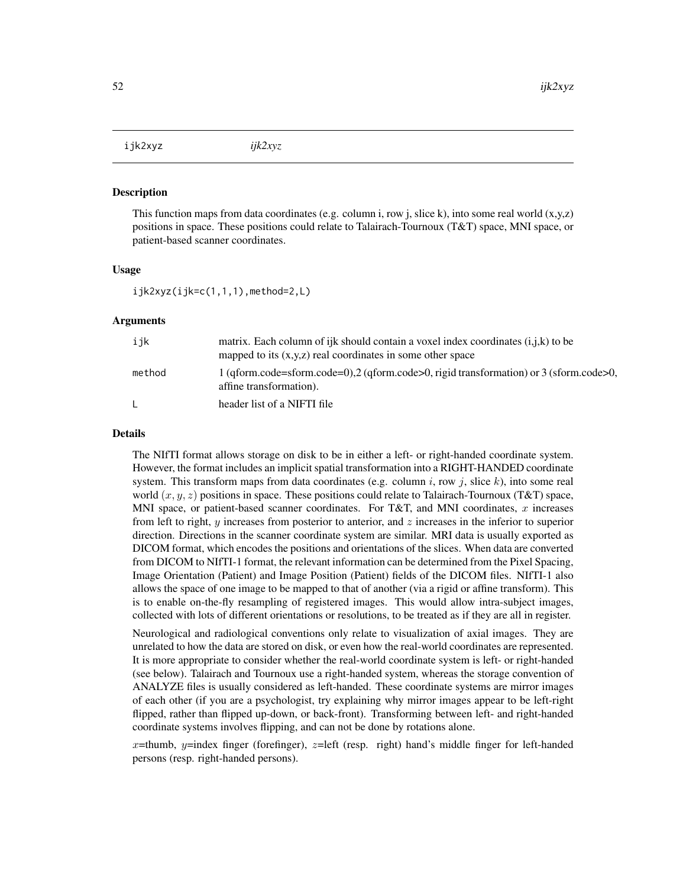ijk2xyz *ijk2xyz*

#### Description

This function maps from data coordinates (e.g. column i, row j, slice k), into some real world  $(x,y,z)$ positions in space. These positions could relate to Talairach-Tournoux (T&T) space, MNI space, or patient-based scanner coordinates.

#### Usage

 $ijk2xyz(ijk=c(1,1,1),\text{method=2,L})$ 

#### Arguments

| ijk    | matrix. Each column of ijk should contain a voxel index coordinates (i,j,k) to be<br>mapped to its $(x,y,z)$ real coordinates in some other space |
|--------|---------------------------------------------------------------------------------------------------------------------------------------------------|
| method | $1$ (gform.code=sform.code=0),2 (gform.code>0, rigid transformation) or 3 (sform.code>0,<br>affine transformation).                               |
| L.     | header list of a NIFTI file                                                                                                                       |

#### Details

The NIfTI format allows storage on disk to be in either a left- or right-handed coordinate system. However, the format includes an implicit spatial transformation into a RIGHT-HANDED coordinate system. This transform maps from data coordinates (e.g. column i, row j, slice k), into some real world  $(x, y, z)$  positions in space. These positions could relate to Talairach-Tournoux (T&T) space, MNI space, or patient-based scanner coordinates. For T&T, and MNI coordinates,  $x$  increases from left to right, y increases from posterior to anterior, and z increases in the inferior to superior direction. Directions in the scanner coordinate system are similar. MRI data is usually exported as DICOM format, which encodes the positions and orientations of the slices. When data are converted from DICOM to NIfTI-1 format, the relevant information can be determined from the Pixel Spacing, Image Orientation (Patient) and Image Position (Patient) fields of the DICOM files. NIfTI-1 also allows the space of one image to be mapped to that of another (via a rigid or affine transform). This is to enable on-the-fly resampling of registered images. This would allow intra-subject images, collected with lots of different orientations or resolutions, to be treated as if they are all in register.

Neurological and radiological conventions only relate to visualization of axial images. They are unrelated to how the data are stored on disk, or even how the real-world coordinates are represented. It is more appropriate to consider whether the real-world coordinate system is left- or right-handed (see below). Talairach and Tournoux use a right-handed system, whereas the storage convention of ANALYZE files is usually considered as left-handed. These coordinate systems are mirror images of each other (if you are a psychologist, try explaining why mirror images appear to be left-right flipped, rather than flipped up-down, or back-front). Transforming between left- and right-handed coordinate systems involves flipping, and can not be done by rotations alone.

x=thumb, y=index finger (forefinger), z=left (resp. right) hand's middle finger for left-handed persons (resp. right-handed persons).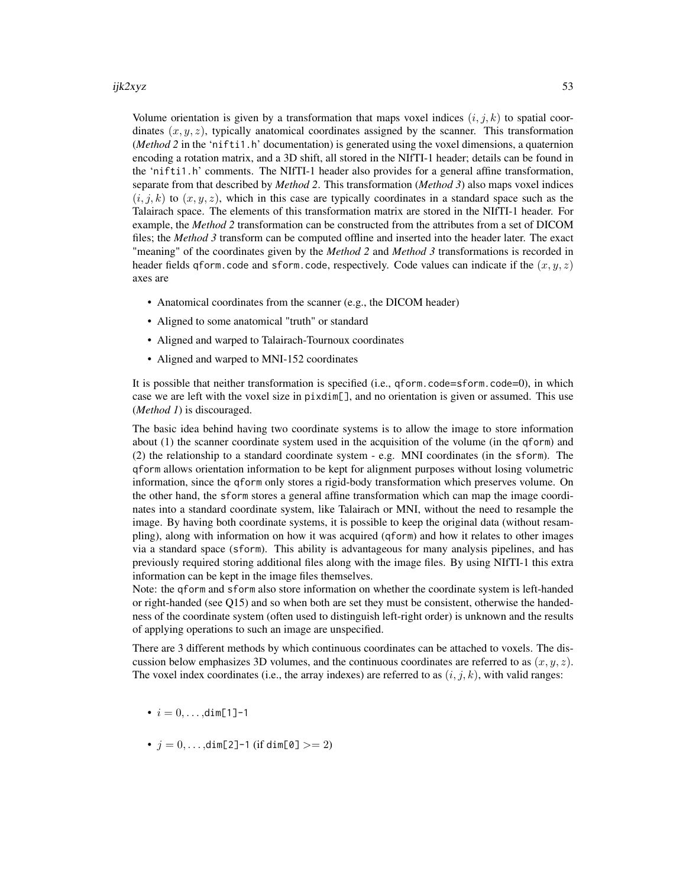#### ijk2xyz 53

Volume orientation is given by a transformation that maps voxel indices  $(i, j, k)$  to spatial coordinates  $(x, y, z)$ , typically anatomical coordinates assigned by the scanner. This transformation (*Method 2* in the 'nifti1.h' documentation) is generated using the voxel dimensions, a quaternion encoding a rotation matrix, and a 3D shift, all stored in the NIfTI-1 header; details can be found in the 'nifti1.h' comments. The NIfTI-1 header also provides for a general affine transformation, separate from that described by *Method 2*. This transformation (*Method 3*) also maps voxel indices  $(i, j, k)$  to  $(x, y, z)$ , which in this case are typically coordinates in a standard space such as the Talairach space. The elements of this transformation matrix are stored in the NIfTI-1 header. For example, the *Method 2* transformation can be constructed from the attributes from a set of DICOM files; the *Method 3* transform can be computed offline and inserted into the header later. The exact "meaning" of the coordinates given by the *Method 2* and *Method 3* transformations is recorded in header fields qform.code and sform.code, respectively. Code values can indicate if the  $(x, y, z)$ axes are

- Anatomical coordinates from the scanner (e.g., the DICOM header)
- Aligned to some anatomical "truth" or standard
- Aligned and warped to Talairach-Tournoux coordinates
- Aligned and warped to MNI-152 coordinates

It is possible that neither transformation is specified (i.e., qform.code=sform.code=0), in which case we are left with the voxel size in pixdim[], and no orientation is given or assumed. This use (*Method 1*) is discouraged.

The basic idea behind having two coordinate systems is to allow the image to store information about (1) the scanner coordinate system used in the acquisition of the volume (in the qform) and (2) the relationship to a standard coordinate system - e.g. MNI coordinates (in the sform). The qform allows orientation information to be kept for alignment purposes without losing volumetric information, since the qform only stores a rigid-body transformation which preserves volume. On the other hand, the sform stores a general affine transformation which can map the image coordinates into a standard coordinate system, like Talairach or MNI, without the need to resample the image. By having both coordinate systems, it is possible to keep the original data (without resampling), along with information on how it was acquired (qform) and how it relates to other images via a standard space (sform). This ability is advantageous for many analysis pipelines, and has previously required storing additional files along with the image files. By using NIfTI-1 this extra information can be kept in the image files themselves.

Note: the qform and sform also store information on whether the coordinate system is left-handed or right-handed (see Q15) and so when both are set they must be consistent, otherwise the handedness of the coordinate system (often used to distinguish left-right order) is unknown and the results of applying operations to such an image are unspecified.

There are 3 different methods by which continuous coordinates can be attached to voxels. The discussion below emphasizes 3D volumes, and the continuous coordinates are referred to as  $(x, y, z)$ . The voxel index coordinates (i.e., the array indexes) are referred to as  $(i, j, k)$ , with valid ranges:

- $i = 0, \ldots, \text{dim}[1]-1$
- $j = 0, ..., dim[2]$ -1 (if dim[0]  $>= 2$ )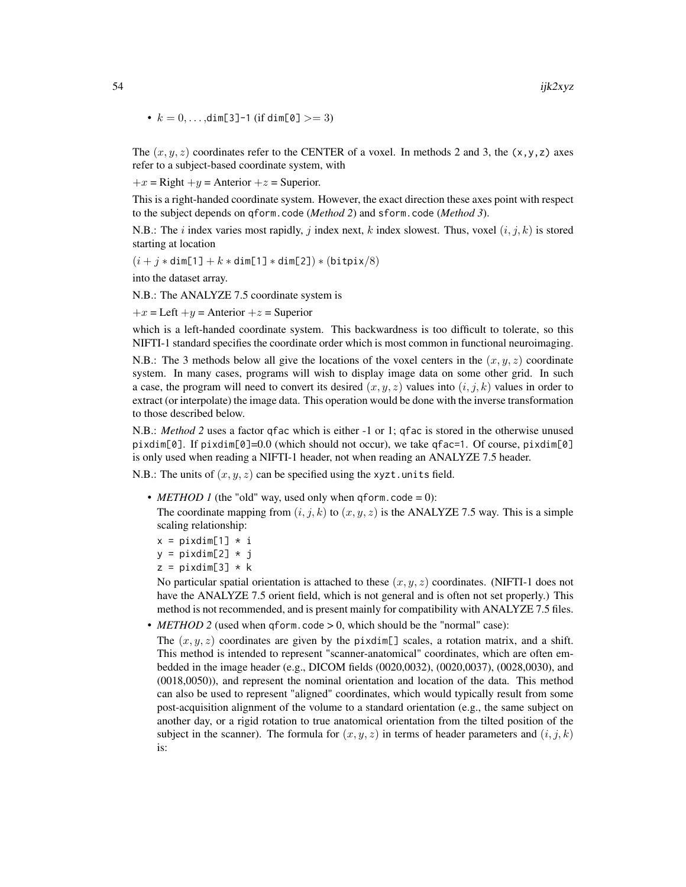•  $k = 0, \ldots, \text{dim}[3]$ -1 (if  $\dim[0] > = 3$ )

The  $(x, y, z)$  coordinates refer to the CENTER of a voxel. In methods 2 and 3, the  $(x, y, z)$  axes refer to a subject-based coordinate system, with

 $+x =$  Right  $+y =$  Anterior  $+z =$  Superior.

This is a right-handed coordinate system. However, the exact direction these axes point with respect to the subject depends on qform.code (*Method 2*) and sform.code (*Method 3*).

N.B.: The i index varies most rapidly, j index next, k index slowest. Thus, voxel  $(i, j, k)$  is stored starting at location

 $(i + j * dim[1] + k * dim[1] * dim[2]) * (bitpix/8)$ 

into the dataset array.

N.B.: The ANALYZE 7.5 coordinate system is

 $+x =$  Left  $+y =$  Anterior  $+z =$  Superior

which is a left-handed coordinate system. This backwardness is too difficult to tolerate, so this NIFTI-1 standard specifies the coordinate order which is most common in functional neuroimaging.

N.B.: The 3 methods below all give the locations of the voxel centers in the  $(x, y, z)$  coordinate system. In many cases, programs will wish to display image data on some other grid. In such a case, the program will need to convert its desired  $(x, y, z)$  values into  $(i, j, k)$  values in order to extract (or interpolate) the image data. This operation would be done with the inverse transformation to those described below.

N.B.: *Method 2* uses a factor qfac which is either -1 or 1; qfac is stored in the otherwise unused pixdim[0]. If pixdim[0]=0.0 (which should not occur), we take qfac=1. Of course, pixdim[0] is only used when reading a NIFTI-1 header, not when reading an ANALYZE 7.5 header.

N.B.: The units of  $(x, y, z)$  can be specified using the xyzt.units field.

• *METHOD 1* (the "old" way, used only when qform.code = 0):

The coordinate mapping from  $(i, j, k)$  to  $(x, y, z)$  is the ANALYZE 7.5 way. This is a simple scaling relationship:

$$
x = \text{pixdim}[1] \cdot i
$$

- $y = pi$ xdim[2] \* j
- $z = \text{pixdim}[3] * k$

No particular spatial orientation is attached to these  $(x, y, z)$  coordinates. (NIFTI-1 does not have the ANALYZE 7.5 orient field, which is not general and is often not set properly.) This method is not recommended, and is present mainly for compatibility with ANALYZE 7.5 files.

• *METHOD* 2 (used when qform.code > 0, which should be the "normal" case):

The  $(x, y, z)$  coordinates are given by the pixdim[] scales, a rotation matrix, and a shift. This method is intended to represent "scanner-anatomical" coordinates, which are often embedded in the image header (e.g., DICOM fields (0020,0032), (0020,0037), (0028,0030), and (0018,0050)), and represent the nominal orientation and location of the data. This method can also be used to represent "aligned" coordinates, which would typically result from some post-acquisition alignment of the volume to a standard orientation (e.g., the same subject on another day, or a rigid rotation to true anatomical orientation from the tilted position of the subject in the scanner). The formula for  $(x, y, z)$  in terms of header parameters and  $(i, j, k)$ is: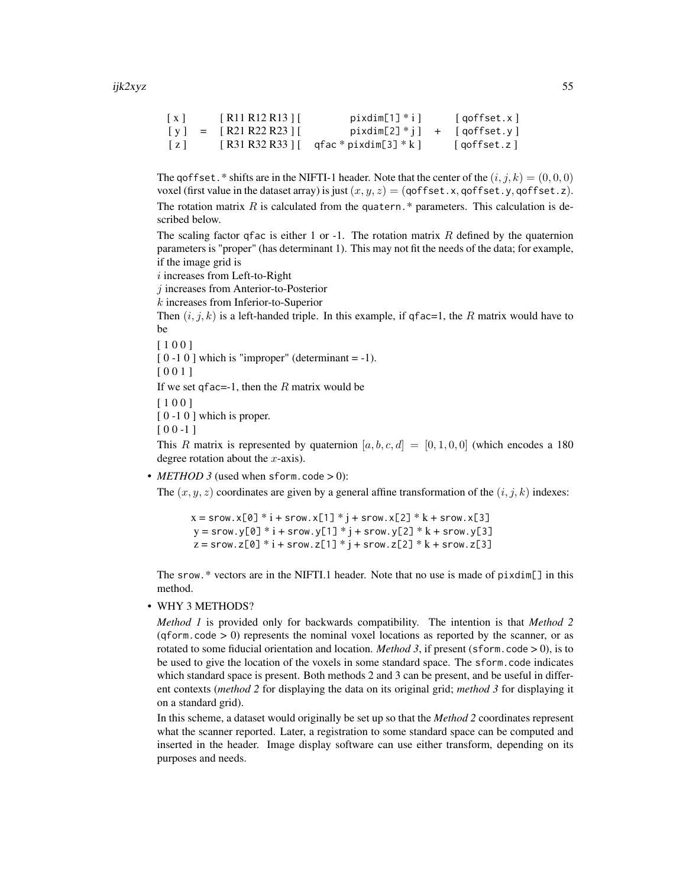```
[x] [R11 R12 R13] pixdim[1] iqoffset.x][y] = [R21 R22 R23][ pixdim[2]^*i] + [qoffset.y][z] [ R31 R32 R33 ] [ qfac * pixdim[3] * k ] [ qoffset.z ]
```
The goffset. \* shifts are in the NIFTI-1 header. Note that the center of the  $(i, j, k) = (0, 0, 0)$ voxel (first value in the dataset array) is just  $(x, y, z) = (q \cdot \text{offset.x}, q \cdot \text{offset.y}, q \cdot \text{offset.z})$ . The rotation matrix  $R$  is calculated from the quatern.\* parameters. This calculation is described below.

The scaling factor qfac is either 1 or -1. The rotation matrix  $R$  defined by the quaternion parameters is "proper" (has determinant 1). This may not fit the needs of the data; for example, if the image grid is

i increases from Left-to-Right

j increases from Anterior-to-Posterior

k increases from Inferior-to-Superior

Then  $(i, j, k)$  is a left-handed triple. In this example, if qfac=1, the R matrix would have to be

[ 1 0 0 ]

 $[0 -1 0]$  which is "improper" (determinant = -1).

[ 0 0 1 ]

If we set qfac=-1, then the  $R$  matrix would be

[ 1 0 0 ]

 $\lceil 0 -1 0 \rceil$  which is proper.

 $[00 -1]$ 

This R matrix is represented by quaternion  $[a, b, c, d] = [0, 1, 0, 0]$  (which encodes a 180 degree rotation about the  $x$ -axis).

•  $METHOD 3$  (used when sform.code  $> 0$ ):

The  $(x, y, z)$  coordinates are given by a general affine transformation of the  $(i, j, k)$  indexes:

 $x =$ srow.x[0] \*  $i +$ srow.x[1] \*  $j +$ srow.x[2] \*  $k +$ srow.x[3]  $y =$ srow.y[0] \*  $i +$ srow.y[1] \*  $j +$ srow.y[2] \*  $k +$ srow.y[3]  $z =$  srow.z[0] \*  $i +$  srow.z[1] \*  $j +$  srow.z[2] \*  $k +$  srow.z[3]

The srow.\* vectors are in the NIFTI.1 header. Note that no use is made of pixdim[] in this method.

• WHY 3 METHODS?

*Method 1* is provided only for backwards compatibility. The intention is that *Method 2*  $(qform, code > 0)$  represents the nominal voxel locations as reported by the scanner, or as rotated to some fiducial orientation and location. *Method 3*, if present (sform.code  $> 0$ ), is to be used to give the location of the voxels in some standard space. The sform.code indicates which standard space is present. Both methods 2 and 3 can be present, and be useful in different contexts (*method 2* for displaying the data on its original grid; *method 3* for displaying it on a standard grid).

In this scheme, a dataset would originally be set up so that the *Method 2* coordinates represent what the scanner reported. Later, a registration to some standard space can be computed and inserted in the header. Image display software can use either transform, depending on its purposes and needs.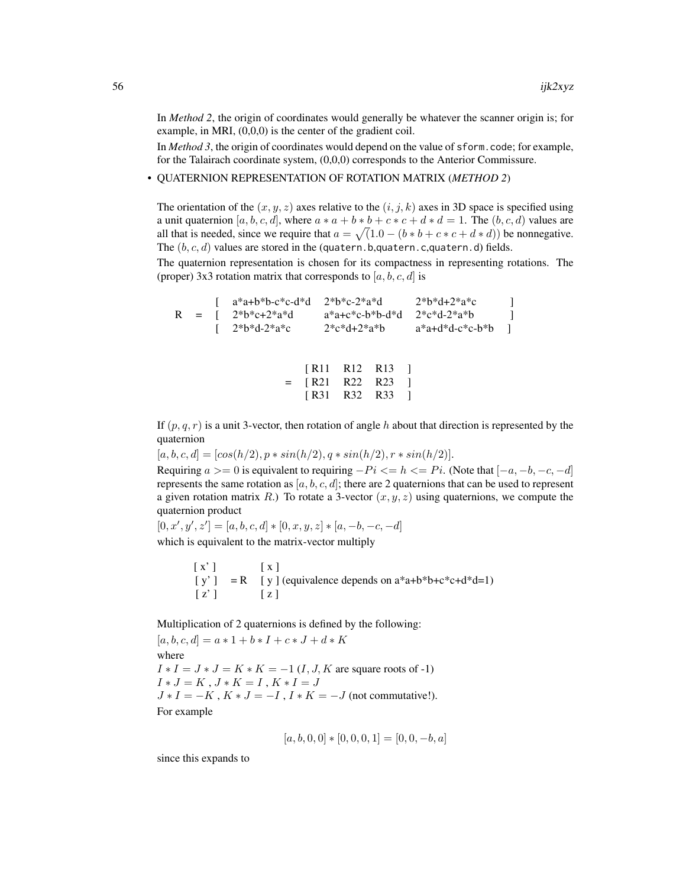In *Method 2*, the origin of coordinates would generally be whatever the scanner origin is; for example, in MRI, (0,0,0) is the center of the gradient coil.

In *Method 3*, the origin of coordinates would depend on the value of sform.code; for example, for the Talairach coordinate system, (0,0,0) corresponds to the Anterior Commissure.

• QUATERNION REPRESENTATION OF ROTATION MATRIX (*METHOD 2*)

The orientation of the  $(x, y, z)$  axes relative to the  $(i, j, k)$  axes in 3D space is specified using a unit quaternion [a, b, c, d], where  $a * a + b * b + c * c + d * d = 1$ . The  $(b, c, d)$  values are all that is needed, since we require that  $a = \sqrt{(1.0 - (b * b + c * c + d * d))}$  be nonnegative. The  $(b, c, d)$  values are stored in the (quatern.b,quatern.c,quatern.d) fields.

The quaternion representation is chosen for its compactness in representing rotations. The (proper) 3x3 rotation matrix that corresponds to  $[a, b, c, d]$  is

 $[a^*a+b^*b-c^*c-d^*d \t 2^*b^*c-2^*a^*d \t 2^*b^*d+2^*a^*c \t ]$  $R = [ 2*b*c+2*a*d a*a+c*c-b*b-d*d 2*c*d-2*a*b ]$  $\left[ \right. 2^{*}b^{*}d-2^{*}a^{*}c \qquad 2^{*}c^{*}d+2^{*}a^{*}b \qquad a^{*}a+d^{*}d-c^{*}c-b^{*}b \qquad \right]$ 

|     | [R11 R12 R13 ] |                |  |
|-----|----------------|----------------|--|
| $=$ | [R21 R22 R23 ] |                |  |
|     |                | [R31 R32 R33 ] |  |

If  $(p, q, r)$  is a unit 3-vector, then rotation of angle h about that direction is represented by the quaternion

 $[a, b, c, d] = [\cos(h/2), p * \sin(h/2), q * \sin(h/2), r * \sin(h/2)].$ 

Requiring  $a >= 0$  is equivalent to requiring  $-Pi \leq h \leq Pi$ . (Note that  $[-a, -b, -c, -d]$ ) represents the same rotation as  $[a, b, c, d]$ ; there are 2 quaternions that can be used to represent a given rotation matrix R.) To rotate a 3-vector  $(x, y, z)$  using quaternions, we compute the quaternion product

 $[0, x', y', z'] = [a, b, c, d] * [0, x, y, z] * [a, -b, -c, -d]$ which is equivalent to the matrix-vector multiply

> $[X']$   $[X]$  $[y'] = R$  [ y ] (equivalence depends on  $a^*a+b^*b+c^*c+d^*d=1$ )  $\lceil z' \rceil$   $\lceil z \rceil$

Multiplication of 2 quaternions is defined by the following:

 $[a, b, c, d] = a * 1 + b * I + c * J + d * K$ where  $I * I = J * J = K * K = -1 (I, J, K$  are square roots of -1)  $I * J = K, J * K = I, K * I = J$  $J * I = -K$ ,  $K * J = -I$ ,  $I * K = -J$  (not commutative!). For example

$$
[a, b, 0, 0] * [0, 0, 0, 1] = [0, 0, -b, a]
$$

since this expands to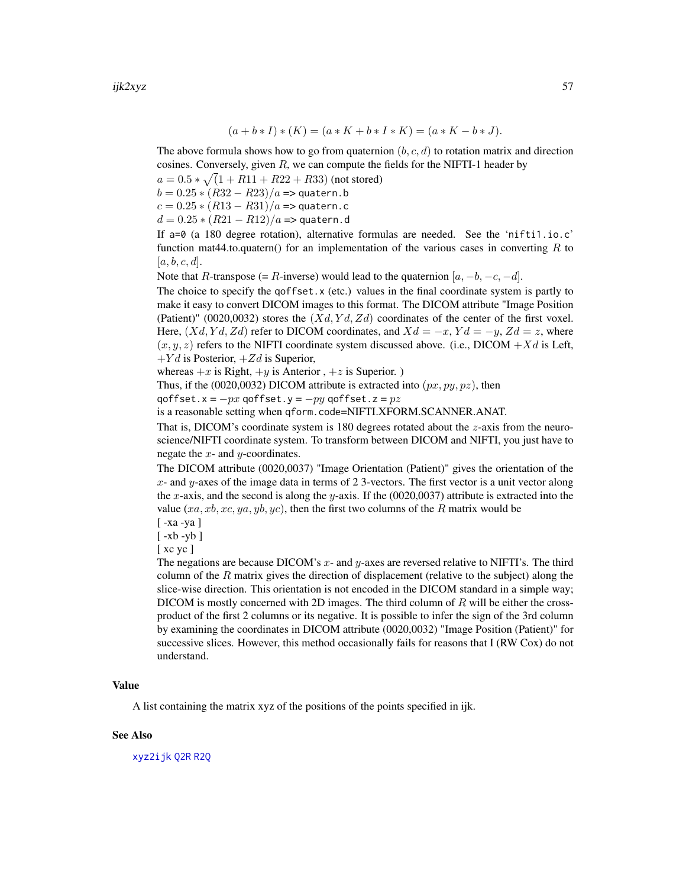$$
(a + b * I) * (K) = (a * K + b * I * K) = (a * K - b * J).
$$

The above formula shows how to go from quaternion  $(b, c, d)$  to rotation matrix and direction cosines. Conversely, given  $R$ , we can compute the fields for the NIFTI-1 header by

 $a = 0.5 * \sqrt{(1 + R11 + R22 + R33)}$  (not stored)

 $b = 0.25 * (R32 - R23)/a \Rightarrow$  quatern.b

 $c = 0.25 * (R13 - R31)/a \Rightarrow$  quatern.c

 $d = 0.25 * (R21 - R12)/a \Rightarrow$  quatern.d

If a=0 (a 180 degree rotation), alternative formulas are needed. See the 'nifti1.io.c' function mat44.to.quatern() for an implementation of the various cases in converting  $R$  to  $[a, b, c, d]$ .

Note that R-transpose (= R-inverse) would lead to the quaternion  $[a, -b, -c, -d]$ .

The choice to specify the qoffset.  $x$  (etc.) values in the final coordinate system is partly to make it easy to convert DICOM images to this format. The DICOM attribute "Image Position (Patient)" (0020,0032) stores the  $(Xd, Yd, Zd)$  coordinates of the center of the first voxel. Here,  $(Xd, Yd, Zd)$  refer to DICOM coordinates, and  $Xd = -x$ ,  $Yd = -y$ ,  $Zd = z$ , where  $(x, y, z)$  refers to the NIFTI coordinate system discussed above. (i.e., DICOM + Xd is Left,  $+Yd$  is Posterior,  $+Zd$  is Superior,

whereas  $+x$  is Right,  $+y$  is Anterior,  $+z$  is Superior.)

Thus, if the (0020,0032) DICOM attribute is extracted into  $(px, py, pz)$ , then

qoffset.x =  $-px$  qoffset.y =  $-py$  qoffset.z =  $pz$ 

is a reasonable setting when qform.code=NIFTI.XFORM.SCANNER.ANAT.

That is, DICOM's coordinate system is 180 degrees rotated about the z-axis from the neuroscience/NIFTI coordinate system. To transform between DICOM and NIFTI, you just have to negate the  $x$ - and  $y$ -coordinates.

The DICOM attribute (0020,0037) "Image Orientation (Patient)" gives the orientation of the  $x$ - and  $y$ -axes of the image data in terms of 2 3-vectors. The first vector is a unit vector along the x-axis, and the second is along the y-axis. If the  $(0020,0037)$  attribute is extracted into the value  $(xa, xb, xc, ya, yb, yc)$ , then the first two columns of the R matrix would be

[ -xa -ya ]

[ -xb -yb ]

[ xc yc ]

The negations are because DICOM's  $x$ - and  $y$ -axes are reversed relative to NIFTI's. The third column of the  $R$  matrix gives the direction of displacement (relative to the subject) along the slice-wise direction. This orientation is not encoded in the DICOM standard in a simple way; DICOM is mostly concerned with 2D images. The third column of  $R$  will be either the crossproduct of the first 2 columns or its negative. It is possible to infer the sign of the 3rd column by examining the coordinates in DICOM attribute (0020,0032) "Image Position (Patient)" for successive slices. However, this method occasionally fails for reasons that I (RW Cox) do not understand.

#### Value

A list containing the matrix xyz of the positions of the points specified in ijk.

#### See Also

[xyz2ijk](#page-83-0) [Q2R](#page-72-0) [R2Q](#page-72-1)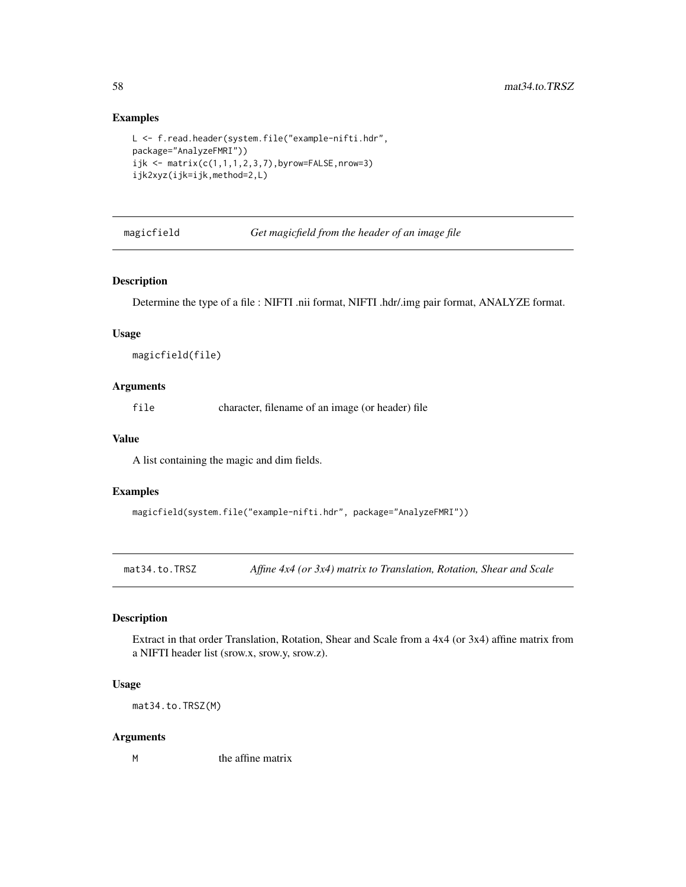## Examples

```
L <- f.read.header(system.file("example-nifti.hdr",
package="AnalyzeFMRI"))
ijk <- matrix(c(1,1,1,2,3,7),byrow=FALSE,nrow=3)
ijk2xyz(ijk=ijk,method=2,L)
```
magicfield *Get magicfield from the header of an image file*

#### Description

Determine the type of a file : NIFTI .nii format, NIFTI .hdr/.img pair format, ANALYZE format.

#### Usage

magicfield(file)

### Arguments

file character, filename of an image (or header) file

#### Value

A list containing the magic and dim fields.

#### Examples

```
magicfield(system.file("example-nifti.hdr", package="AnalyzeFMRI"))
```
<span id="page-57-0"></span>mat34.to.TRSZ *Affine 4x4 (or 3x4) matrix to Translation, Rotation, Shear and Scale*

#### Description

Extract in that order Translation, Rotation, Shear and Scale from a 4x4 (or 3x4) affine matrix from a NIFTI header list (srow.x, srow.y, srow.z).

#### Usage

mat34.to.TRSZ(M)

#### Arguments

M the affine matrix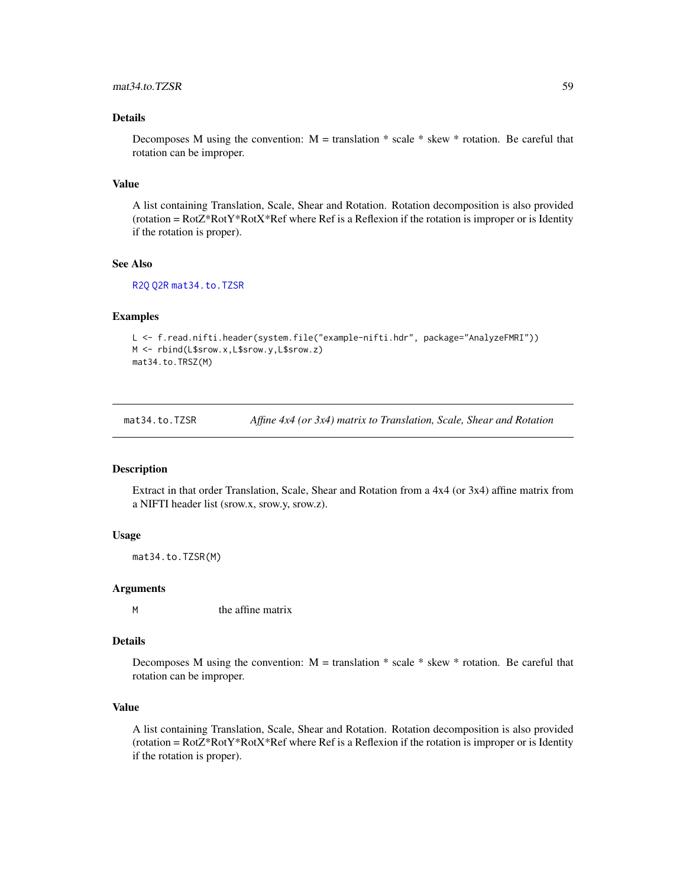### Details

Decomposes M using the convention:  $M =$  translation  $*$  scale  $*$  skew  $*$  rotation. Be careful that rotation can be improper.

#### Value

A list containing Translation, Scale, Shear and Rotation. Rotation decomposition is also provided (rotation =  $Rot2*RotY*RotX*Ref$  where Ref is a Reflexion if the rotation is improper or is Identity if the rotation is proper).

### See Also

[R2Q](#page-72-1) [Q2R](#page-72-0) [mat34.to.TZSR](#page-58-0)

#### Examples

```
L <- f.read.nifti.header(system.file("example-nifti.hdr", package="AnalyzeFMRI"))
M <- rbind(L$srow.x,L$srow.y,L$srow.z)
mat34.to.TRSZ(M)
```
<span id="page-58-0"></span>mat34.to.TZSR *Affine 4x4 (or 3x4) matrix to Translation, Scale, Shear and Rotation*

#### Description

Extract in that order Translation, Scale, Shear and Rotation from a 4x4 (or 3x4) affine matrix from a NIFTI header list (srow.x, srow.y, srow.z).

#### Usage

mat34.to.TZSR(M)

#### Arguments

M the affine matrix

#### Details

Decomposes M using the convention:  $M =$  translation  $*$  scale  $*$  skew  $*$  rotation. Be careful that rotation can be improper.

### Value

A list containing Translation, Scale, Shear and Rotation. Rotation decomposition is also provided  $(rotation = RotZ*RotY*RotX*Ref where Ref is a Reflection if the rotation is improper or is Identity)$ if the rotation is proper).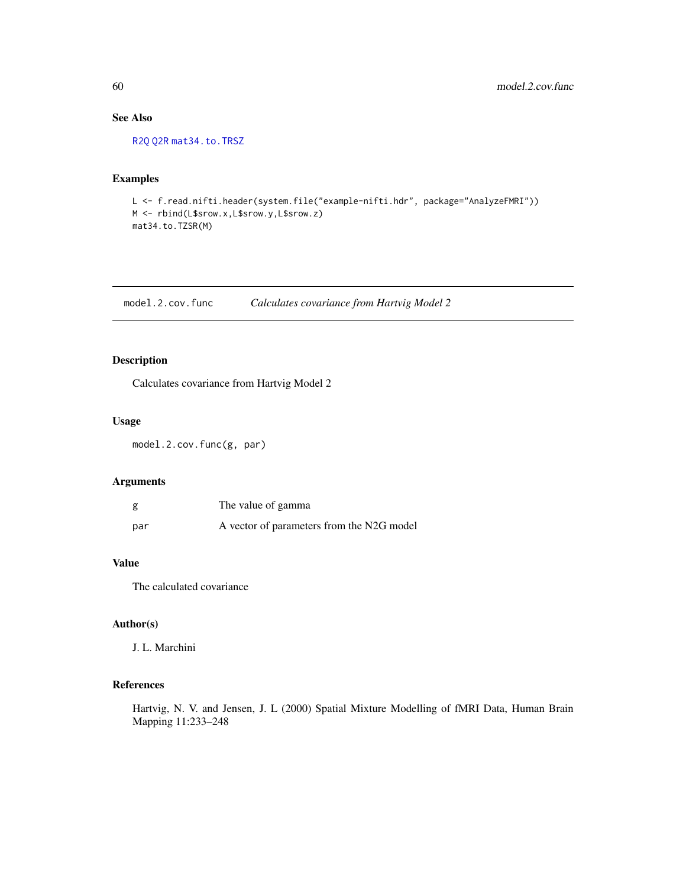## See Also

[R2Q](#page-72-1) [Q2R](#page-72-0) [mat34.to.TRSZ](#page-57-0)

## Examples

L <- f.read.nifti.header(system.file("example-nifti.hdr", package="AnalyzeFMRI")) M <- rbind(L\$srow.x,L\$srow.y,L\$srow.z) mat34.to.TZSR(M)

model.2.cov.func *Calculates covariance from Hartvig Model 2*

### Description

Calculates covariance from Hartvig Model 2

### Usage

model.2.cov.func(g, par)

#### Arguments

| g   | The value of gamma                        |
|-----|-------------------------------------------|
| par | A vector of parameters from the N2G model |

## Value

The calculated covariance

## Author(s)

J. L. Marchini

### References

Hartvig, N. V. and Jensen, J. L (2000) Spatial Mixture Modelling of fMRI Data, Human Brain Mapping 11:233–248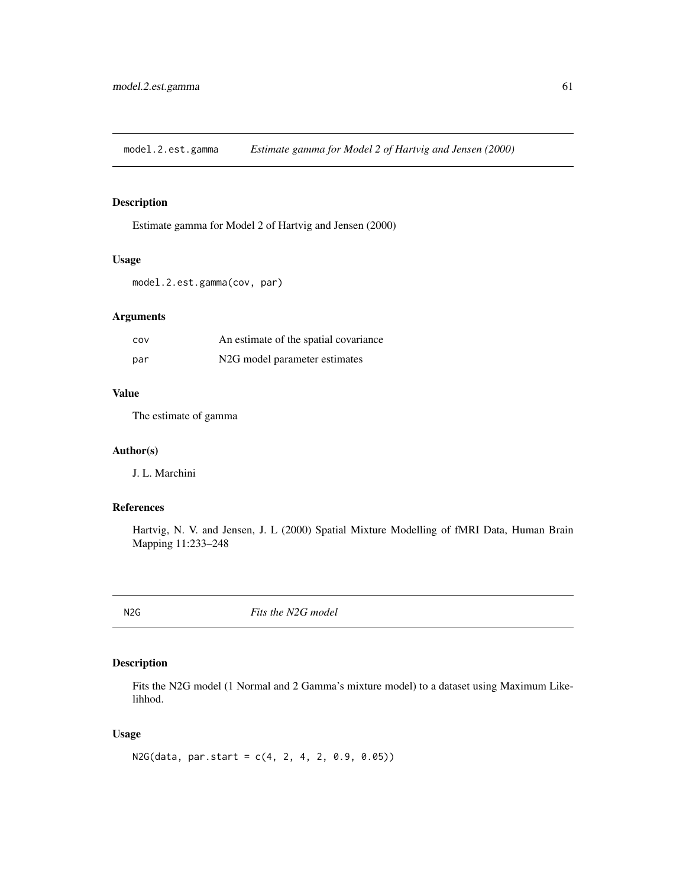model.2.est.gamma *Estimate gamma for Model 2 of Hartvig and Jensen (2000)*

## Description

Estimate gamma for Model 2 of Hartvig and Jensen (2000)

#### Usage

model.2.est.gamma(cov, par)

### Arguments

| COV | An estimate of the spatial covariance      |
|-----|--------------------------------------------|
| par | N <sub>2</sub> G model parameter estimates |

### Value

The estimate of gamma

#### Author(s)

J. L. Marchini

## References

Hartvig, N. V. and Jensen, J. L (2000) Spatial Mixture Modelling of fMRI Data, Human Brain Mapping 11:233–248

<span id="page-60-0"></span>N2G *Fits the N2G model*

### Description

Fits the N2G model (1 Normal and 2 Gamma's mixture model) to a dataset using Maximum Likelihhod.

### Usage

```
N2G(data, par.start = c(4, 2, 4, 2, 0.9, 0.05))
```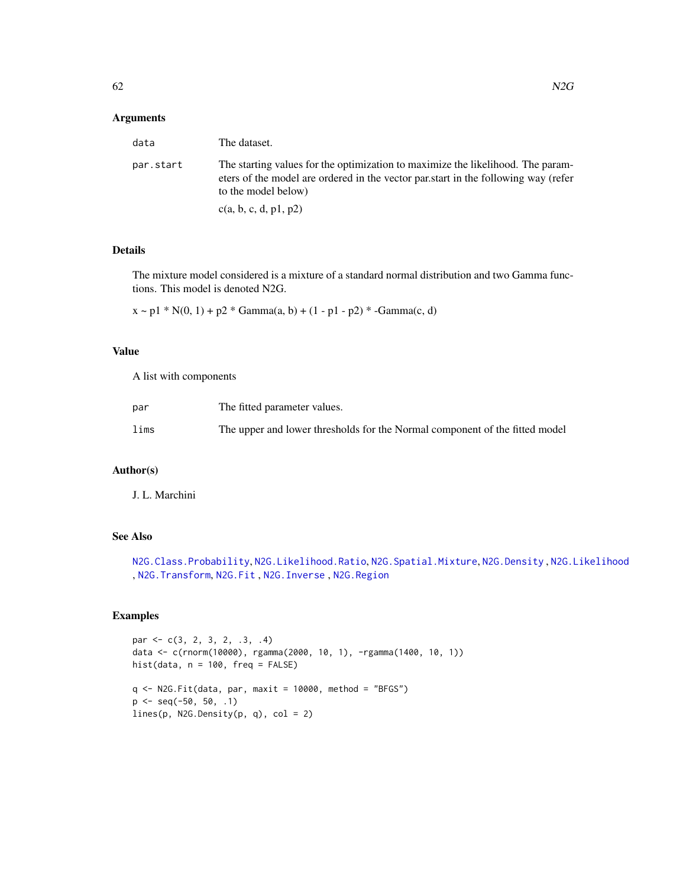#### Arguments

| data      | The dataset.                                                                                                                                                                                 |
|-----------|----------------------------------------------------------------------------------------------------------------------------------------------------------------------------------------------|
| par.start | The starting values for the optimization to maximize the likelihood. The param-<br>eters of the model are ordered in the vector partstart in the following way (refer<br>to the model below) |
|           | c(a, b, c, d, p1, p2)                                                                                                                                                                        |

### Details

The mixture model considered is a mixture of a standard normal distribution and two Gamma functions. This model is denoted N2G.

 $x \sim p1 * N(0, 1) + p2 * Gamma(a, b) + (1 - p1 - p2) * -Gamma(c, d)$ 

#### Value

A list with components

| par  | The fitted parameter values.                                                |
|------|-----------------------------------------------------------------------------|
| lims | The upper and lower thresholds for the Normal component of the fitted model |

## Author(s)

J. L. Marchini

## See Also

```
N2G.Class.Probability, N2G.Likelihood.Ratio, N2G.Spatial.Mixture, N2G.Density , N2G.Likelihood
, N2G.Transform, N2G.Fit , N2G.Inverse , N2G.Region
```
### Examples

```
par <- c(3, 2, 3, 2, .3, .4)
data <- c(rnorm(10000), rgamma(2000, 10, 1), -rgamma(1400, 10, 1))
hist(data, n = 100, freq = FALSE)
q \leq N2G.Fit(data, par, maxit = 10000, method = "BFGS")p <- seq(-50, 50, .1)
lines(p, N2G.Density(p, q), col = 2)
```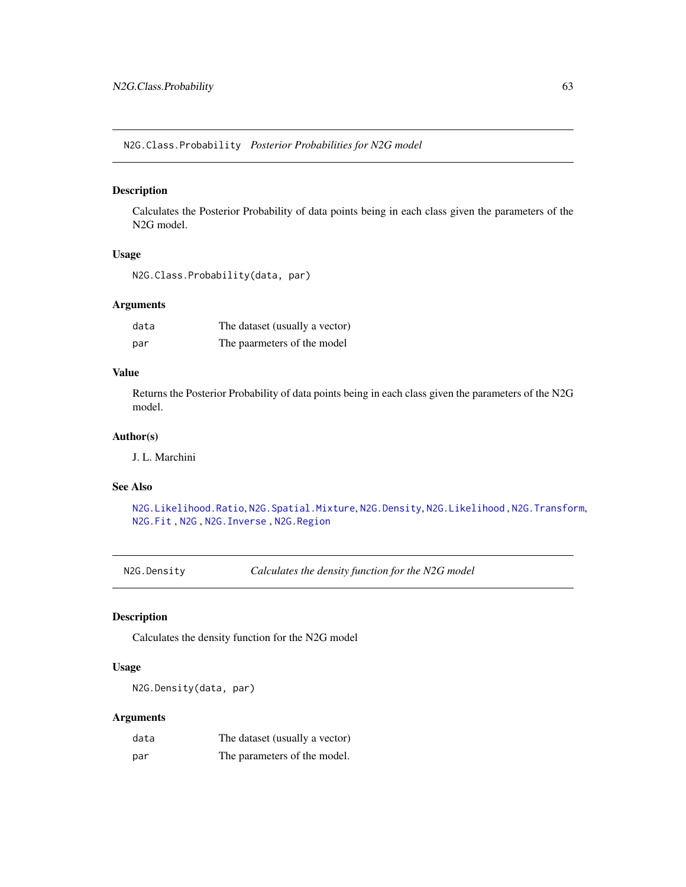<span id="page-62-0"></span>N2G.Class.Probability *Posterior Probabilities for N2G model*

### Description

Calculates the Posterior Probability of data points being in each class given the parameters of the N2G model.

#### Usage

```
N2G.Class.Probability(data, par)
```
#### Arguments

| data | The dataset (usually a vector) |
|------|--------------------------------|
| par  | The paarmeters of the model    |

#### Value

Returns the Posterior Probability of data points being in each class given the parameters of the N2G model.

### Author(s)

J. L. Marchini

### See Also

[N2G.Likelihood.Ratio](#page-65-0), [N2G.Spatial.Mixture](#page-67-0), [N2G.Density](#page-62-1), [N2G.Likelihood](#page-65-1) , [N2G.Transform](#page-68-0), [N2G.Fit](#page-63-0) , [N2G](#page-60-0) , [N2G.Inverse](#page-64-0) , [N2G.Region](#page-66-0)

<span id="page-62-1"></span>N2G.Density *Calculates the density function for the N2G model*

### Description

Calculates the density function for the N2G model

#### Usage

N2G.Density(data, par)

#### Arguments

| data | The dataset (usually a vector) |
|------|--------------------------------|
| par  | The parameters of the model.   |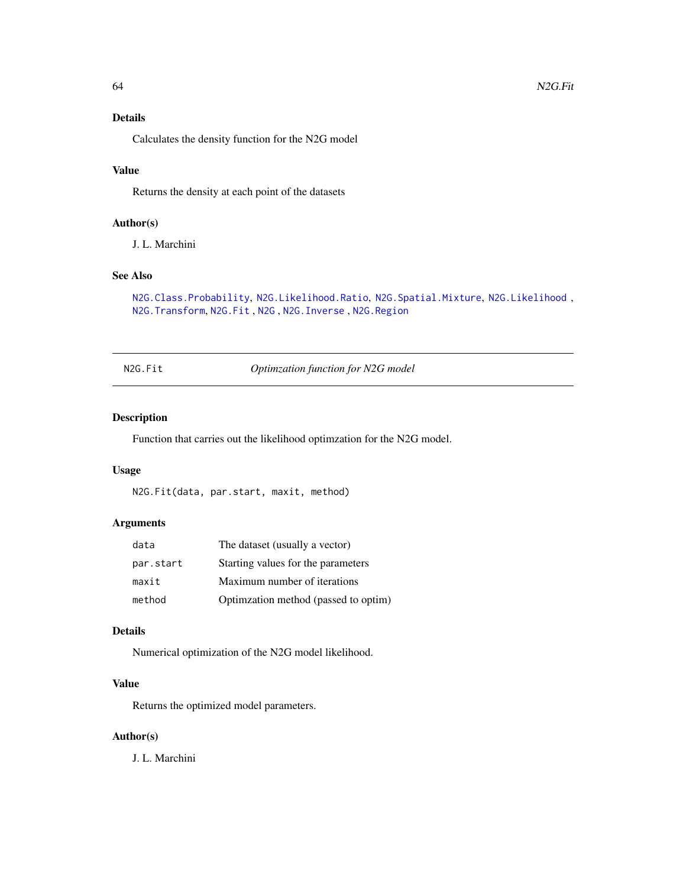## Details

Calculates the density function for the N2G model

## Value

Returns the density at each point of the datasets

#### Author(s)

J. L. Marchini

### See Also

```
N2G.Class.Probability, N2G.Likelihood.Ratio, N2G.Spatial.Mixture, N2G.Likelihood ,
N2G.Transform, N2G.Fit , N2G , N2G.Inverse , N2G.Region
```
<span id="page-63-0"></span>N2G.Fit *Optimzation function for N2G model*

### Description

Function that carries out the likelihood optimzation for the N2G model.

#### Usage

N2G.Fit(data, par.start, maxit, method)

## Arguments

| data      | The dataset (usually a vector)       |
|-----------|--------------------------------------|
| par.start | Starting values for the parameters   |
| maxit     | Maximum number of iterations         |
| method    | Optimzation method (passed to optim) |

#### Details

Numerical optimization of the N2G model likelihood.

## Value

Returns the optimized model parameters.

## Author(s)

J. L. Marchini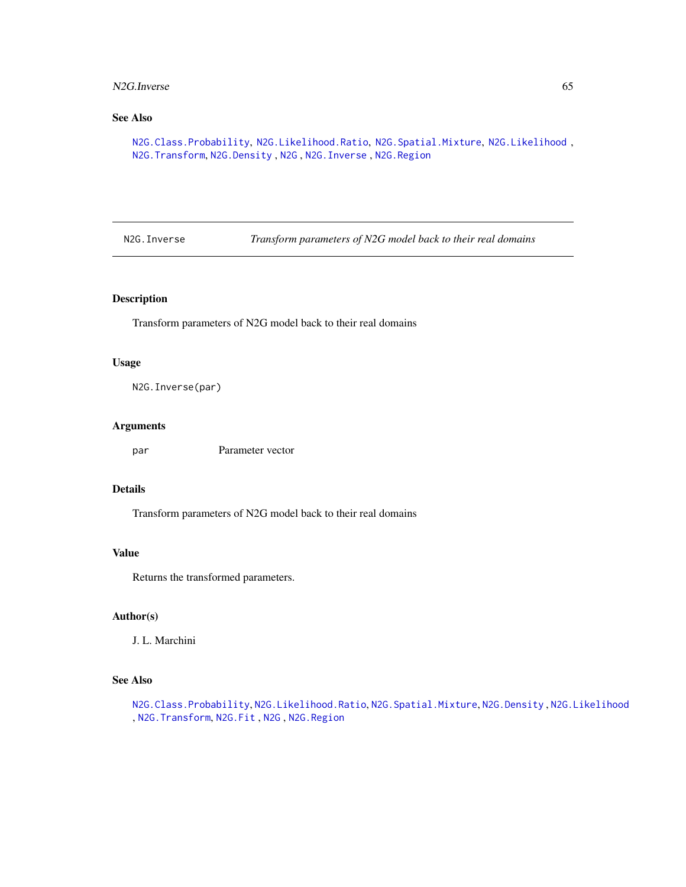#### N2G.Inverse 65

## See Also

[N2G.Class.Probability](#page-62-0), [N2G.Likelihood.Ratio](#page-65-0), [N2G.Spatial.Mixture](#page-67-0), [N2G.Likelihood](#page-65-1) , [N2G.Transform](#page-68-0), [N2G.Density](#page-62-1) , [N2G](#page-60-0) , [N2G.Inverse](#page-64-0) , [N2G.Region](#page-66-0)

<span id="page-64-0"></span>N2G.Inverse *Transform parameters of N2G model back to their real domains*

### Description

Transform parameters of N2G model back to their real domains

#### Usage

N2G.Inverse(par)

### Arguments

par Parameter vector

#### Details

Transform parameters of N2G model back to their real domains

#### Value

Returns the transformed parameters.

## Author(s)

J. L. Marchini

#### See Also

[N2G.Class.Probability](#page-62-0), [N2G.Likelihood.Ratio](#page-65-0), [N2G.Spatial.Mixture](#page-67-0), [N2G.Density](#page-62-1) , [N2G.Likelihood](#page-65-1) , [N2G.Transform](#page-68-0), [N2G.Fit](#page-63-0) , [N2G](#page-60-0) , [N2G.Region](#page-66-0)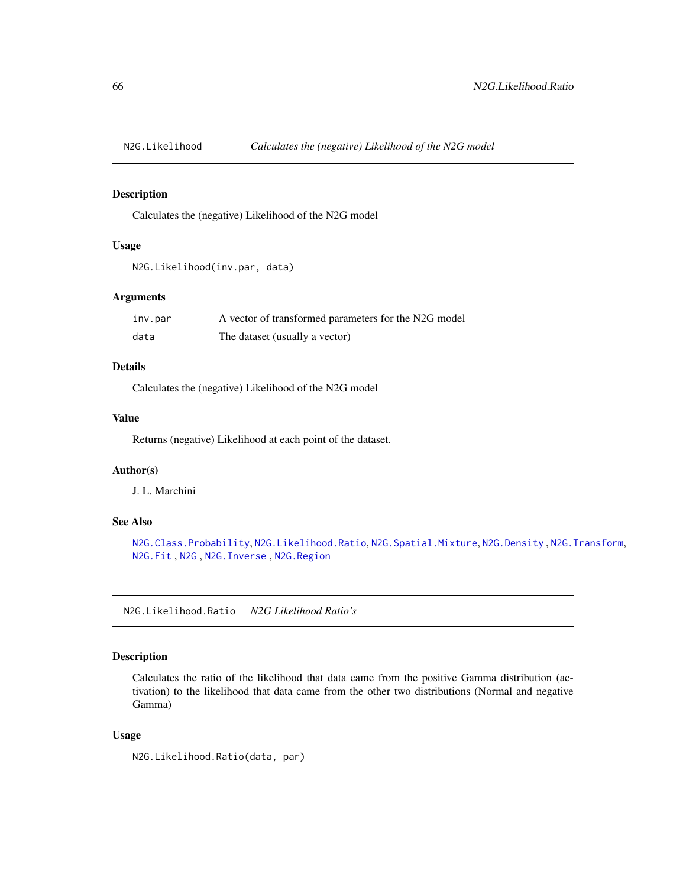<span id="page-65-1"></span>

## Description

Calculates the (negative) Likelihood of the N2G model

## Usage

```
N2G.Likelihood(inv.par, data)
```
## Arguments

| inv.par | A vector of transformed parameters for the N2G model |
|---------|------------------------------------------------------|
| data    | The dataset (usually a vector)                       |

### Details

Calculates the (negative) Likelihood of the N2G model

#### Value

Returns (negative) Likelihood at each point of the dataset.

#### Author(s)

J. L. Marchini

## See Also

[N2G.Class.Probability](#page-62-0), [N2G.Likelihood.Ratio](#page-65-0), [N2G.Spatial.Mixture](#page-67-0), [N2G.Density](#page-62-1) , [N2G.Transform](#page-68-0), [N2G.Fit](#page-63-0) , [N2G](#page-60-0) , [N2G.Inverse](#page-64-0) , [N2G.Region](#page-66-0)

<span id="page-65-0"></span>N2G.Likelihood.Ratio *N2G Likelihood Ratio's*

#### Description

Calculates the ratio of the likelihood that data came from the positive Gamma distribution (activation) to the likelihood that data came from the other two distributions (Normal and negative Gamma)

#### Usage

N2G.Likelihood.Ratio(data, par)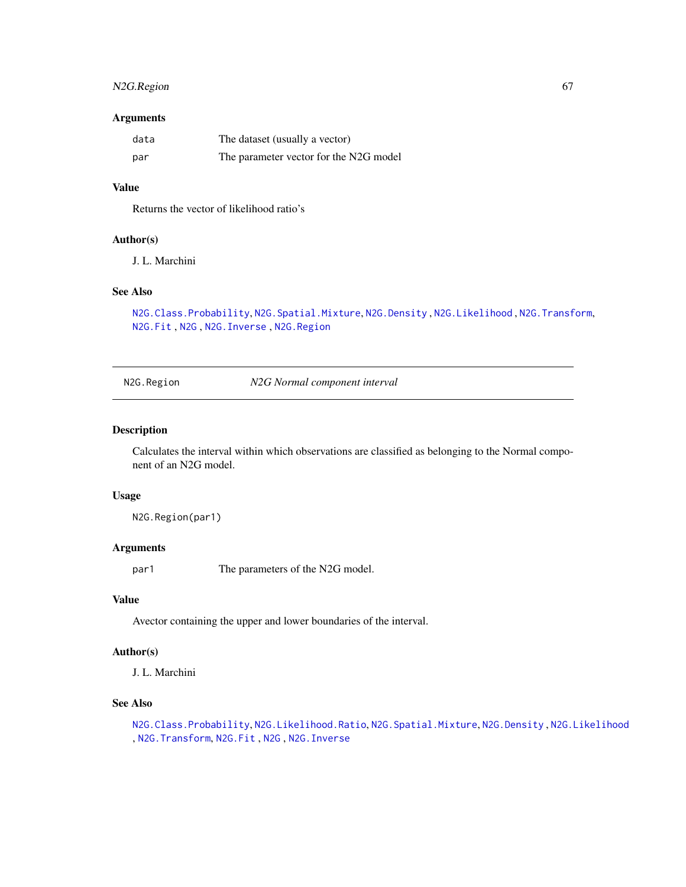### N2G.Region 67

#### Arguments

| data | The dataset (usually a vector)         |
|------|----------------------------------------|
| par  | The parameter vector for the N2G model |

### Value

Returns the vector of likelihood ratio's

### Author(s)

J. L. Marchini

# See Also

[N2G.Class.Probability](#page-62-0), [N2G.Spatial.Mixture](#page-67-0), [N2G.Density](#page-62-1) , [N2G.Likelihood](#page-65-1) , [N2G.Transform](#page-68-0), [N2G.Fit](#page-63-0) , [N2G](#page-60-0) , [N2G.Inverse](#page-64-0) , [N2G.Region](#page-66-0)

<span id="page-66-0"></span>N2G.Region *N2G Normal component interval*

### Description

Calculates the interval within which observations are classified as belonging to the Normal component of an N2G model.

#### Usage

N2G.Region(par1)

### Arguments

par1 The parameters of the N2G model.

## Value

Avector containing the upper and lower boundaries of the interval.

#### Author(s)

J. L. Marchini

### See Also

[N2G.Class.Probability](#page-62-0), [N2G.Likelihood.Ratio](#page-65-0), [N2G.Spatial.Mixture](#page-67-0), [N2G.Density](#page-62-1) , [N2G.Likelihood](#page-65-1) , [N2G.Transform](#page-68-0), [N2G.Fit](#page-63-0) , [N2G](#page-60-0) , [N2G.Inverse](#page-64-0)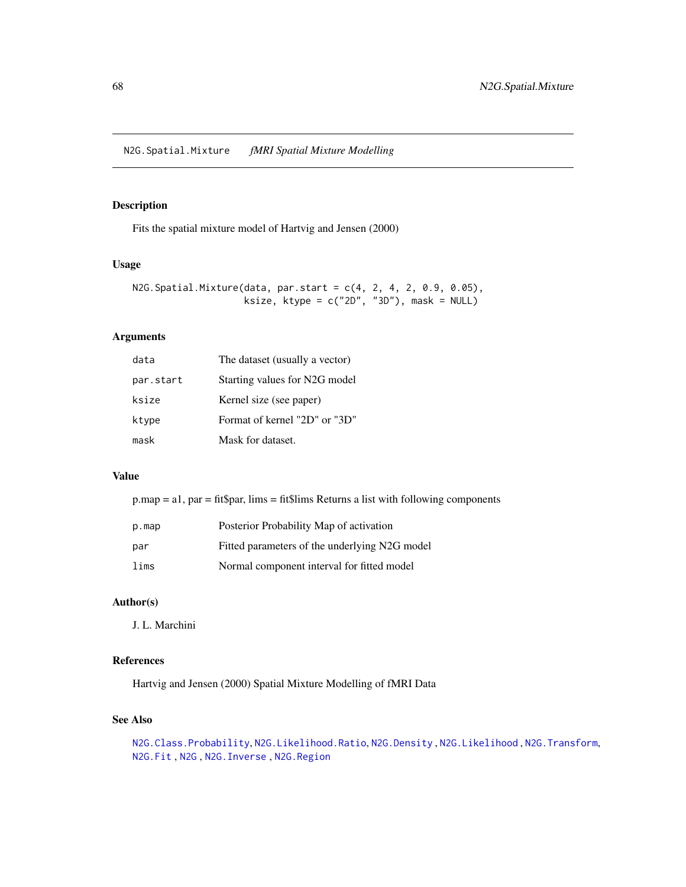<span id="page-67-0"></span>N2G.Spatial.Mixture *fMRI Spatial Mixture Modelling*

#### Description

Fits the spatial mixture model of Hartvig and Jensen (2000)

### Usage

```
N2G.Spatial.Mixture(data, par.start = c(4, 2, 4, 2, 0.9, 0.05),
                    ksize, ktype = c("2D", "3D"), mask = NULL)
```
#### Arguments

| data      | The dataset (usually a vector) |
|-----------|--------------------------------|
| par.start | Starting values for N2G model  |
| ksize     | Kernel size (see paper)        |
| ktype     | Format of kernel "2D" or "3D"  |
| mask      | Mask for dataset.              |

#### Value

p.map = a1, par = fit\$par, lims = fit\$lims Returns a list with following components

| p.map | Posterior Probability Map of activation       |
|-------|-----------------------------------------------|
| par   | Fitted parameters of the underlying N2G model |
| lims  | Normal component interval for fitted model    |

### Author(s)

J. L. Marchini

## References

Hartvig and Jensen (2000) Spatial Mixture Modelling of fMRI Data

### See Also

[N2G.Class.Probability](#page-62-0), [N2G.Likelihood.Ratio](#page-65-0), [N2G.Density](#page-62-1) , [N2G.Likelihood](#page-65-1) , [N2G.Transform](#page-68-0), [N2G.Fit](#page-63-0) , [N2G](#page-60-0) , [N2G.Inverse](#page-64-0) , [N2G.Region](#page-66-0)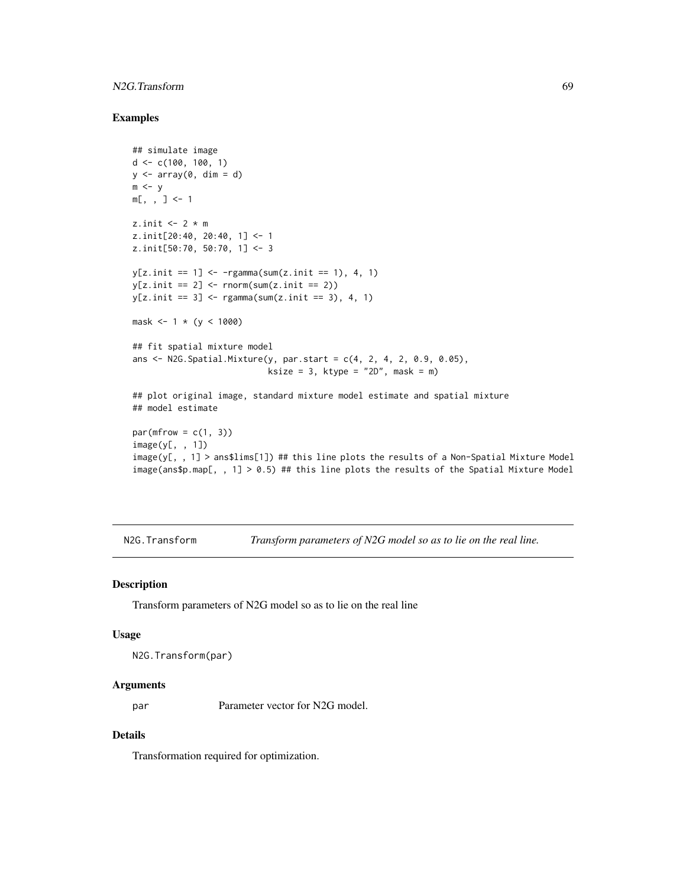### N2G.Transform 69

#### Examples

```
## simulate image
d \leq c(100, 100, 1)y \leftarrow \text{array}(0, \text{ dim} = d)m < -ym[, , ] <- 1
z.init \leq 2 \star m
z.init[20:40, 20:40, 1] <- 1
z.init[50:70, 50:70, 1] <- 3
y[z.init == 1] < -rgamma(sum(z.init == 1), 4, 1)y[z.init == 2] \leftarrow \text{norm}(\text{sum}(z.init == 2))y[z.init == 3] < - \text{rgamma}(\text{sum}(z.init == 3), 4, 1)mask <-1 * (y < 1000)
## fit spatial mixture model
ans \leq N2G. Spatial. Mixture(y, par. start = c(4, 2, 4, 2, 0.9, 0.05),
                             ksize = 3, ktype = "2D", mask = m)## plot original image, standard mixture model estimate and spatial mixture
## model estimate
par(mfrow = c(1, 3))image(y[, , 1])
image(y[, , 1] > ans$lims[1]) ## this line plots the results of a Non-Spatial Mixture Model
image(ans$p.map[, , 1] > 0.5) ## this line plots the results of the Spatial Mixture Model
```
<span id="page-68-0"></span>N2G.Transform *Transform parameters of N2G model so as to lie on the real line.*

#### Description

Transform parameters of N2G model so as to lie on the real line

#### Usage

```
N2G.Transform(par)
```
#### Arguments

par Parameter vector for N2G model.

### Details

Transformation required for optimization.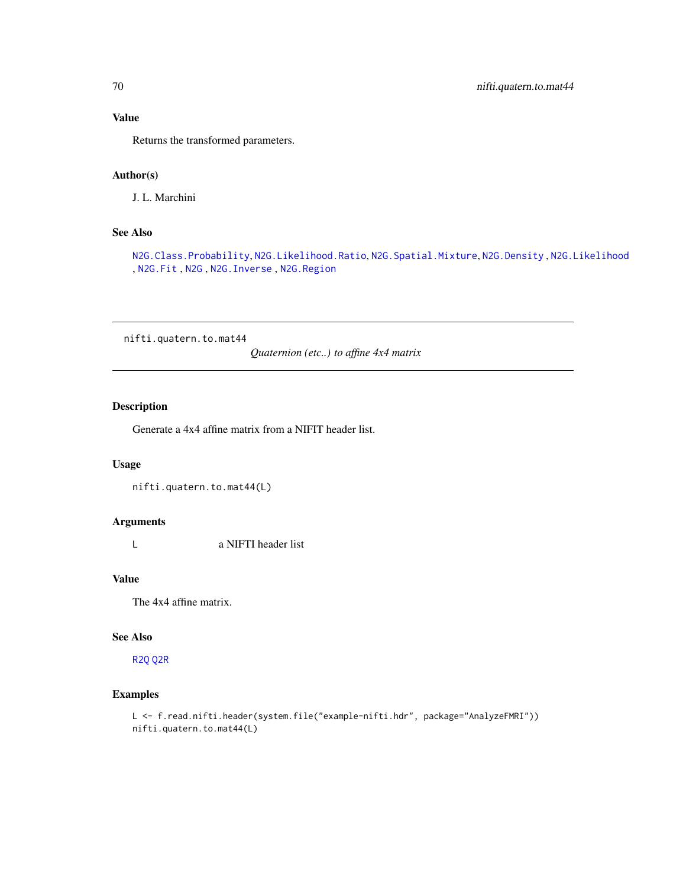## Value

Returns the transformed parameters.

### Author(s)

J. L. Marchini

### See Also

[N2G.Class.Probability](#page-62-0), [N2G.Likelihood.Ratio](#page-65-0), [N2G.Spatial.Mixture](#page-67-0), [N2G.Density](#page-62-1) , [N2G.Likelihood](#page-65-1) , [N2G.Fit](#page-63-0) , [N2G](#page-60-0) , [N2G.Inverse](#page-64-0) , [N2G.Region](#page-66-0)

nifti.quatern.to.mat44

*Quaternion (etc..) to affine 4x4 matrix*

## Description

Generate a 4x4 affine matrix from a NIFIT header list.

#### Usage

nifti.quatern.to.mat44(L)

### Arguments

L a NIFTI header list

## Value

The 4x4 affine matrix.

#### See Also

[R2Q](#page-72-1) [Q2R](#page-72-0)

## Examples

```
L <- f.read.nifti.header(system.file("example-nifti.hdr", package="AnalyzeFMRI"))
nifti.quatern.to.mat44(L)
```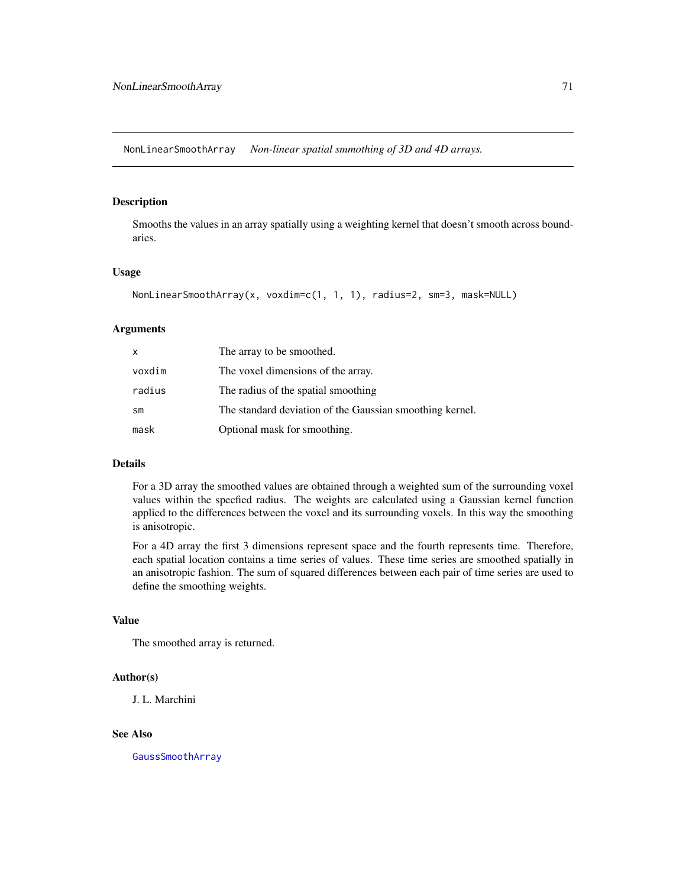NonLinearSmoothArray *Non-linear spatial smmothing of 3D and 4D arrays.*

## Description

Smooths the values in an array spatially using a weighting kernel that doesn't smooth across boundaries.

#### Usage

```
NonLinearSmoothArray(x, voxdim=c(1, 1, 1), radius=2, sm=3, mask=NULL)
```
### Arguments

| x             | The array to be smoothed.                                |
|---------------|----------------------------------------------------------|
| voxdim        | The voxel dimensions of the array.                       |
| radius        | The radius of the spatial smoothing                      |
| $\mathsf{sm}$ | The standard deviation of the Gaussian smoothing kernel. |
| mask          | Optional mask for smoothing.                             |

#### Details

For a 3D array the smoothed values are obtained through a weighted sum of the surrounding voxel values within the specfied radius. The weights are calculated using a Gaussian kernel function applied to the differences between the voxel and its surrounding voxels. In this way the smoothing is anisotropic.

For a 4D array the first 3 dimensions represent space and the fourth represents time. Therefore, each spatial location contains a time series of values. These time series are smoothed spatially in an anisotropic fashion. The sum of squared differences between each pair of time series are used to define the smoothing weights.

#### Value

The smoothed array is returned.

#### Author(s)

J. L. Marchini

#### See Also

[GaussSmoothArray](#page-47-0)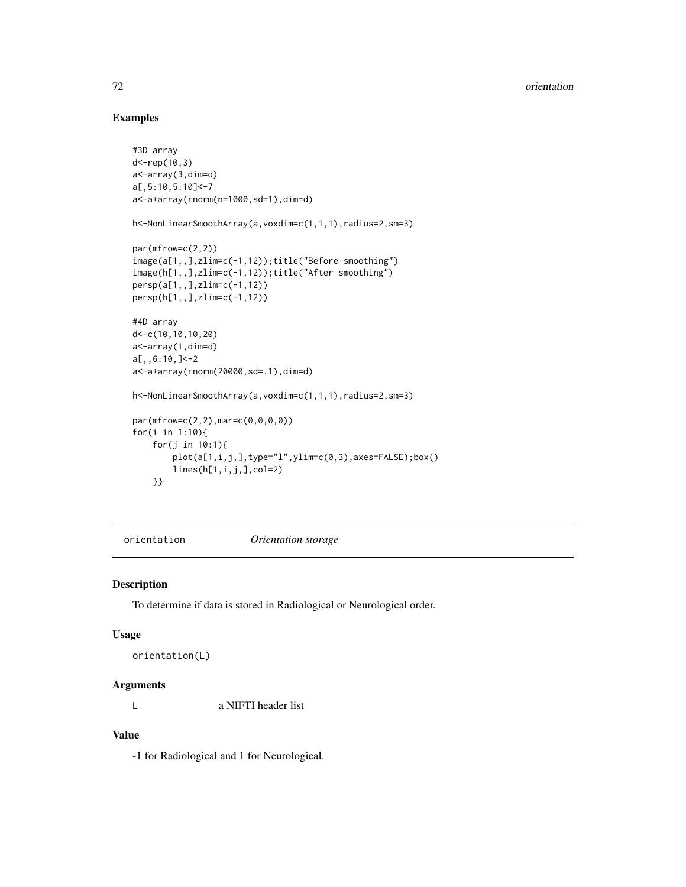## Examples

```
#3D array
d<-rep(10,3)
a<-array(3,dim=d)
a[,5:10,5:10]<-7
a<-a+array(rnorm(n=1000,sd=1),dim=d)
h<-NonLinearSmoothArray(a,voxdim=c(1,1,1),radius=2,sm=3)
par(mfrow=c(2,2))
image(a[1,,],zlim=c(-1,12));title("Before smoothing")
image(h[1,,],zlim=c(-1,12));title("After smoothing")
persp(a[1,,],zlim=c(-1,12))
persp(h[1,,],zlim=c(-1,12))
#4D array
d<-c(10,10,10,20)
a<-array(1,dim=d)
a[,,6:10,]<-2
a<-a+array(rnorm(20000,sd=.1),dim=d)
h<-NonLinearSmoothArray(a,voxdim=c(1,1,1),radius=2,sm=3)
par(mfrow=c(2,2),mar=c(0,0,0,0))
for(i in 1:10){
    for(j in 10:1){
        plot(a[1,i,j,],type="l",ylim=c(0,3),axes=FALSE);box()
        lines(h[1,i,j,],col=2)
    }}
```

```
orientation Orientation storage
```
#### Description

To determine if data is stored in Radiological or Neurological order.

#### Usage

```
orientation(L)
```
#### Arguments

L a NIFTI header list

### Value

-1 for Radiological and 1 for Neurological.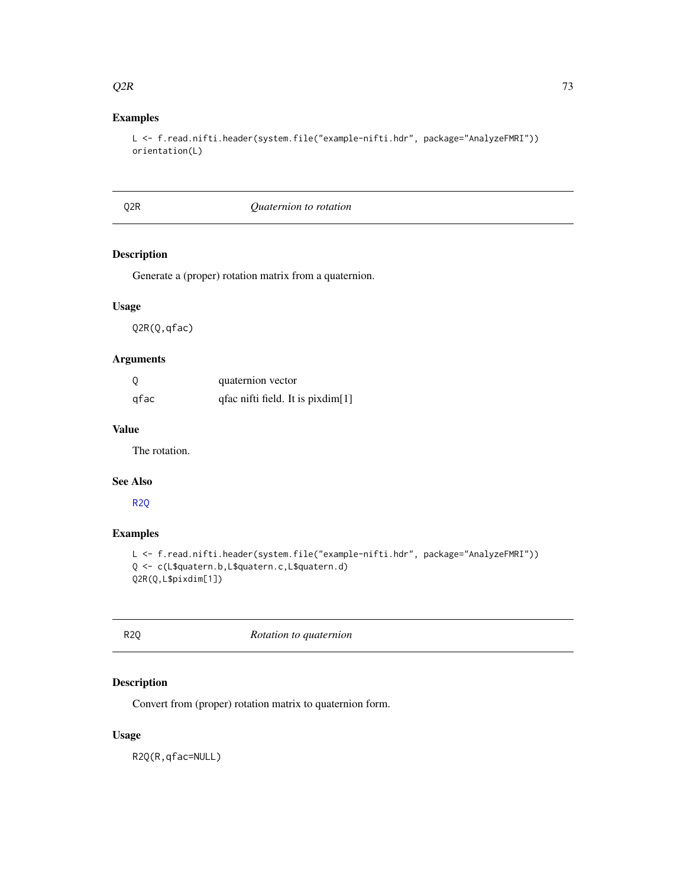#### <span id="page-72-2"></span> $Q2R$  and  $Z$  73

# Examples

```
L <- f.read.nifti.header(system.file("example-nifti.hdr", package="AnalyzeFMRI"))
orientation(L)
```
#### <span id="page-72-1"></span>Q2R *Quaternion to rotation*

#### Description

Generate a (proper) rotation matrix from a quaternion.

# Usage

Q2R(Q,qfac)

#### Arguments

| - 0  | quaternion vector                 |
|------|-----------------------------------|
| qfac | qfac nifti field. It is pixdim[1] |

#### Value

The rotation.

#### See Also

[R2Q](#page-72-0)

#### Examples

```
L <- f.read.nifti.header(system.file("example-nifti.hdr", package="AnalyzeFMRI"))
Q <- c(L$quatern.b,L$quatern.c,L$quatern.d)
Q2R(Q,L$pixdim[1])
```
<span id="page-72-0"></span>R2Q *Rotation to quaternion*

# Description

Convert from (proper) rotation matrix to quaternion form.

#### Usage

R2Q(R,qfac=NULL)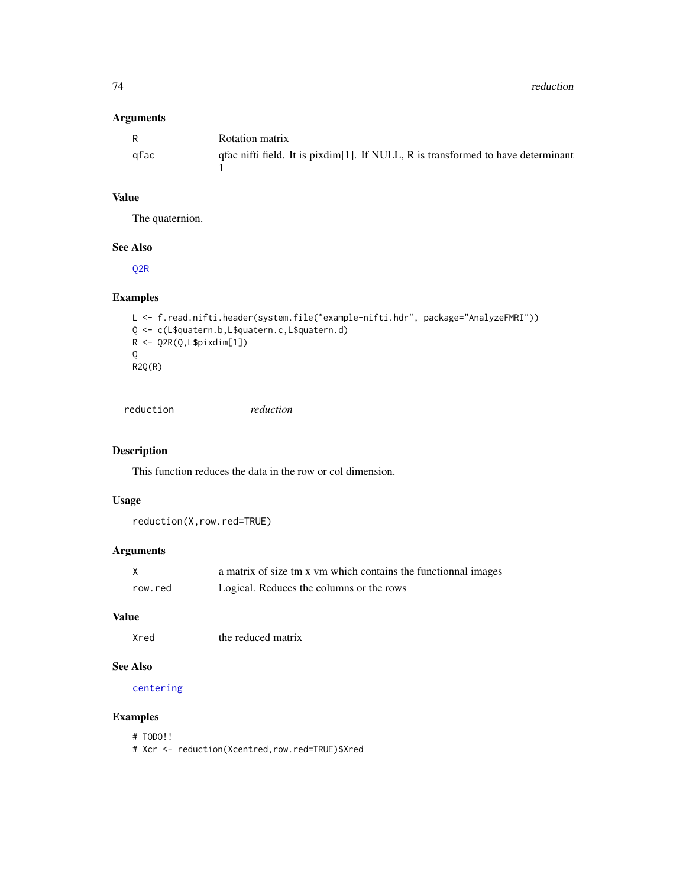<span id="page-73-0"></span>74 reduction

# Arguments

| R    | Rotation matrix                                                                    |
|------|------------------------------------------------------------------------------------|
| afac | qfac nifti field. It is pixdim[1]. If NULL, $R$ is transformed to have determinant |

# Value

The quaternion.

# See Also

[Q2R](#page-72-1)

# Examples

```
L <- f.read.nifti.header(system.file("example-nifti.hdr", package="AnalyzeFMRI"))
Q <- c(L$quatern.b,L$quatern.c,L$quatern.d)
R <- Q2R(Q,L$pixdim[1])
Q
R2Q(R)
```
reduction *reduction*

# Description

This function reduces the data in the row or col dimension.

# Usage

reduction(X,row.red=TRUE)

# Arguments

|         | a matrix of size tm x vm which contains the functionnal images |
|---------|----------------------------------------------------------------|
| row.red | Logical. Reduces the columns or the rows                       |

# Value

Xred the reduced matrix

### See Also

[centering](#page-4-0)

# Examples

# TODO!!

# Xcr <- reduction(Xcentred,row.red=TRUE)\$Xred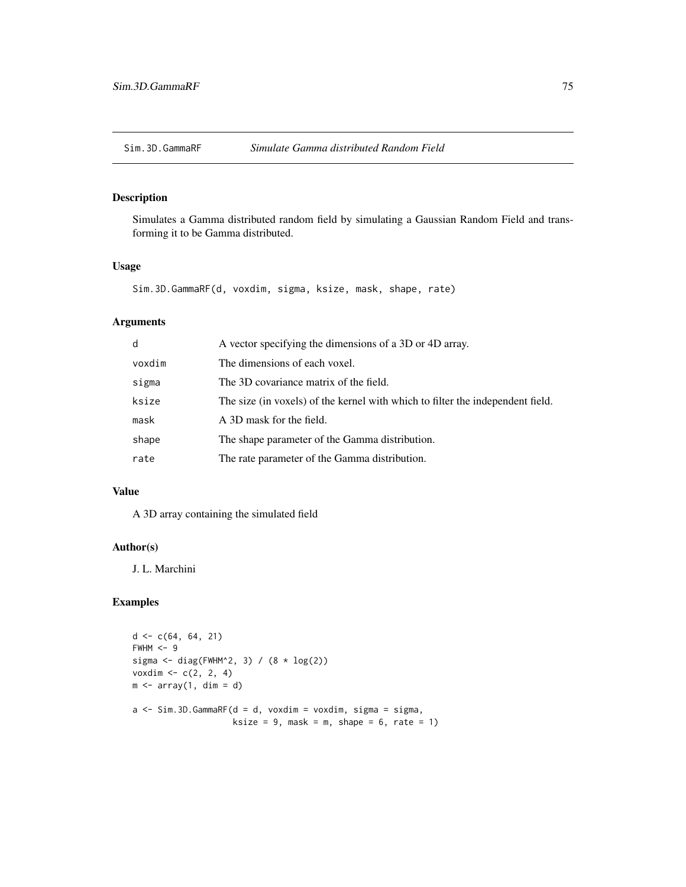<span id="page-74-0"></span>

Simulates a Gamma distributed random field by simulating a Gaussian Random Field and transforming it to be Gamma distributed.

# Usage

```
Sim.3D.GammaRF(d, voxdim, sigma, ksize, mask, shape, rate)
```
# Arguments

| d      | A vector specifying the dimensions of a 3D or 4D array.                        |
|--------|--------------------------------------------------------------------------------|
| voxdim | The dimensions of each voxel.                                                  |
| sigma  | The 3D covariance matrix of the field.                                         |
| ksize  | The size (in voxels) of the kernel with which to filter the independent field. |
| mask   | A 3D mask for the field.                                                       |
| shape  | The shape parameter of the Gamma distribution.                                 |
| rate   | The rate parameter of the Gamma distribution.                                  |

#### Value

A 3D array containing the simulated field

#### Author(s)

J. L. Marchini

```
d \leq c(64, 64, 21)FWHM < -9sigma <- diag(FWHM^2, 3) / (8 * log(2))voxdim \, < -c(2, 2, 4)m \le - array(1, dim = d)
a \leftarrow \text{Sim.3D.GammaF(d = d, voxdim = voxdim, sigma = sigma, }ksize = 9, mask = m, shape = 6, rate = 1)
```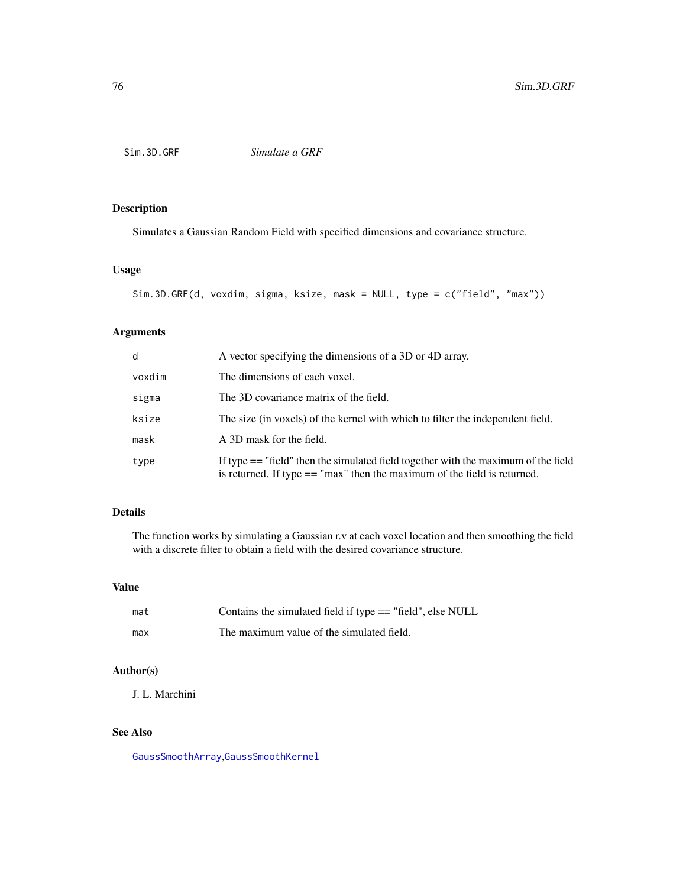<span id="page-75-0"></span>

Simulates a Gaussian Random Field with specified dimensions and covariance structure.

# Usage

```
Sim.3D.GRF(d, voxdim, sigma, ksize, mask = NULL, type = c("field", "max"))
```
# Arguments

| $\mathsf{d}$ | A vector specifying the dimensions of a 3D or 4D array.                                                                                                            |
|--------------|--------------------------------------------------------------------------------------------------------------------------------------------------------------------|
| voxdim       | The dimensions of each voxel.                                                                                                                                      |
| sigma        | The 3D covariance matrix of the field.                                                                                                                             |
| ksize        | The size (in voxels) of the kernel with which to filter the independent field.                                                                                     |
| mask         | A 3D mask for the field.                                                                                                                                           |
| type         | If type $==$ "field" then the simulated field together with the maximum of the field<br>is returned. If type $==$ "max" then the maximum of the field is returned. |

# Details

The function works by simulating a Gaussian r.v at each voxel location and then smoothing the field with a discrete filter to obtain a field with the desired covariance structure.

#### Value

| mat | Contains the simulated field if type $==$ "field", else NULL |
|-----|--------------------------------------------------------------|
| max | The maximum value of the simulated field.                    |

# Author(s)

J. L. Marchini

# See Also

[GaussSmoothArray](#page-47-0),[GaussSmoothKernel](#page-48-0)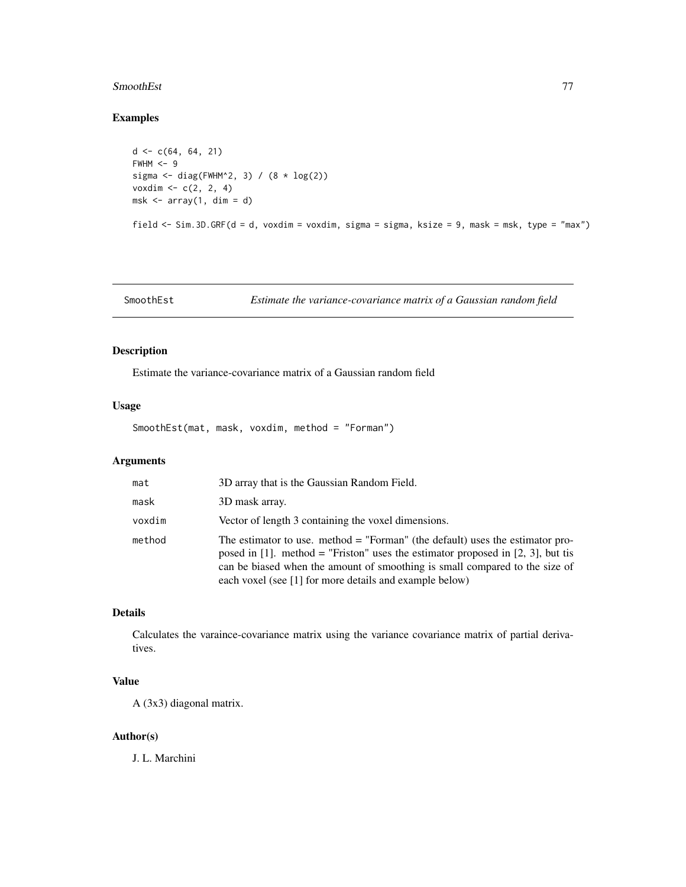#### <span id="page-76-0"></span>SmoothEst 77

# Examples

```
d \leq c(64, 64, 21)FWHM < -9sigma <- diag(FWHM^2, 3) / (8 * log(2))voxdim \, < -c(2, 2, 4)msk \leq array(1, dim = d)
field <- Sim.3D.GRF(d = d, voxdim = voxdim, sigma = sigma, ksize = 9, mask = msk, type = "max")
```
SmoothEst *Estimate the variance-covariance matrix of a Gaussian random field*

# Description

Estimate the variance-covariance matrix of a Gaussian random field

# Usage

SmoothEst(mat, mask, voxdim, method = "Forman")

# Arguments

| mat    | 3D array that is the Gaussian Random Field.                                                                                                                                                                                                                                                                  |
|--------|--------------------------------------------------------------------------------------------------------------------------------------------------------------------------------------------------------------------------------------------------------------------------------------------------------------|
| mask   | 3D mask array.                                                                                                                                                                                                                                                                                               |
| voxdim | Vector of length 3 containing the voxel dimensions.                                                                                                                                                                                                                                                          |
| method | The estimator to use. method $=$ "Forman" (the default) uses the estimator pro-<br>posed in [1]. method = "Friston" uses the estimator proposed in [2, 3], but tis<br>can be biased when the amount of smoothing is small compared to the size of<br>each voxel (see [1] for more details and example below) |

# Details

Calculates the varaince-covariance matrix using the variance covariance matrix of partial derivatives.

# Value

A (3x3) diagonal matrix.

#### Author(s)

J. L. Marchini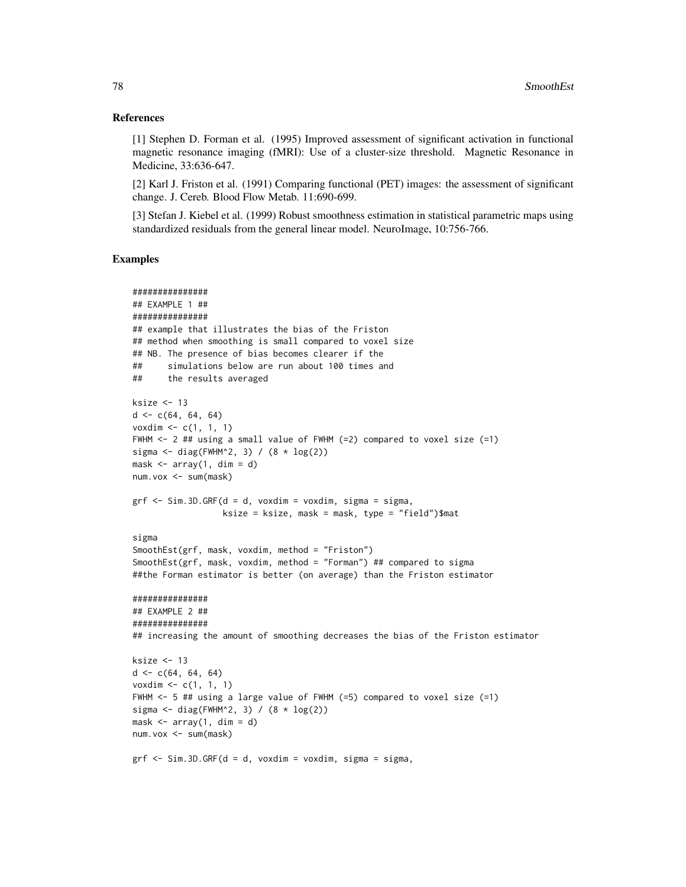#### References

[1] Stephen D. Forman et al. (1995) Improved assessment of significant activation in functional magnetic resonance imaging (fMRI): Use of a cluster-size threshold. Magnetic Resonance in Medicine, 33:636-647.

[2] Karl J. Friston et al. (1991) Comparing functional (PET) images: the assessment of significant change. J. Cereb. Blood Flow Metab. 11:690-699.

[3] Stefan J. Kiebel et al. (1999) Robust smoothness estimation in statistical parametric maps using standardized residuals from the general linear model. NeuroImage, 10:756-766.

```
###############
## EXAMPLE 1 ##
###############
## example that illustrates the bias of the Friston
## method when smoothing is small compared to voxel size
## NB. The presence of bias becomes clearer if the
## simulations below are run about 100 times and
## the results averaged
ksize <- 13
d \leq c(64, 64, 64)voxdim \leq -c(1, 1, 1)FWHM <- 2 ## using a small value of FWHM (=2) compared to voxel size (=1)
sigma \le diag(FWHM^2, 3) / (8 \star log(2))
mask \leq array(1, dim = d)
num.vox <- sum(mask)
grf \le -\, Sim.3D.GRF(d = d, voxdim = voxdim, sigma = sigma,ksize = ksize, mask = mask, type = "field")$mat
sigma
SmoothEst(grf, mask, voxdim, method = "Friston")
SmoothEst(grf, mask, voxdim, method = "Forman") ## compared to sigma
##the Forman estimator is better (on average) than the Friston estimator
###############
## EXAMPLE 2 ##
###############
## increasing the amount of smoothing decreases the bias of the Friston estimator
ksize <- 13
d \leq c(64, 64, 64)voxdim <- c(1, 1, 1)
FWHM <- 5 ## using a large value of FWHM (=5) compared to voxel size (=1)
sigma \le diag(FWHM^2, 3) / (8 \star log(2))
mask \leq array(1, dim = d)
num.vox <- sum(mask)
grf \le -\text{Sim. 3D.GRF}(d = d, \text{voxdim} = \text{voxdim}, \text{sigma} = \text{sigma},
```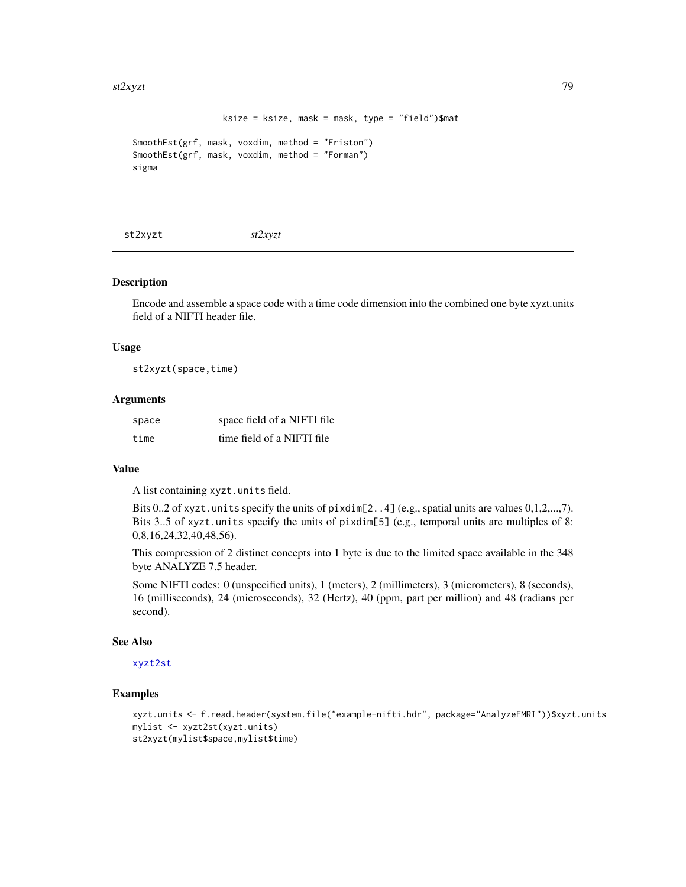```
ksize = ksize, mask = mask, type = "field")$mat
```

```
SmoothEst(grf, mask, voxdim, method = "Friston")
SmoothEst(grf, mask, voxdim, method = "Forman")
sigma
```
<span id="page-78-0"></span>st2xyzt *st2xyzt*

#### Description

Encode and assemble a space code with a time code dimension into the combined one byte xyzt.units field of a NIFTI header file.

#### Usage

st2xyzt(space,time)

#### **Arguments**

| space | space field of a NIFTI file |
|-------|-----------------------------|
| time  | time field of a NIFTI file  |

#### Value

A list containing xyzt.units field.

Bits 0..2 of xyzt.units specify the units of pixdim[2..4] (e.g., spatial units are values 0,1,2,...,7). Bits 3..5 of xyzt.units specify the units of pixdim[5] (e.g., temporal units are multiples of 8: 0,8,16,24,32,40,48,56).

This compression of 2 distinct concepts into 1 byte is due to the limited space available in the 348 byte ANALYZE 7.5 header.

Some NIFTI codes: 0 (unspecified units), 1 (meters), 2 (millimeters), 3 (micrometers), 8 (seconds), 16 (milliseconds), 24 (microseconds), 32 (Hertz), 40 (ppm, part per million) and 48 (radians per second).

# See Also

#### [xyzt2st](#page-84-0)

```
xyzt.units <- f.read.header(system.file("example-nifti.hdr", package="AnalyzeFMRI"))$xyzt.units
mylist <- xyzt2st(xyzt.units)
st2xyzt(mylist$space,mylist$time)
```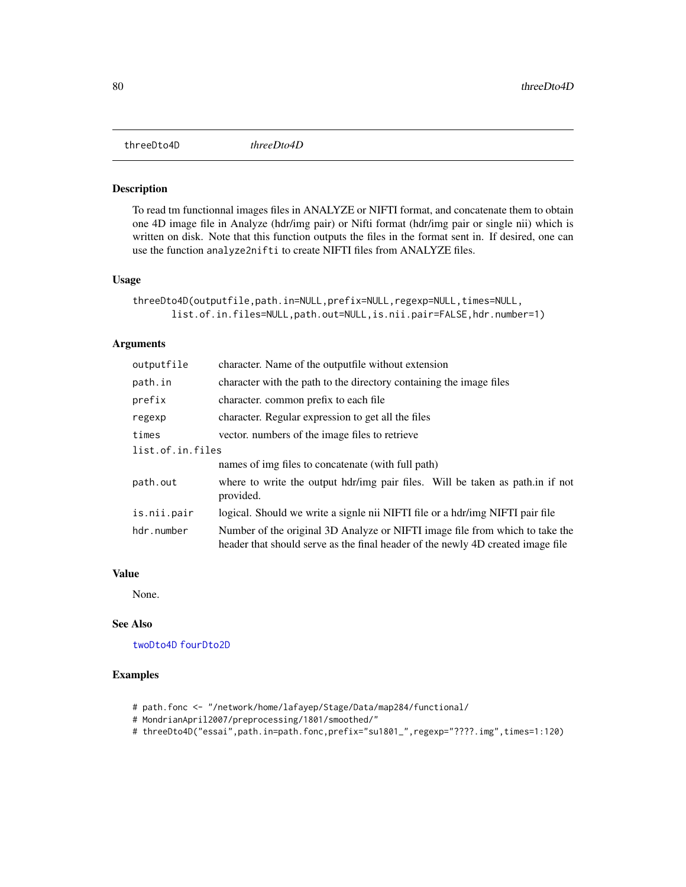<span id="page-79-1"></span><span id="page-79-0"></span>

To read tm functionnal images files in ANALYZE or NIFTI format, and concatenate them to obtain one 4D image file in Analyze (hdr/img pair) or Nifti format (hdr/img pair or single nii) which is written on disk. Note that this function outputs the files in the format sent in. If desired, one can use the function analyze2nifti to create NIFTI files from ANALYZE files.

#### Usage

```
threeDto4D(outputfile,path.in=NULL,prefix=NULL,regexp=NULL,times=NULL,
       list.of.in.files=NULL,path.out=NULL,is.nii.pair=FALSE,hdr.number=1)
```
#### Arguments

| outputfile       | character. Name of the outputfile without extension                                                                                                             |  |
|------------------|-----------------------------------------------------------------------------------------------------------------------------------------------------------------|--|
| path.in          | character with the path to the directory containing the image files                                                                                             |  |
| prefix           | character, common prefix to each file                                                                                                                           |  |
| regexp           | character. Regular expression to get all the files                                                                                                              |  |
| times            | vector, numbers of the image files to retrieve                                                                                                                  |  |
| list.of.in.files |                                                                                                                                                                 |  |
|                  | names of img files to concatenate (with full path)                                                                                                              |  |
| path.out         | where to write the output hdr/img pair files. Will be taken as path in if not<br>provided.                                                                      |  |
| is.nii.pair      | logical. Should we write a signle nii NIFTI file or a hdr/img NIFTI pair file                                                                                   |  |
| hdr.number       | Number of the original 3D Analyze or NIFTI image file from which to take the<br>header that should serve as the final header of the newly 4D created image file |  |

#### Value

None.

# See Also

[twoDto4D](#page-82-0) [fourDto2D](#page-46-0)

- # path.fonc <- "/network/home/lafayep/Stage/Data/map284/functional/
- # MondrianApril2007/preprocessing/1801/smoothed/"
- # threeDto4D("essai",path.in=path.fonc,prefix="su1801\_",regexp="????.img",times=1:120)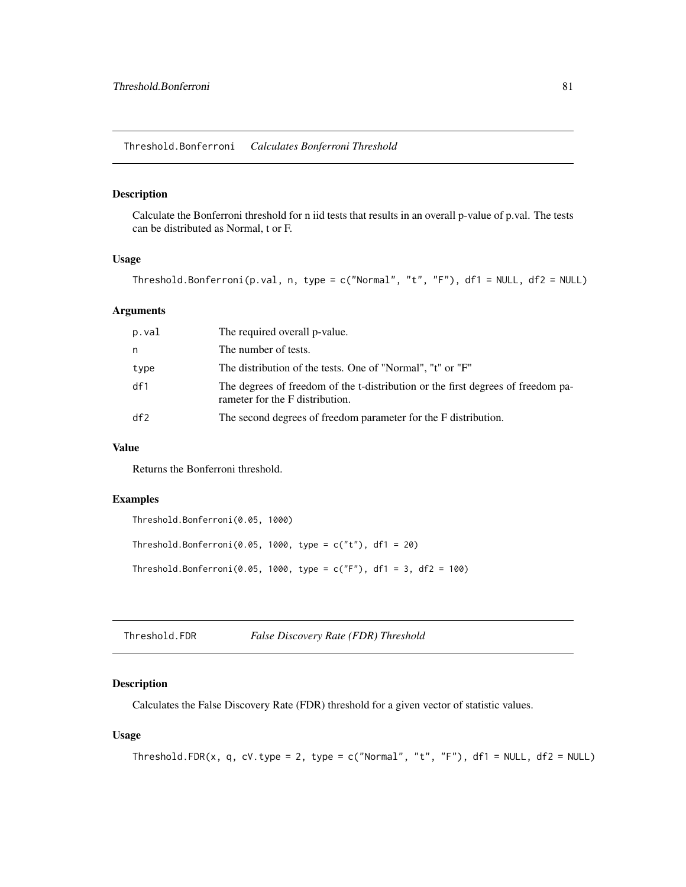<span id="page-80-0"></span>Calculate the Bonferroni threshold for n iid tests that results in an overall p-value of p.val. The tests can be distributed as Normal, t or F.

#### Usage

```
Threshold.Bonferroni(p.val, n, type = c("Normal", "t", "F"), df1 = NULL, df2 = NULL)
```
#### Arguments

| p.val | The required overall p-value.                                                                                       |
|-------|---------------------------------------------------------------------------------------------------------------------|
| n     | The number of tests.                                                                                                |
| type  | The distribution of the tests. One of "Normal", "t" or "F"                                                          |
| df1   | The degrees of freedom of the t-distribution or the first degrees of freedom pa-<br>rameter for the F distribution. |
| df2   | The second degrees of freedom parameter for the F distribution.                                                     |

#### Value

Returns the Bonferroni threshold.

#### Examples

```
Threshold.Bonferroni(0.05, 1000)
Threshold.Bonferroni(0.05, 1000, type = c("t"), df1 = 20)
Threshold.Bonferroni(0.05, 1000, type = c("F"), df1 = 3, df2 = 100)
```
Threshold.FDR *False Discovery Rate (FDR) Threshold*

# Description

Calculates the False Discovery Rate (FDR) threshold for a given vector of statistic values.

#### Usage

```
Threshold.FDR(x, q, cV.type = 2, type = c("Normal", "t", "F"), df1 = NULL, df2 = NULL)
```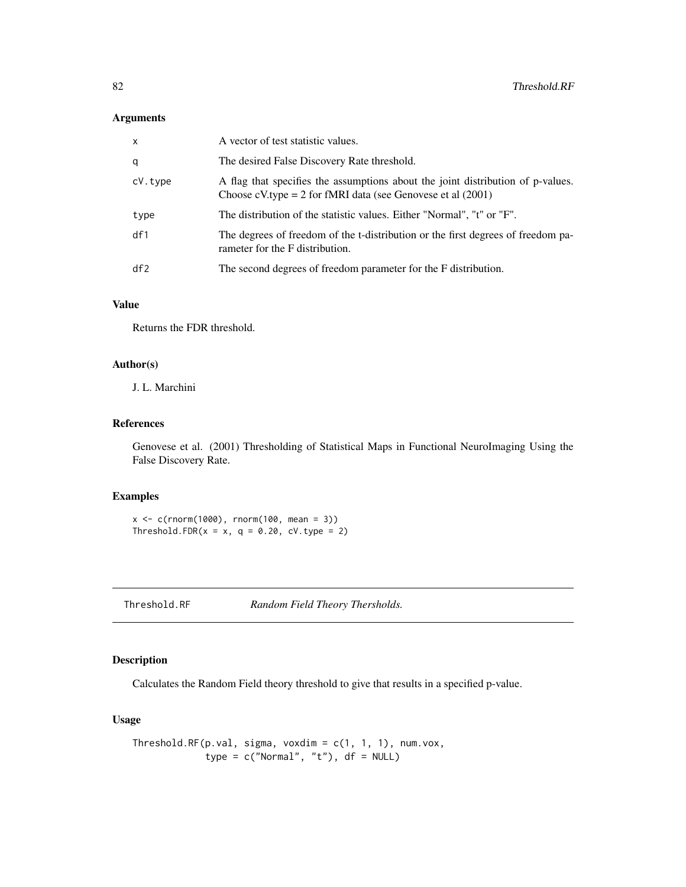#### <span id="page-81-0"></span>Arguments

| $\mathsf{x}$ | A vector of test statistic values.                                                                                                                 |
|--------------|----------------------------------------------------------------------------------------------------------------------------------------------------|
| q            | The desired False Discovery Rate threshold.                                                                                                        |
| cV.type      | A flag that specifies the assumptions about the joint distribution of p-values.<br>Choose cV.type = 2 for fMRI data (see Genovese et al $(2001)$ ) |
| type         | The distribution of the statistic values. Either "Normal", "t" or "F".                                                                             |
| df1          | The degrees of freedom of the t-distribution or the first degrees of freedom pa-<br>rameter for the F distribution.                                |
| df2          | The second degrees of freedom parameter for the F distribution.                                                                                    |

# Value

Returns the FDR threshold.

# Author(s)

J. L. Marchini

# References

Genovese et al. (2001) Thresholding of Statistical Maps in Functional NeuroImaging Using the False Discovery Rate.

#### Examples

 $x \leq c(\text{rnorm}(1000), \text{rnorm}(100, \text{mean} = 3))$ Threshold.FDR( $x = x$ ,  $q = 0.20$ , cV.type = 2)

Threshold.RF *Random Field Theory Thersholds.*

# Description

Calculates the Random Field theory threshold to give that results in a specified p-value.

# Usage

```
Threshold.RF(p.val, sigma, voxdim = c(1, 1, 1), num.vox,
            type = c("Normal", "t"), df = NULL)
```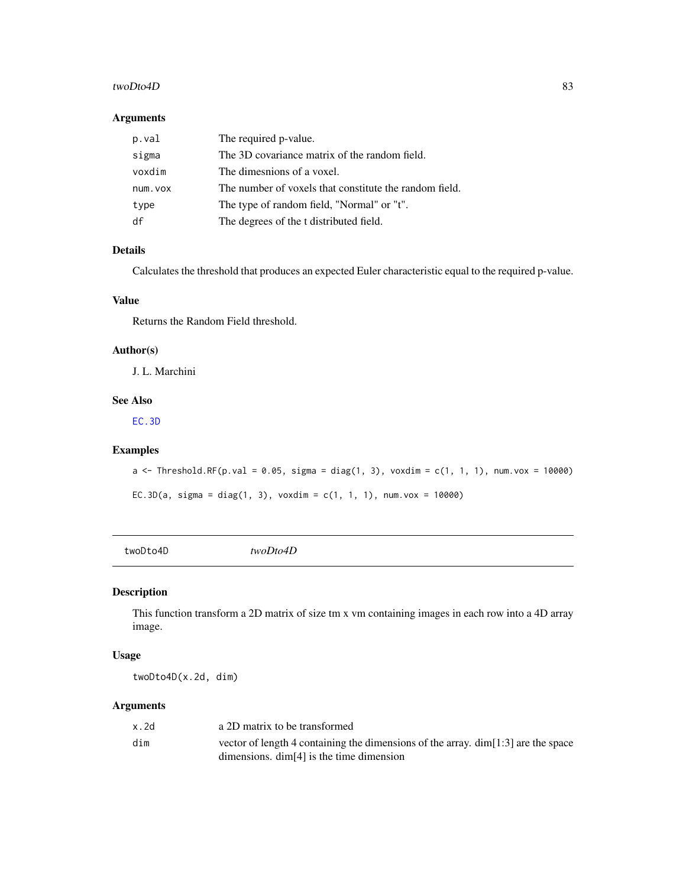#### <span id="page-82-1"></span>twoDto4D 83

#### Arguments

| p.val    | The required p-value.                                  |
|----------|--------------------------------------------------------|
| sigma    | The 3D covariance matrix of the random field.          |
| voxdim   | The dimesnions of a voxel.                             |
| num. vox | The number of voxels that constitute the random field. |
| type     | The type of random field, "Normal" or "t".             |
| df       | The degrees of the t distributed field.                |

# Details

Calculates the threshold that produces an expected Euler characteristic equal to the required p-value.

# Value

Returns the Random Field threshold.

#### Author(s)

J. L. Marchini

# See Also

[EC.3D](#page-7-0)

#### Examples

```
a <- Threshold.RF(p.val = 0.05, sigma = diag(1, 3), voxdim = c(1, 1, 1), num.vox = 10000)
EC.3D(a, sigma = diag(1, 3), voxdim = c(1, 1, 1), num.vox = 10000)
```
<span id="page-82-0"></span>twoDto4D *twoDto4D*

# Description

This function transform a 2D matrix of size tm x vm containing images in each row into a 4D array image.

#### Usage

twoDto4D(x.2d, dim)

#### Arguments

| x.2d | a 2D matrix to be transformed                                                        |
|------|--------------------------------------------------------------------------------------|
| dim  | vector of length 4 containing the dimensions of the array. $\dim[1:3]$ are the space |
|      | dimensions. $\dim[4]$ is the time dimension                                          |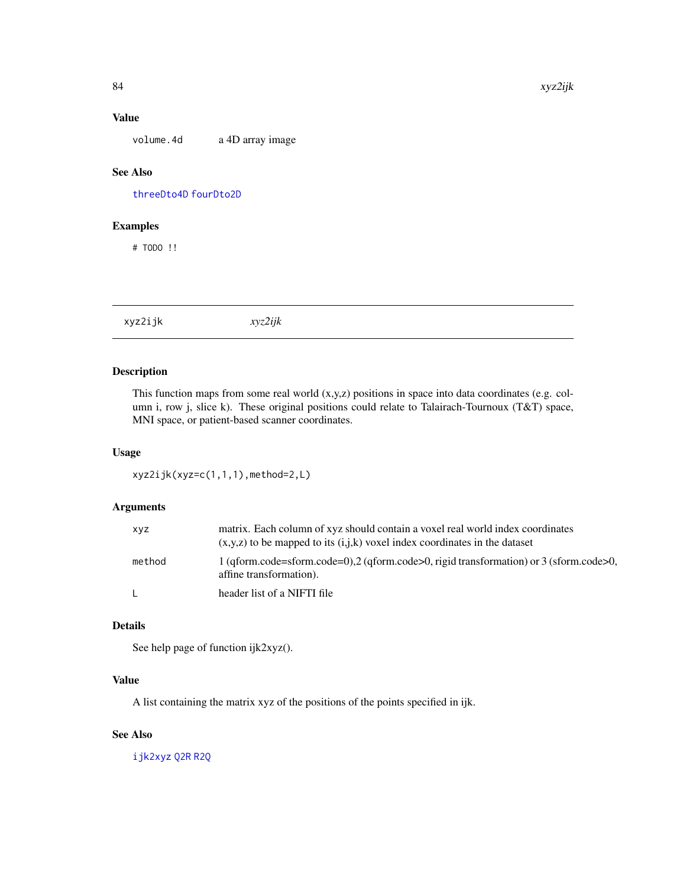<span id="page-83-0"></span>volume. 4d a 4D array image

# See Also

[threeDto4D](#page-79-0) [fourDto2D](#page-46-0)

# Examples

# TODO !!

xyz2ijk *xyz2ijk*

# Description

This function maps from some real world (x,y,z) positions in space into data coordinates (e.g. column i, row j, slice k). These original positions could relate to Talairach-Tournoux (T&T) space, MNI space, or patient-based scanner coordinates.

#### Usage

```
xyz2ijk(xyz=c(1,1,1),method=2,L)
```
# Arguments

| <b>XYZ</b> | matrix. Each column of xyz should contain a voxel real world index coordinates<br>$(x,y,z)$ to be mapped to its $(i,j,k)$ voxel index coordinates in the dataset |
|------------|------------------------------------------------------------------------------------------------------------------------------------------------------------------|
| method     | 1 (gform.code=sform.code=0),2 (gform.code>0, rigid transformation) or 3 (sform.code>0,<br>affine transformation).                                                |
| L.         | header list of a NIFTI file                                                                                                                                      |

# Details

See help page of function ijk2xyz().

#### Value

A list containing the matrix xyz of the positions of the points specified in ijk.

# See Also

[ijk2xyz](#page-51-0) [Q2R](#page-72-1) [R2Q](#page-72-0)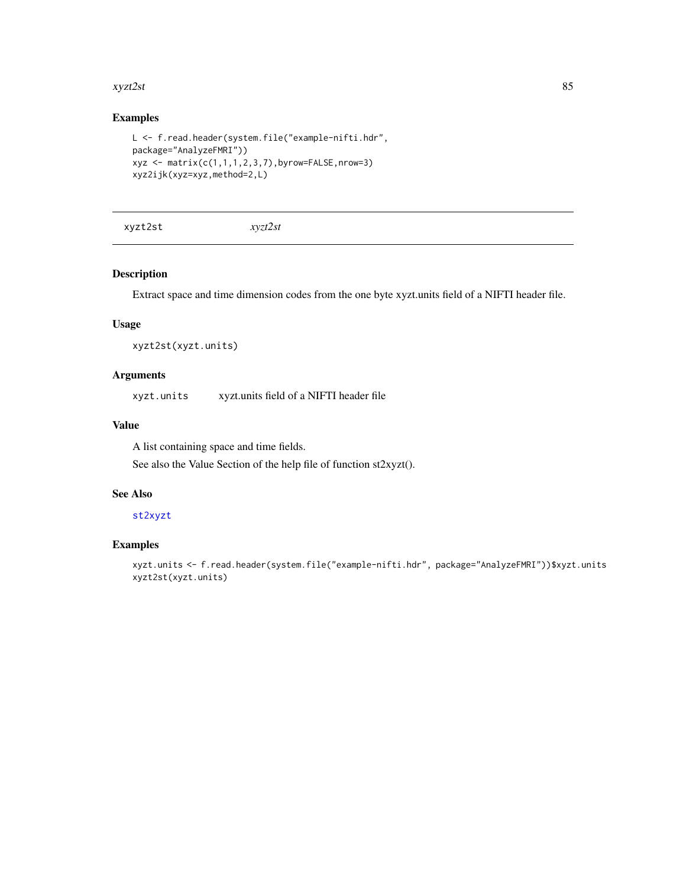#### <span id="page-84-1"></span>xyzt2st 85

# Examples

```
L <- f.read.header(system.file("example-nifti.hdr",
package="AnalyzeFMRI"))
xyz \leftarrow matrix(c(1,1,1,2,3,7), by row=False, nrow=3)xyz2ijk(xyz=xyz,method=2,L)
```
<span id="page-84-0"></span>xyzt2st *xyzt2st*

#### Description

Extract space and time dimension codes from the one byte xyzt.units field of a NIFTI header file.

#### Usage

xyzt2st(xyzt.units)

# Arguments

xyzt.units xyzt.units field of a NIFTI header file

# Value

A list containing space and time fields. See also the Value Section of the help file of function st2xyzt().

# See Also

#### [st2xyzt](#page-78-0)

# Examples

xyzt.units <- f.read.header(system.file("example-nifti.hdr", package="AnalyzeFMRI"))\$xyzt.units xyzt2st(xyzt.units)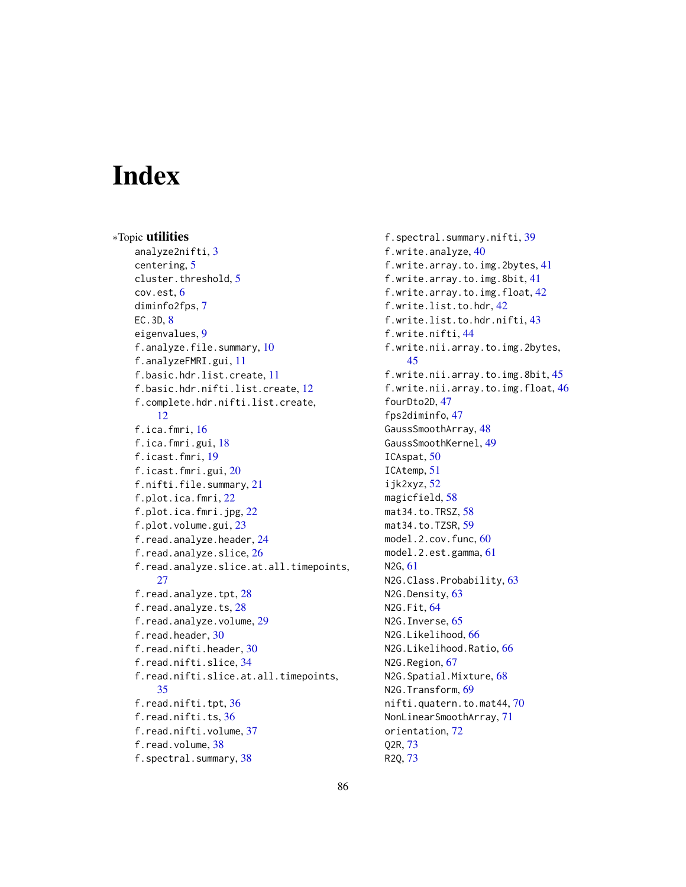# Index

∗Topic utilities analyze2nifti, [3](#page-2-0) centering, [5](#page-4-1) cluster.threshold, [5](#page-4-1) cov.est, [6](#page-5-0) diminfo2fps, [7](#page-6-0) EC.3D, [8](#page-7-1) eigenvalues, [9](#page-8-0) f.analyze.file.summary, [10](#page-9-0) f.analyzeFMRI.gui, [11](#page-10-0) f.basic.hdr.list.create, [11](#page-10-0) f.basic.hdr.nifti.list.create, [12](#page-11-0) f.complete.hdr.nifti.list.create, [12](#page-11-0) f.ica.fmri, [16](#page-15-0) f.ica.fmri.gui, [18](#page-17-0) f.icast.fmri, [19](#page-18-0) f.icast.fmri.gui, [20](#page-19-0) f.nifti.file.summary, [21](#page-20-0) f.plot.ica.fmri, [22](#page-21-0) f.plot.ica.fmri.jpg, [22](#page-21-0) f.plot.volume.gui, [23](#page-22-0) f.read.analyze.header, [24](#page-23-0) f.read.analyze.slice, [26](#page-25-0) f.read.analyze.slice.at.all.timepoints, [27](#page-26-0) f.read.analyze.tpt, [28](#page-27-0) f.read.analyze.ts, [28](#page-27-0) f.read.analyze.volume, [29](#page-28-0) f.read.header, [30](#page-29-0) f.read.nifti.header, [30](#page-29-0) f.read.nifti.slice, [34](#page-33-0) f.read.nifti.slice.at.all.timepoints, [35](#page-34-0) f.read.nifti.tpt, [36](#page-35-0) f.read.nifti.ts, [36](#page-35-0) f.read.nifti.volume, [37](#page-36-0) f.read.volume, [38](#page-37-0) f.spectral.summary, [38](#page-37-0)

f.spectral.summary.nifti, [39](#page-38-0) f.write.analyze, [40](#page-39-0) f.write.array.to.img.2bytes, [41](#page-40-0) f.write.array.to.img.8bit, [41](#page-40-0) f.write.array.to.img.float, [42](#page-41-0) f.write.list.to.hdr, [42](#page-41-0) f.write.list.to.hdr.nifti, [43](#page-42-0) f.write.nifti, [44](#page-43-0) f.write.nii.array.to.img.2bytes, [45](#page-44-0) f.write.nii.array.to.img.8bit, [45](#page-44-0) f.write.nii.array.to.img.float, [46](#page-45-0) fourDto2D, [47](#page-46-1) fps2diminfo, [47](#page-46-1) GaussSmoothArray, [48](#page-47-1) GaussSmoothKernel, [49](#page-48-1) ICAspat, [50](#page-49-0) ICAtemp, [51](#page-50-0) ijk2xyz, [52](#page-51-1) magicfield, [58](#page-57-0) mat34.to.TRSZ, [58](#page-57-0) mat34.to.TZSR, [59](#page-58-0) model.2.cov.func, [60](#page-59-0) model.2.est.gamma, [61](#page-60-0) N2G, [61](#page-60-0) N2G.Class.Probability, [63](#page-62-0) N2G.Density, [63](#page-62-0) N2G.Fit, [64](#page-63-0) N2G.Inverse, [65](#page-64-0) N2G.Likelihood, [66](#page-65-0) N2G.Likelihood.Ratio, [66](#page-65-0) N2G.Region, [67](#page-66-0) N2G.Spatial.Mixture, [68](#page-67-0) N2G.Transform, [69](#page-68-0) nifti.quatern.to.mat44, [70](#page-69-0) NonLinearSmoothArray, [71](#page-70-0) orientation, [72](#page-71-0) Q2R, [73](#page-72-2) R2Q, [73](#page-72-2)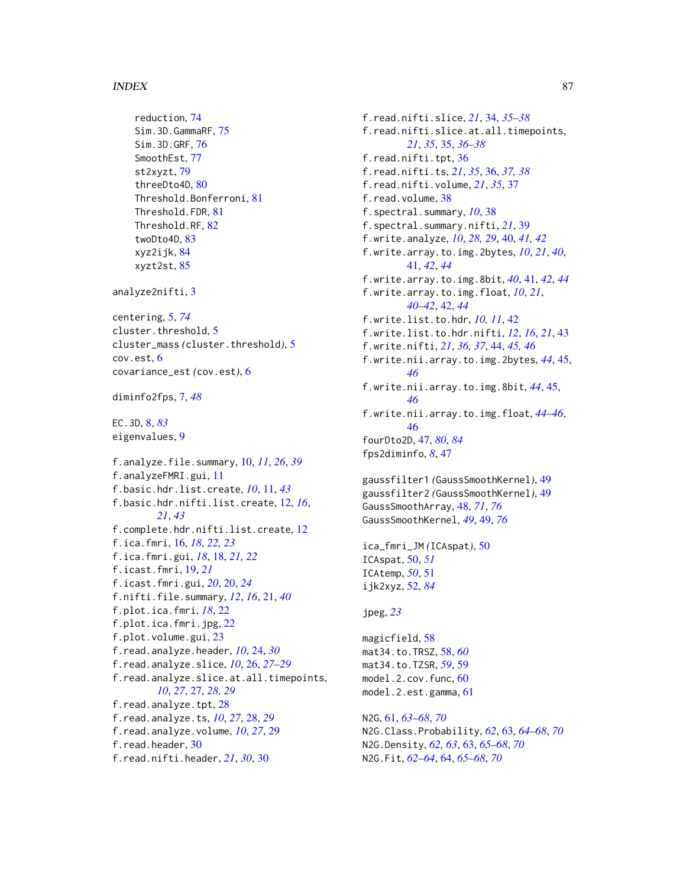#### INDEX  $87$

```
reduction, 74
    Sim.3D.GammaRF, 75
    Sim.3D.GRF, 76
    SmoothEst, 77
    st2xyzt, 79
    threeDto4D, 80
    Threshold.Bonferroni, 81
    Threshold.FDR, 81
    Threshold.RF, 82
    twoDto4D, 83
    xyz2ijk, 84
    xyzt2st, 85
analyze2nifti, 3
centering, 5, 74
cluster.threshold, 5
cluster_mass (cluster.threshold), 5
cov.est, 6
covariance_est (cov.est), 6
diminfo2fps, 7, 48
EC.3D, 8, 83
eigenvalues, 9
f.analyze.file.summary, 10, 11, 26, 39
f.analyzeFMRI.gui, 11
f.basic.hdr.list.create, 10, 11, 43
f.basic.hdr.nifti.list.create, 12, 16,
         21, 43
f.complete.hdr.nifti.list.create, 12
f.ica.fmri, 16, 18, 22, 23
f.ica.fmri.gui, 18, 18, 21, 22
f.icast.fmri, 19, 21
f.icast.fmri.gui, 20, 20, 24
f.nifti.file.summary, 12, 16, 21, 40
f.plot.ica.fmri, 18, 22
f.plot.ica.fmri.jpg, 22
f.plot.volume.gui, 23
f.read.analyze.header, 10, 24, 30
f.read.analyze.slice, 10, 26, 27–29
f.read.analyze.slice.at.all.timepoints,
         10, 27, 27, 28, 29
f.read.analyze.tpt, 28
f.read.analyze.ts, 10, 27, 28, 29
f.read.analyze.volume, 10, 27, 29
f.read.header, 30
f.read.nifti.header, 21, 30, 30
```
f.read.nifti.slice, *[21](#page-20-0)*, [34,](#page-33-0) *[35](#page-34-0)[–38](#page-37-0)* f.read.nifti.slice.at.all.timepoints, *[21](#page-20-0)*, *[35](#page-34-0)*, [35,](#page-34-0) *[36](#page-35-0)[–38](#page-37-0)* f.read.nifti.tpt, [36](#page-35-0) f.read.nifti.ts, *[21](#page-20-0)*, *[35](#page-34-0)*, [36,](#page-35-0) *[37,](#page-36-0) [38](#page-37-0)* f.read.nifti.volume, *[21](#page-20-0)*, *[35](#page-34-0)*, [37](#page-36-0) f.read.volume, [38](#page-37-0) f.spectral.summary, *[10](#page-9-0)*, [38](#page-37-0) f.spectral.summary.nifti, *[21](#page-20-0)*, [39](#page-38-0) f.write.analyze, *[10](#page-9-0)*, *[28,](#page-27-0) [29](#page-28-0)*, [40,](#page-39-0) *[41,](#page-40-0) [42](#page-41-0)* f.write.array.to.img.2bytes, *[10](#page-9-0)*, *[21](#page-20-0)*, *[40](#page-39-0)*, [41,](#page-40-0) *[42](#page-41-0)*, *[44](#page-43-0)* f.write.array.to.img.8bit, *[40](#page-39-0)*, [41,](#page-40-0) *[42](#page-41-0)*, *[44](#page-43-0)* f.write.array.to.img.float, *[10](#page-9-0)*, *[21](#page-20-0)*, *[40](#page-39-0)[–42](#page-41-0)*, [42,](#page-41-0) *[44](#page-43-0)* f.write.list.to.hdr, *[10,](#page-9-0) [11](#page-10-0)*, [42](#page-41-0) f.write.list.to.hdr.nifti, *[12](#page-11-0)*, *[16](#page-15-0)*, *[21](#page-20-0)*, [43](#page-42-0) f.write.nifti, *[21](#page-20-0)*, *[36,](#page-35-0) [37](#page-36-0)*, [44,](#page-43-0) *[45,](#page-44-0) [46](#page-45-0)* f.write.nii.array.to.img.2bytes, *[44](#page-43-0)*, [45,](#page-44-0) *[46](#page-45-0)* f.write.nii.array.to.img.8bit, *[44](#page-43-0)*, [45,](#page-44-0) *[46](#page-45-0)* f.write.nii.array.to.img.float, *[44](#page-43-0)[–46](#page-45-0)*, [46](#page-45-0) fourDto2D, [47,](#page-46-1) *[80](#page-79-1)*, *[84](#page-83-0)* fps2diminfo, *[8](#page-7-1)*, [47](#page-46-1) gaussfilter1 *(*GaussSmoothKernel*)*, [49](#page-48-1) gaussfilter2 *(*GaussSmoothKernel*)*, [49](#page-48-1) GaussSmoothArray, [48,](#page-47-1) *[71](#page-70-0)*, *[76](#page-75-0)* GaussSmoothKernel, *[49](#page-48-1)*, [49,](#page-48-1) *[76](#page-75-0)* ica\_fmri\_JM *(*ICAspat*)*, [50](#page-49-0) ICAspat, [50,](#page-49-0) *[51](#page-50-0)* ICAtemp, *[50](#page-49-0)*, [51](#page-50-0) ijk2xyz, [52,](#page-51-1) *[84](#page-83-0)* jpeg, *[23](#page-22-0)* magicfield, [58](#page-57-0) mat34.to.TRSZ, [58,](#page-57-0) *[60](#page-59-0)* mat34.to.TZSR, *[59](#page-58-0)*, [59](#page-58-0) model.2.cov.func, [60](#page-59-0) model.2.est.gamma, [61](#page-60-0) N2G, [61,](#page-60-0) *[63](#page-62-0)[–68](#page-67-0)*, *[70](#page-69-0)*

N2G.Class.Probability, *[62](#page-61-0)*, [63,](#page-62-0) *[64](#page-63-0)[–68](#page-67-0)*, *[70](#page-69-0)* N2G.Density, *[62,](#page-61-0) [63](#page-62-0)*, [63,](#page-62-0) *[65](#page-64-0)[–68](#page-67-0)*, *[70](#page-69-0)* N2G.Fit, *[62](#page-61-0)[–64](#page-63-0)*, [64,](#page-63-0) *[65](#page-64-0)[–68](#page-67-0)*, *[70](#page-69-0)*